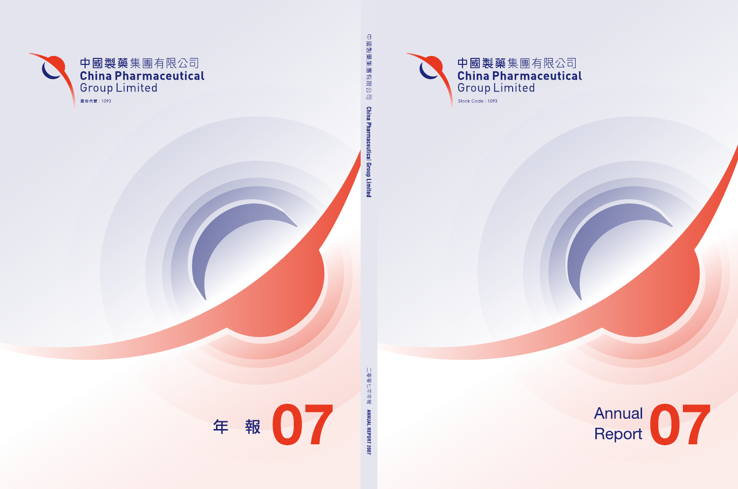

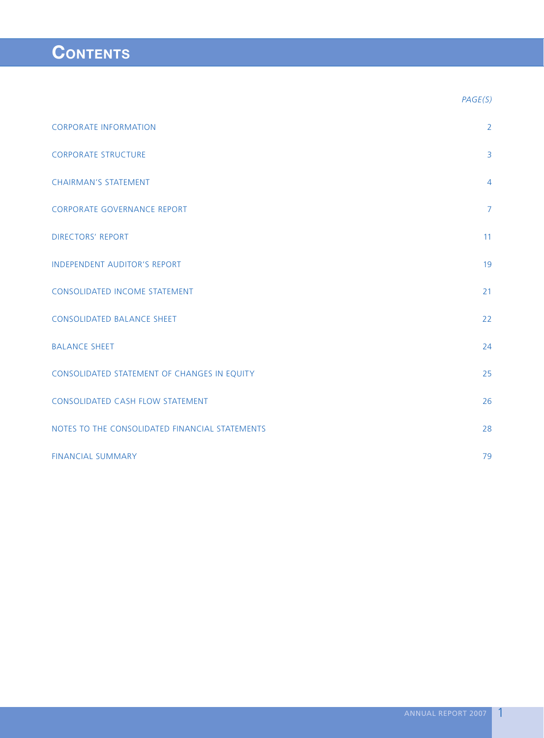# **CONTENTS**

|                                                | PAGE(S)        |
|------------------------------------------------|----------------|
| <b>CORPORATE INFORMATION</b>                   | $\overline{2}$ |
| <b>CORPORATE STRUCTURE</b>                     | $\overline{3}$ |
| <b>CHAIRMAN'S STATEMENT</b>                    | $\overline{4}$ |
| <b>CORPORATE GOVERNANCE REPORT</b>             | $\overline{7}$ |
| <b>DIRECTORS' REPORT</b>                       | 11             |
| <b>INDEPENDENT AUDITOR'S REPORT</b>            | 19             |
| <b>CONSOLIDATED INCOME STATEMENT</b>           | 21             |
| <b>CONSOLIDATED BALANCE SHEET</b>              | 22             |
| <b>BALANCE SHEET</b>                           | 24             |
| CONSOLIDATED STATEMENT OF CHANGES IN EQUITY    | 25             |
| <b>CONSOLIDATED CASH FLOW STATEMENT</b>        | 26             |
| NOTES TO THE CONSOLIDATED FINANCIAL STATEMENTS | 28             |
| <b>FINANCIAL SUMMARY</b>                       | 79             |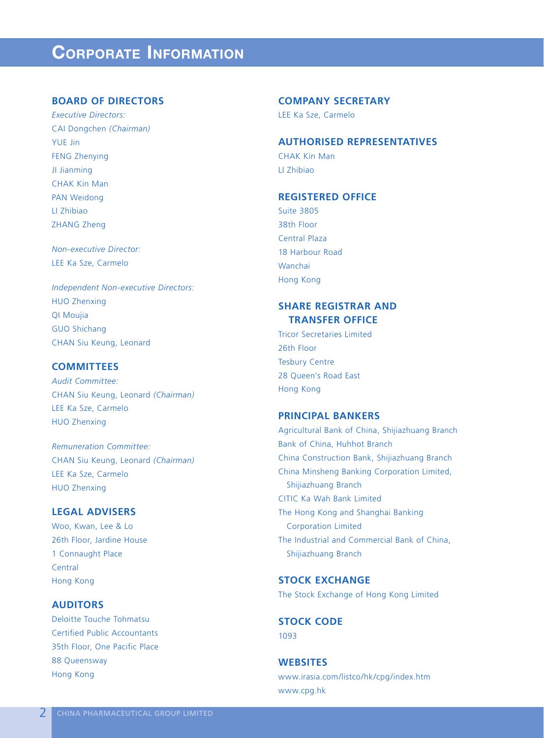# **CORPORATE INFORMATION**

## **BOARD OF DIRECTORS**

*Executive Directors:* CAI Dongchen *(Chairman)* YUE Jin FENG Zhenying JI Jianming CHAK Kin Man PAN Weidong LI Zhibiao ZHANG Zheng

*Non-executive Director:* LEE Ka Sze, Carmelo

*Independent Non-executive Directors:* HUO Zhenxing QI Moujia GUO Shichang CHAN Siu Keung, Leonard

## **COMMITTEES**

*Audit Committee:* CHAN Siu Keung, Leonard *(Chairman)* LEE Ka Sze, Carmelo HUO Zhenxing

*Remuneration Committee:* CHAN Siu Keung, Leonard *(Chairman)* LEE Ka Sze, Carmelo HUO Zhenxing

# **LEGAL ADVISERS**

Woo, Kwan, Lee & Lo 26th Floor, Jardine House 1 Connaught Place **Central** Hong Kong

## **AUDITORS**

Deloitte Touche Tohmatsu Certified Public Accountants 35th Floor, One Pacific Place 88 Queensway Hong Kong

### **COMPANY SECRETARY**

LEE Ka Sze, Carmelo

## **AUTHORISED REPRESENTATIVES**

CHAK Kin Man LI Zhibiao

## **REGISTERED OFFICE**

Suite 3805 38th Floor Central Plaza 18 Harbour Road Wanchai Hong Kong

# **SHARE REGISTRAR AND TRANSFER OFFICE**

Tricor Secretaries Limited 26th Floor Tesbury Centre 28 Queen's Road East Hong Kong

# **PRINCIPAL BANKERS**

Agricultural Bank of China, Shijiazhuang Branch Bank of China, Huhhot Branch China Construction Bank, Shijiazhuang Branch China Minsheng Banking Corporation Limited, Shijiazhuang Branch CITIC Ka Wah Bank Limited The Hong Kong and Shanghai Banking Corporation Limited The Industrial and Commercial Bank of China, Shijiazhuang Branch

# **STOCK EXCHANGE**

The Stock Exchange of Hong Kong Limited

**STOCK CODE** 1093

**WEBSITES** www.irasia.com/listco/hk/cpg/index.htm www.cpg.hk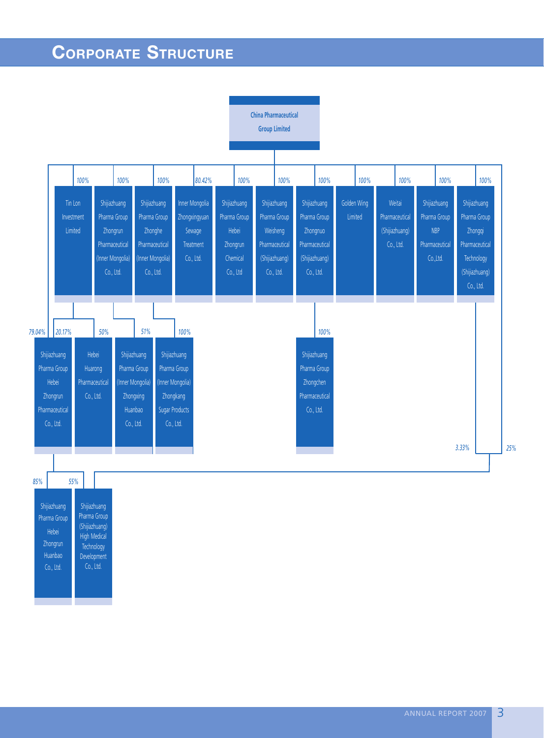# **CORPORATE STRUCTURE**

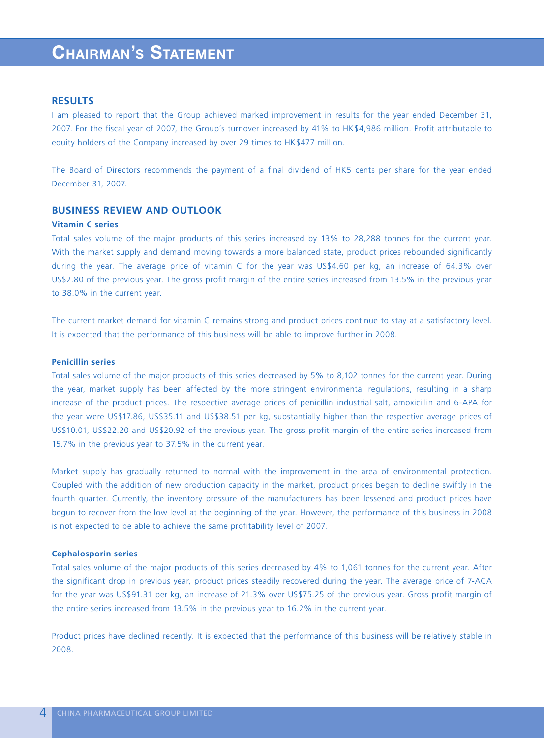# **CHAIRMAN'S STATEMENT**

## **RESULTS**

I am pleased to report that the Group achieved marked improvement in results for the year ended December 31, 2007. For the fiscal year of 2007, the Group's turnover increased by 41% to HK\$4,986 million. Profit attributable to equity holders of the Company increased by over 29 times to HK\$477 million.

The Board of Directors recommends the payment of a final dividend of HK5 cents per share for the year ended December 31, 2007.

# **BUSINESS REVIEW AND OUTLOOK**

### **Vitamin C series**

Total sales volume of the major products of this series increased by 13% to 28,288 tonnes for the current year. With the market supply and demand moving towards a more balanced state, product prices rebounded significantly during the year. The average price of vitamin C for the year was US\$4.60 per kg, an increase of 64.3% over US\$2.80 of the previous year. The gross profit margin of the entire series increased from 13.5% in the previous year to 38.0% in the current year.

The current market demand for vitamin C remains strong and product prices continue to stay at a satisfactory level. It is expected that the performance of this business will be able to improve further in 2008.

## **Penicillin series**

Total sales volume of the major products of this series decreased by 5% to 8,102 tonnes for the current year. During the year, market supply has been affected by the more stringent environmental regulations, resulting in a sharp increase of the product prices. The respective average prices of penicillin industrial salt, amoxicillin and 6-APA for the year were US\$17.86, US\$35.11 and US\$38.51 per kg, substantially higher than the respective average prices of US\$10.01, US\$22.20 and US\$20.92 of the previous year. The gross profit margin of the entire series increased from 15.7% in the previous year to 37.5% in the current year.

Market supply has gradually returned to normal with the improvement in the area of environmental protection. Coupled with the addition of new production capacity in the market, product prices began to decline swiftly in the fourth quarter. Currently, the inventory pressure of the manufacturers has been lessened and product prices have begun to recover from the low level at the beginning of the year. However, the performance of this business in 2008 is not expected to be able to achieve the same profitability level of 2007.

### **Cephalosporin series**

Total sales volume of the major products of this series decreased by 4% to 1,061 tonnes for the current year. After the significant drop in previous year, product prices steadily recovered during the year. The average price of 7-ACA for the year was US\$91.31 per kg, an increase of 21.3% over US\$75.25 of the previous year. Gross profit margin of the entire series increased from 13.5% in the previous year to 16.2% in the current year.

Product prices have declined recently. It is expected that the performance of this business will be relatively stable in 2008.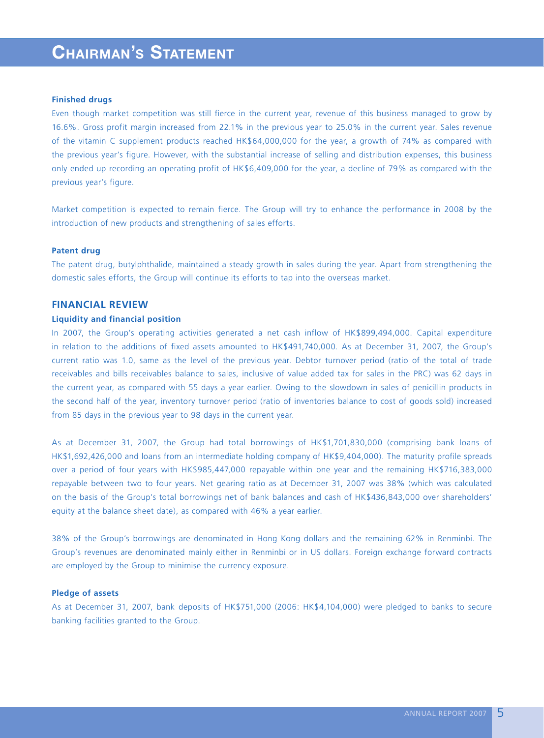# **CHAIRMAN'S STATEMENT**

### **Finished drugs**

Even though market competition was still fierce in the current year, revenue of this business managed to grow by 16.6%. Gross profit margin increased from 22.1% in the previous year to 25.0% in the current year. Sales revenue of the vitamin C supplement products reached HK\$64,000,000 for the year, a growth of 74% as compared with the previous year's figure. However, with the substantial increase of selling and distribution expenses, this business only ended up recording an operating profit of HK\$6,409,000 for the year, a decline of 79% as compared with the previous year's figure.

Market competition is expected to remain fierce. The Group will try to enhance the performance in 2008 by the introduction of new products and strengthening of sales efforts.

### **Patent drug**

The patent drug, butylphthalide, maintained a steady growth in sales during the year. Apart from strengthening the domestic sales efforts, the Group will continue its efforts to tap into the overseas market.

## **FINANCIAL REVIEW**

## **Liquidity and financial position**

In 2007, the Group's operating activities generated a net cash inflow of HK\$899,494,000. Capital expenditure in relation to the additions of fixed assets amounted to HK\$491,740,000. As at December 31, 2007, the Group's current ratio was 1.0, same as the level of the previous year. Debtor turnover period (ratio of the total of trade receivables and bills receivables balance to sales, inclusive of value added tax for sales in the PRC) was 62 days in the current year, as compared with 55 days a year earlier. Owing to the slowdown in sales of penicillin products in the second half of the year, inventory turnover period (ratio of inventories balance to cost of goods sold) increased from 85 days in the previous year to 98 days in the current year.

As at December 31, 2007, the Group had total borrowings of HK\$1,701,830,000 (comprising bank loans of HK\$1,692,426,000 and loans from an intermediate holding company of HK\$9,404,000). The maturity profile spreads over a period of four years with HK\$985,447,000 repayable within one year and the remaining HK\$716,383,000 repayable between two to four years. Net gearing ratio as at December 31, 2007 was 38% (which was calculated on the basis of the Group's total borrowings net of bank balances and cash of HK\$436,843,000 over shareholders' equity at the balance sheet date), as compared with 46% a year earlier.

38% of the Group's borrowings are denominated in Hong Kong dollars and the remaining 62% in Renminbi. The Group's revenues are denominated mainly either in Renminbi or in US dollars. Foreign exchange forward contracts are employed by the Group to minimise the currency exposure.

## **Pledge of assets**

As at December 31, 2007, bank deposits of HK\$751,000 (2006: HK\$4,104,000) were pledged to banks to secure banking facilities granted to the Group.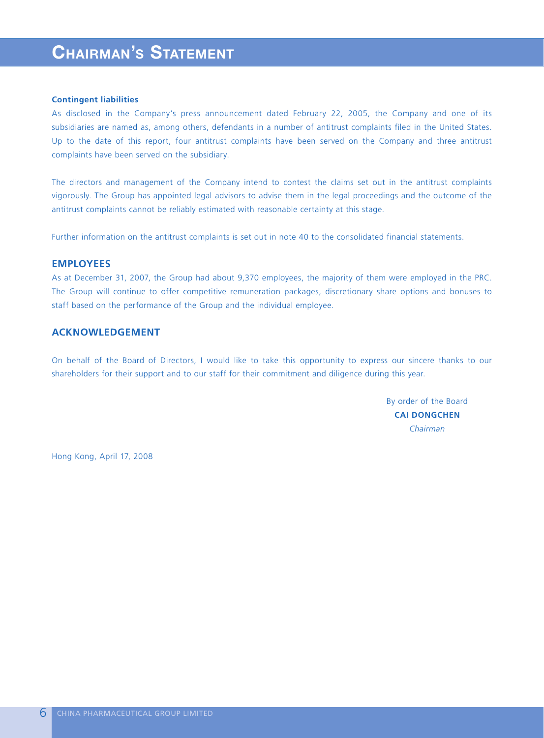# **CHAIRMAN'S STATEMENT**

### **Contingent liabilities**

As disclosed in the Company's press announcement dated February 22, 2005, the Company and one of its subsidiaries are named as, among others, defendants in a number of antitrust complaints filed in the United States. Up to the date of this report, four antitrust complaints have been served on the Company and three antitrust complaints have been served on the subsidiary.

The directors and management of the Company intend to contest the claims set out in the antitrust complaints vigorously. The Group has appointed legal advisors to advise them in the legal proceedings and the outcome of the antitrust complaints cannot be reliably estimated with reasonable certainty at this stage.

Further information on the antitrust complaints is set out in note 40 to the consolidated financial statements.

## **EMPLOYEES**

As at December 31, 2007, the Group had about 9,370 employees, the majority of them were employed in the PRC. The Group will continue to offer competitive remuneration packages, discretionary share options and bonuses to staff based on the performance of the Group and the individual employee.

# **ACKNOWLEDGEMENT**

On behalf of the Board of Directors, I would like to take this opportunity to express our sincere thanks to our shareholders for their support and to our staff for their commitment and diligence during this year.

> By order of the Board **CAI DONGCHEN** *Chairman*

Hong Kong, April 17, 2008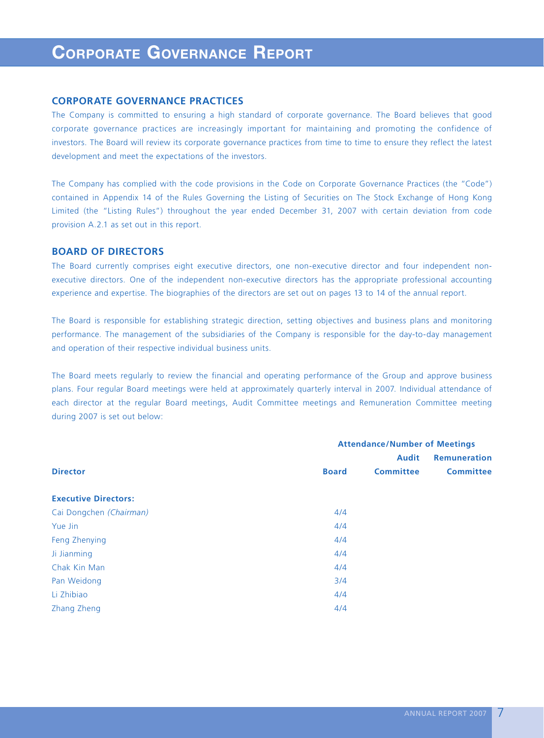# **CORPORATE GOVERNANCE REPORT**

## **CORPORATE GOVERNANCE PRACTICES**

The Company is committed to ensuring a high standard of corporate governance. The Board believes that good corporate governance practices are increasingly important for maintaining and promoting the confidence of investors. The Board will review its corporate governance practices from time to time to ensure they reflect the latest development and meet the expectations of the investors.

The Company has complied with the code provisions in the Code on Corporate Governance Practices (the "Code") contained in Appendix 14 of the Rules Governing the Listing of Securities on The Stock Exchange of Hong Kong Limited (the "Listing Rules") throughout the year ended December 31, 2007 with certain deviation from code provision A.2.1 as set out in this report.

## **BOARD OF DIRECTORS**

The Board currently comprises eight executive directors, one non-executive director and four independent nonexecutive directors. One of the independent non-executive directors has the appropriate professional accounting experience and expertise. The biographies of the directors are set out on pages 13 to 14 of the annual report.

The Board is responsible for establishing strategic direction, setting objectives and business plans and monitoring performance. The management of the subsidiaries of the Company is responsible for the day-to-day management and operation of their respective individual business units.

The Board meets regularly to review the financial and operating performance of the Group and approve business plans. Four regular Board meetings were held at approximately quarterly interval in 2007. Individual attendance of each director at the regular Board meetings, Audit Committee meetings and Remuneration Committee meeting during 2007 is set out below:

|                             | <b>Attendance/Number of Meetings</b> |                  |                     |  |  |
|-----------------------------|--------------------------------------|------------------|---------------------|--|--|
|                             |                                      | <b>Audit</b>     | <b>Remuneration</b> |  |  |
| <b>Director</b>             | <b>Board</b>                         | <b>Committee</b> | <b>Committee</b>    |  |  |
| <b>Executive Directors:</b> |                                      |                  |                     |  |  |
| Cai Dongchen (Chairman)     | 4/4                                  |                  |                     |  |  |
| Yue Jin                     | 4/4                                  |                  |                     |  |  |
| Feng Zhenying               | 4/4                                  |                  |                     |  |  |
| Ji Jianming                 | 4/4                                  |                  |                     |  |  |
| Chak Kin Man                | 4/4                                  |                  |                     |  |  |
| Pan Weidong                 | 3/4                                  |                  |                     |  |  |
| Li Zhibiao                  | 4/4                                  |                  |                     |  |  |
| Zhang Zheng                 | 4/4                                  |                  |                     |  |  |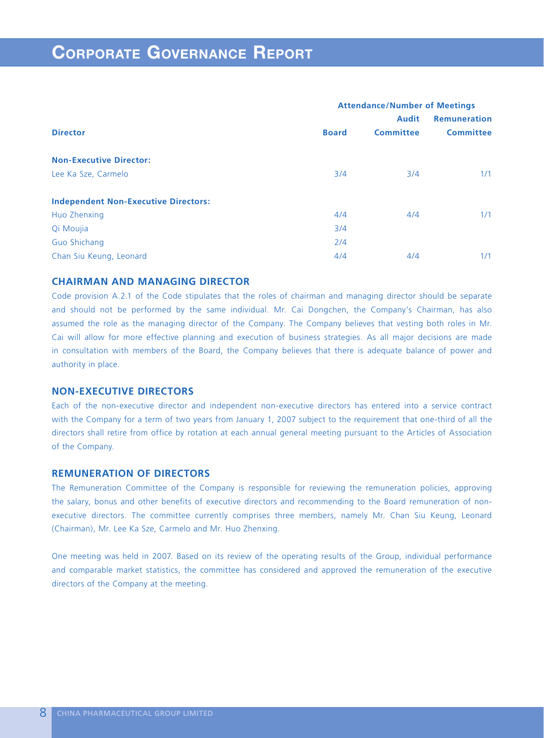|                                             | <b>Attendance/Number of Meetings</b> |                  |                     |  |  |
|---------------------------------------------|--------------------------------------|------------------|---------------------|--|--|
|                                             |                                      | <b>Audit</b>     | <b>Remuneration</b> |  |  |
| <b>Director</b>                             | <b>Board</b>                         | <b>Committee</b> | <b>Committee</b>    |  |  |
| <b>Non-Executive Director:</b>              |                                      |                  |                     |  |  |
| Lee Ka Sze, Carmelo                         | 3/4                                  | 3/4              | 1/1                 |  |  |
| <b>Independent Non-Executive Directors:</b> |                                      |                  |                     |  |  |
| Huo Zhenxing                                | 4/4                                  | 4/4              | 1/1                 |  |  |
| Qi Moujia                                   | 3/4                                  |                  |                     |  |  |
| Guo Shichang                                | 2/4                                  |                  |                     |  |  |
| Chan Siu Keung, Leonard                     | 4/4                                  | 4/4              | 1/1                 |  |  |

# **CHAIRMAN AND MANAGING DIRECTOR**

Code provision A.2.1 of the Code stipulates that the roles of chairman and managing director should be separate and should not be performed by the same individual. Mr. Cai Dongchen, the Company's Chairman, has also assumed the role as the managing director of the Company. The Company believes that vesting both roles in Mr. Cai will allow for more effective planning and execution of business strategies. As all major decisions are made in consultation with members of the Board, the Company believes that there is adequate balance of power and authority in place.

# **NON-EXECUTIVE DIRECTORS**

Each of the non-executive director and independent non-executive directors has entered into a service contract with the Company for a term of two years from January 1, 2007 subject to the requirement that one-third of all the directors shall retire from office by rotation at each annual general meeting pursuant to the Articles of Association of the Company.

# **REMUNERATION OF DIRECTORS**

The Remuneration Committee of the Company is responsible for reviewing the remuneration policies, approving the salary, bonus and other benefits of executive directors and recommending to the Board remuneration of nonexecutive directors. The committee currently comprises three members, namely Mr. Chan Siu Keung, Leonard (Chairman), Mr. Lee Ka Sze, Carmelo and Mr. Huo Zhenxing.

One meeting was held in 2007. Based on its review of the operating results of the Group, individual performance and comparable market statistics, the committee has considered and approved the remuneration of the executive directors of the Company at the meeting.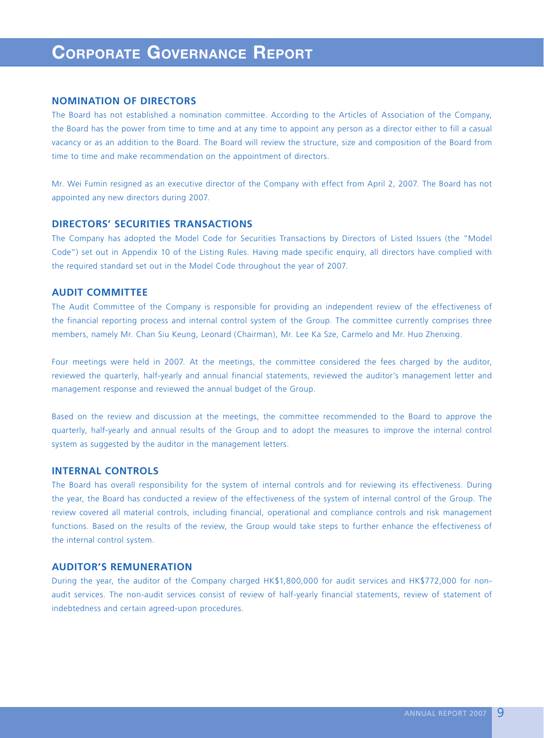# **CORPORATE GOVERNANCE REPORT**

## **NOMINATION OF DIRECTORS**

The Board has not established a nomination committee. According to the Articles of Association of the Company, the Board has the power from time to time and at any time to appoint any person as a director either to fill a casual vacancy or as an addition to the Board. The Board will review the structure, size and composition of the Board from time to time and make recommendation on the appointment of directors.

Mr. Wei Fumin resigned as an executive director of the Company with effect from April 2, 2007. The Board has not appointed any new directors during 2007.

## **DIRECTORS' SECURITIES TRANSACTIONS**

The Company has adopted the Model Code for Securities Transactions by Directors of Listed Issuers (the "Model Code") set out in Appendix 10 of the Listing Rules. Having made specific enquiry, all directors have complied with the required standard set out in the Model Code throughout the year of 2007.

## **AUDIT COMMITTEE**

The Audit Committee of the Company is responsible for providing an independent review of the effectiveness of the financial reporting process and internal control system of the Group. The committee currently comprises three members, namely Mr. Chan Siu Keung, Leonard (Chairman), Mr. Lee Ka Sze, Carmelo and Mr. Huo Zhenxing.

Four meetings were held in 2007. At the meetings, the committee considered the fees charged by the auditor, reviewed the quarterly, half-yearly and annual financial statements, reviewed the auditor's management letter and management response and reviewed the annual budget of the Group.

Based on the review and discussion at the meetings, the committee recommended to the Board to approve the quarterly, half-yearly and annual results of the Group and to adopt the measures to improve the internal control system as suggested by the auditor in the management letters.

## **INTERNAL CONTROLS**

The Board has overall responsibility for the system of internal controls and for reviewing its effectiveness. During the year, the Board has conducted a review of the effectiveness of the system of internal control of the Group. The review covered all material controls, including financial, operational and compliance controls and risk management functions. Based on the results of the review, the Group would take steps to further enhance the effectiveness of the internal control system.

## **AUDITOR'S REMUNERATION**

During the year, the auditor of the Company charged HK\$1,800,000 for audit services and HK\$772,000 for nonaudit services. The non-audit services consist of review of half-yearly financial statements, review of statement of indebtedness and certain agreed-upon procedures.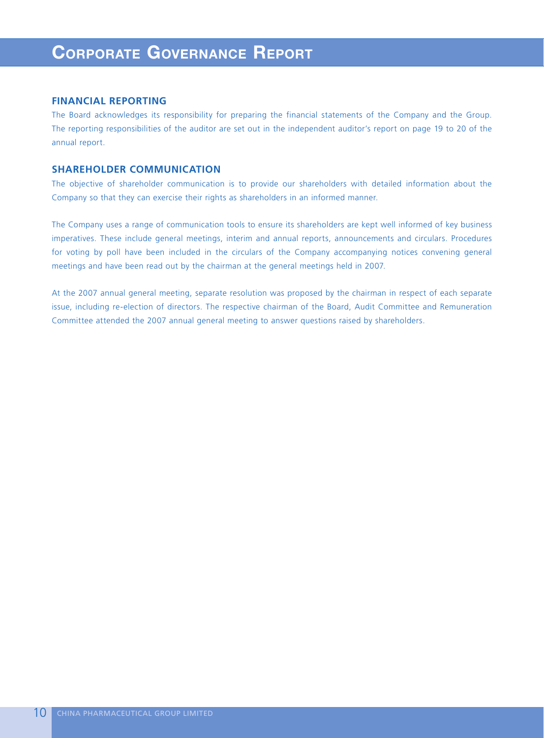## **FINANCIAL REPORTING**

The Board acknowledges its responsibility for preparing the financial statements of the Company and the Group. The reporting responsibilities of the auditor are set out in the independent auditor's report on page 19 to 20 of the annual report.

# **SHAREHOLDER COMMUNICATION**

The objective of shareholder communication is to provide our shareholders with detailed information about the Company so that they can exercise their rights as shareholders in an informed manner.

The Company uses a range of communication tools to ensure its shareholders are kept well informed of key business imperatives. These include general meetings, interim and annual reports, announcements and circulars. Procedures for voting by poll have been included in the circulars of the Company accompanying notices convening general meetings and have been read out by the chairman at the general meetings held in 2007.

At the 2007 annual general meeting, separate resolution was proposed by the chairman in respect of each separate issue, including re-election of directors. The respective chairman of the Board, Audit Committee and Remuneration Committee attended the 2007 annual general meeting to answer questions raised by shareholders.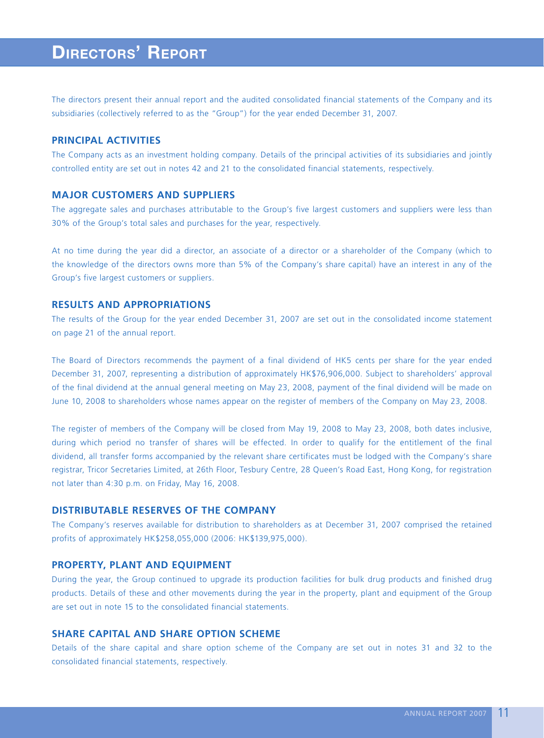The directors present their annual report and the audited consolidated financial statements of the Company and its subsidiaries (collectively referred to as the "Group") for the year ended December 31, 2007.

## **PRINCIPAL ACTIVITIES**

The Company acts as an investment holding company. Details of the principal activities of its subsidiaries and jointly controlled entity are set out in notes 42 and 21 to the consolidated financial statements, respectively.

## **MAJOR CUSTOMERS AND SUPPLIERS**

The aggregate sales and purchases attributable to the Group's five largest customers and suppliers were less than 30% of the Group's total sales and purchases for the year, respectively.

At no time during the year did a director, an associate of a director or a shareholder of the Company (which to the knowledge of the directors owns more than 5% of the Company's share capital) have an interest in any of the Group's five largest customers or suppliers.

# **RESULTS AND APPROPRIATIONS**

The results of the Group for the year ended December 31, 2007 are set out in the consolidated income statement on page 21 of the annual report.

The Board of Directors recommends the payment of a final dividend of HK5 cents per share for the year ended December 31, 2007, representing a distribution of approximately HK\$76,906,000. Subject to shareholders' approval of the final dividend at the annual general meeting on May 23, 2008, payment of the final dividend will be made on June 10, 2008 to shareholders whose names appear on the register of members of the Company on May 23, 2008.

The register of members of the Company will be closed from May 19, 2008 to May 23, 2008, both dates inclusive, during which period no transfer of shares will be effected. In order to qualify for the entitlement of the final dividend, all transfer forms accompanied by the relevant share certificates must be lodged with the Company's share registrar, Tricor Secretaries Limited, at 26th Floor, Tesbury Centre, 28 Queen's Road East, Hong Kong, for registration not later than 4:30 p.m. on Friday, May 16, 2008.

## **DISTRIBUTABLE RESERVES OF THE COMPANY**

The Company's reserves available for distribution to shareholders as at December 31, 2007 comprised the retained profits of approximately HK\$258,055,000 (2006: HK\$139,975,000).

## **PROPERTY, PLANT AND EQUIPMENT**

During the year, the Group continued to upgrade its production facilities for bulk drug products and finished drug products. Details of these and other movements during the year in the property, plant and equipment of the Group are set out in note 15 to the consolidated financial statements.

# **SHARE CAPITAL AND SHARE OPTION SCHEME**

Details of the share capital and share option scheme of the Company are set out in notes 31 and 32 to the consolidated financial statements, respectively.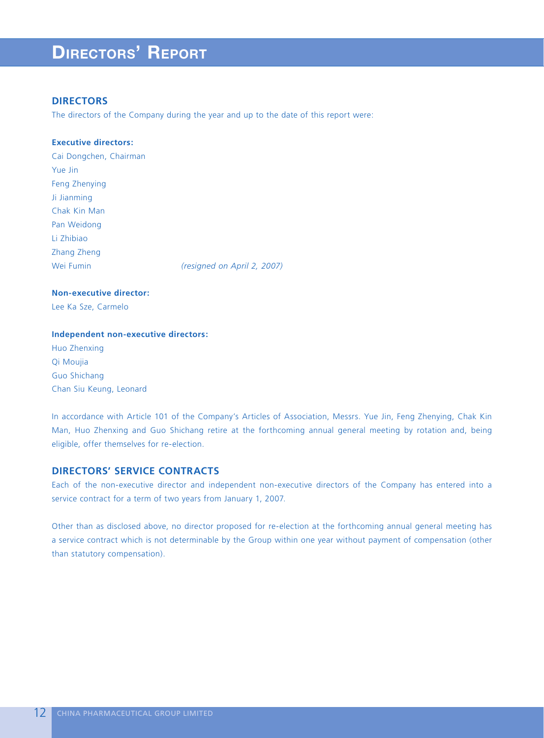# **DIRECTORS**

The directors of the Company during the year and up to the date of this report were:

## **Executive directors:**

Cai Dongchen, Chairman Yue Jin Feng Zhenying Ji Jianming Chak Kin Man Pan Weidong Li Zhibiao Zhang Zheng Wei Fumin *(resigned on April 2, 2007)*

**Non-executive director:** Lee Ka Sze, Carmelo

### **Independent non-executive directors:**

Huo Zhenxing Qi Moujia Guo Shichang Chan Siu Keung, Leonard

In accordance with Article 101 of the Company's Articles of Association, Messrs. Yue Jin, Feng Zhenying, Chak Kin Man, Huo Zhenxing and Guo Shichang retire at the forthcoming annual general meeting by rotation and, being eligible, offer themselves for re-election.

# **DIRECTORS' SERVICE CONTRACTS**

Each of the non-executive director and independent non-executive directors of the Company has entered into a service contract for a term of two years from January 1, 2007.

Other than as disclosed above, no director proposed for re-election at the forthcoming annual general meeting has a service contract which is not determinable by the Group within one year without payment of compensation (other than statutory compensation).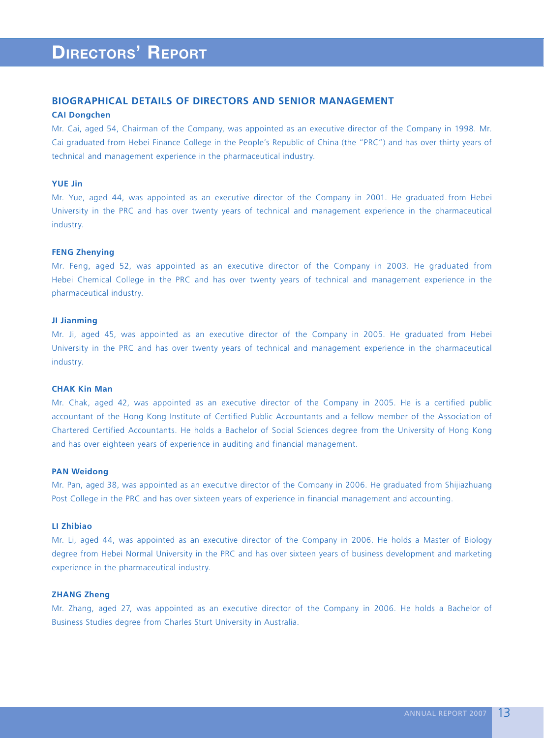# **BIOGRAPHICAL DETAILS OF DIRECTORS AND SENIOR MANAGEMENT**

### **CAI Dongchen**

Mr. Cai, aged 54, Chairman of the Company, was appointed as an executive director of the Company in 1998. Mr. Cai graduated from Hebei Finance College in the People's Republic of China (the "PRC") and has over thirty years of technical and management experience in the pharmaceutical industry.

## **YUE Jin**

Mr. Yue, aged 44, was appointed as an executive director of the Company in 2001. He graduated from Hebei University in the PRC and has over twenty years of technical and management experience in the pharmaceutical industry.

### **FENG Zhenying**

Mr. Feng, aged 52, was appointed as an executive director of the Company in 2003. He graduated from Hebei Chemical College in the PRC and has over twenty years of technical and management experience in the pharmaceutical industry.

### **JI Jianming**

Mr. Ji, aged 45, was appointed as an executive director of the Company in 2005. He graduated from Hebei University in the PRC and has over twenty years of technical and management experience in the pharmaceutical industry.

### **CHAK Kin Man**

Mr. Chak, aged 42, was appointed as an executive director of the Company in 2005. He is a certified public accountant of the Hong Kong Institute of Certified Public Accountants and a fellow member of the Association of Chartered Certified Accountants. He holds a Bachelor of Social Sciences degree from the University of Hong Kong and has over eighteen years of experience in auditing and financial management.

### **PAN Weidong**

Mr. Pan, aged 38, was appointed as an executive director of the Company in 2006. He graduated from Shijiazhuang Post College in the PRC and has over sixteen years of experience in financial management and accounting.

## **LI Zhibiao**

Mr. Li, aged 44, was appointed as an executive director of the Company in 2006. He holds a Master of Biology degree from Hebei Normal University in the PRC and has over sixteen years of business development and marketing experience in the pharmaceutical industry.

### **ZHANG Zheng**

Mr. Zhang, aged 27, was appointed as an executive director of the Company in 2006. He holds a Bachelor of Business Studies degree from Charles Sturt University in Australia.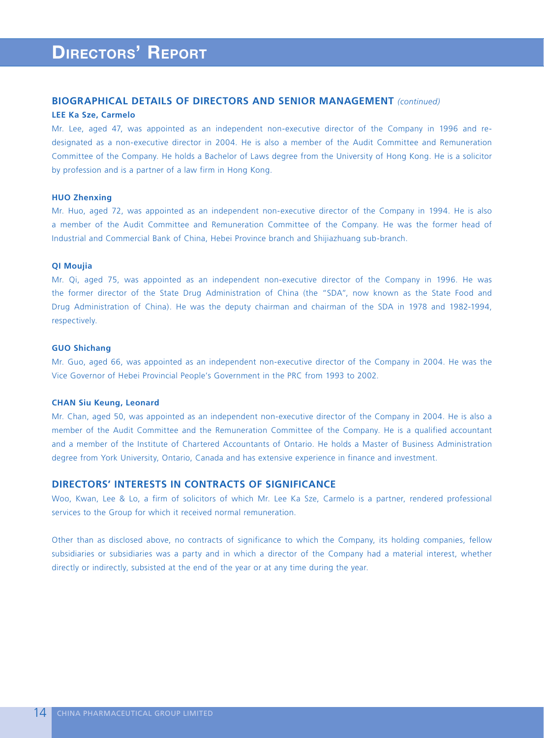## **BIOGRAPHICAL DETAILS OF DIRECTORS AND SENIOR MANAGEMENT** *(continued)*

### **LEE Ka Sze, Carmelo**

Mr. Lee, aged 47, was appointed as an independent non-executive director of the Company in 1996 and redesignated as a non-executive director in 2004. He is also a member of the Audit Committee and Remuneration Committee of the Company. He holds a Bachelor of Laws degree from the University of Hong Kong. He is a solicitor by profession and is a partner of a law firm in Hong Kong.

## **HUO Zhenxing**

Mr. Huo, aged 72, was appointed as an independent non-executive director of the Company in 1994. He is also a member of the Audit Committee and Remuneration Committee of the Company. He was the former head of Industrial and Commercial Bank of China, Hebei Province branch and Shijiazhuang sub-branch.

### **QI Moujia**

Mr. Qi, aged 75, was appointed as an independent non-executive director of the Company in 1996. He was the former director of the State Drug Administration of China (the "SDA", now known as the State Food and Drug Administration of China). He was the deputy chairman and chairman of the SDA in 1978 and 1982-1994, respectively.

### **GUO Shichang**

Mr. Guo, aged 66, was appointed as an independent non-executive director of the Company in 2004. He was the Vice Governor of Hebei Provincial People's Government in the PRC from 1993 to 2002.

### **CHAN Siu Keung, Leonard**

Mr. Chan, aged 50, was appointed as an independent non-executive director of the Company in 2004. He is also a member of the Audit Committee and the Remuneration Committee of the Company. He is a qualified accountant and a member of the Institute of Chartered Accountants of Ontario. He holds a Master of Business Administration degree from York University, Ontario, Canada and has extensive experience in finance and investment.

## **DIRECTORS' INTERESTS IN CONTRACTS OF SIGNIFICANCE**

Woo, Kwan, Lee & Lo, a firm of solicitors of which Mr. Lee Ka Sze, Carmelo is a partner, rendered professional services to the Group for which it received normal remuneration.

Other than as disclosed above, no contracts of significance to which the Company, its holding companies, fellow subsidiaries or subsidiaries was a party and in which a director of the Company had a material interest, whether directly or indirectly, subsisted at the end of the year or at any time during the year.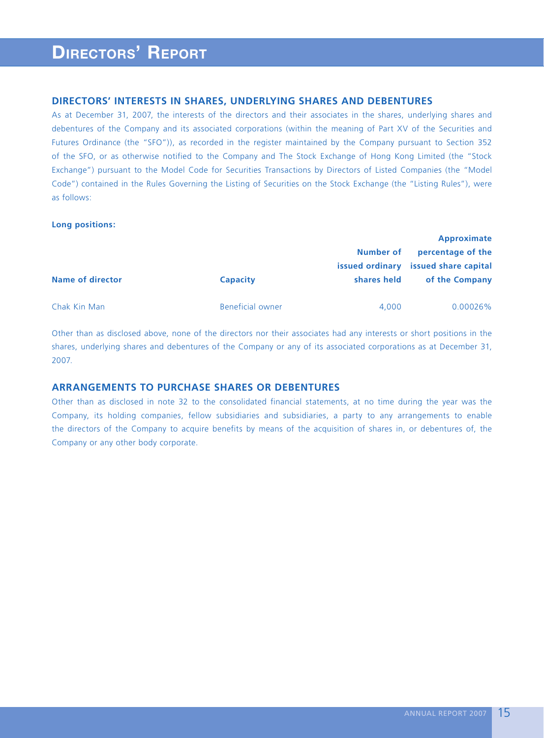## **DIRECTORS' INTERESTS IN SHARES, UNDERLYING SHARES AND DEBENTURES**

As at December 31, 2007, the interests of the directors and their associates in the shares, underlying shares and debentures of the Company and its associated corporations (within the meaning of Part XV of the Securities and Futures Ordinance (the "SFO")), as recorded in the register maintained by the Company pursuant to Section 352 of the SFO, or as otherwise notified to the Company and The Stock Exchange of Hong Kong Limited (the "Stock Exchange") pursuant to the Model Code for Securities Transactions by Directors of Listed Companies (the "Model Code") contained in the Rules Governing the Listing of Securities on the Stock Exchange (the "Listing Rules"), were as follows:

## **Long positions:**

|                         |                  | Number of   | Approximate<br>percentage of the<br>issued ordinary issued share capital |
|-------------------------|------------------|-------------|--------------------------------------------------------------------------|
| <b>Name of director</b> | <b>Capacity</b>  | shares held | of the Company                                                           |
| Chak Kin Man            | Beneficial owner | 4.000       | $0.00026\%$                                                              |

Other than as disclosed above, none of the directors nor their associates had any interests or short positions in the shares, underlying shares and debentures of the Company or any of its associated corporations as at December 31, 2007.

# **ARRANGEMENTS TO PURCHASE SHARES OR DEBENTURES**

Other than as disclosed in note 32 to the consolidated financial statements, at no time during the year was the Company, its holding companies, fellow subsidiaries and subsidiaries, a party to any arrangements to enable the directors of the Company to acquire benefits by means of the acquisition of shares in, or debentures of, the Company or any other body corporate.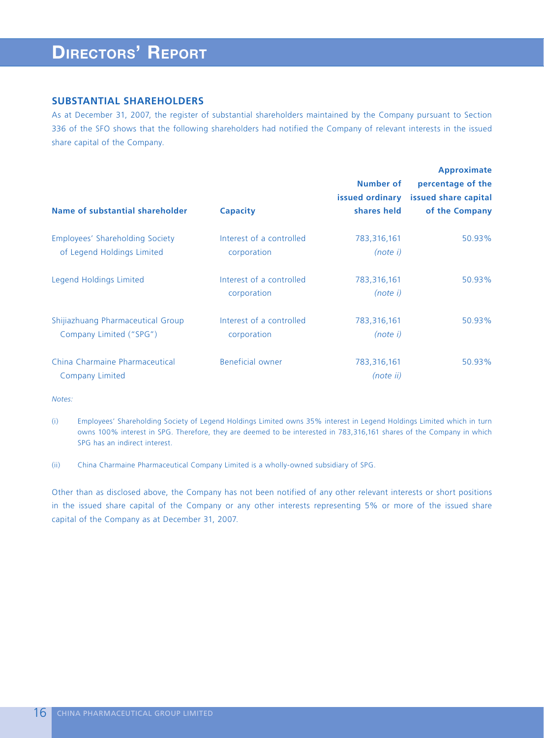## **SUBSTANTIAL SHAREHOLDERS**

As at December 31, 2007, the register of substantial shareholders maintained by the Company pursuant to Section 336 of the SFO shows that the following shareholders had notified the Company of relevant interests in the issued share capital of the Company.

| Name of substantial shareholder                               | <b>Capacity</b>                         | Number of<br>issued ordinary<br>shares held | <b>Approximate</b><br>percentage of the<br>issued share capital<br>of the Company |
|---------------------------------------------------------------|-----------------------------------------|---------------------------------------------|-----------------------------------------------------------------------------------|
| Employees' Shareholding Society<br>of Legend Holdings Limited | Interest of a controlled<br>corporation | 783,316,161<br>(note i)                     | 50.93%                                                                            |
| Legend Holdings Limited                                       | Interest of a controlled<br>corporation | 783,316,161<br>(note i)                     | 50.93%                                                                            |
| Shijiazhuang Pharmaceutical Group<br>Company Limited ("SPG")  | Interest of a controlled<br>corporation | 783,316,161<br>(note i)                     | 50.93%                                                                            |
| China Charmaine Pharmaceutical<br><b>Company Limited</b>      | Beneficial owner                        | 783,316,161<br>(note ii)                    | 50.93%                                                                            |

*Notes:*

(i) Employees' Shareholding Society of Legend Holdings Limited owns 35% interest in Legend Holdings Limited which in turn owns 100% interest in SPG. Therefore, they are deemed to be interested in 783,316,161 shares of the Company in which SPG has an indirect interest.

(ii) China Charmaine Pharmaceutical Company Limited is a wholly-owned subsidiary of SPG.

Other than as disclosed above, the Company has not been notified of any other relevant interests or short positions in the issued share capital of the Company or any other interests representing 5% or more of the issued share capital of the Company as at December 31, 2007.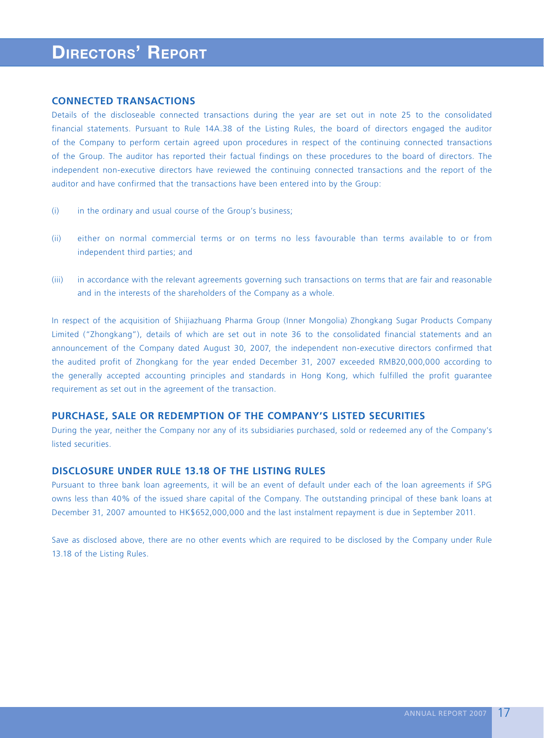## **CONNECTED TRANSACTIONS**

Details of the discloseable connected transactions during the year are set out in note 25 to the consolidated financial statements. Pursuant to Rule 14A.38 of the Listing Rules, the board of directors engaged the auditor of the Company to perform certain agreed upon procedures in respect of the continuing connected transactions of the Group. The auditor has reported their factual findings on these procedures to the board of directors. The independent non-executive directors have reviewed the continuing connected transactions and the report of the auditor and have confirmed that the transactions have been entered into by the Group:

- (i) in the ordinary and usual course of the Group's business;
- (ii) either on normal commercial terms or on terms no less favourable than terms available to or from independent third parties; and
- (iii) in accordance with the relevant agreements governing such transactions on terms that are fair and reasonable and in the interests of the shareholders of the Company as a whole.

In respect of the acquisition of Shijiazhuang Pharma Group (Inner Mongolia) Zhongkang Sugar Products Company Limited ("Zhongkang"), details of which are set out in note 36 to the consolidated financial statements and an announcement of the Company dated August 30, 2007, the independent non-executive directors confirmed that the audited profit of Zhongkang for the year ended December 31, 2007 exceeded RMB20,000,000 according to the generally accepted accounting principles and standards in Hong Kong, which fulfilled the profit guarantee requirement as set out in the agreement of the transaction.

# **PURCHASE, SALE OR REDEMPTION OF THE COMPANY'S LISTED SECURITIES**

During the year, neither the Company nor any of its subsidiaries purchased, sold or redeemed any of the Company's listed securities.

# **DISCLOSURE UNDER RULE 13.18 OF THE LISTING RULES**

Pursuant to three bank loan agreements, it will be an event of default under each of the loan agreements if SPG owns less than 40% of the issued share capital of the Company. The outstanding principal of these bank loans at December 31, 2007 amounted to HK\$652,000,000 and the last instalment repayment is due in September 2011.

Save as disclosed above, there are no other events which are required to be disclosed by the Company under Rule 13.18 of the Listing Rules.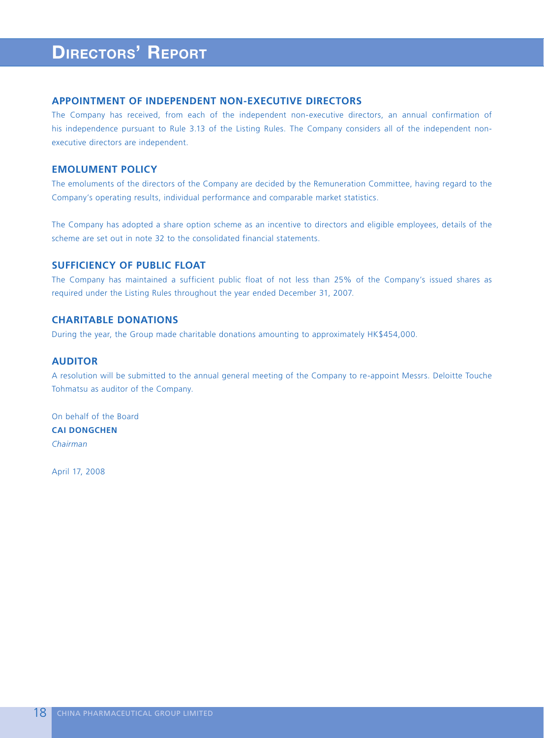## **APPOINTMENT OF INDEPENDENT NON-EXECUTIVE DIRECTORS**

The Company has received, from each of the independent non-executive directors, an annual confirmation of his independence pursuant to Rule 3.13 of the Listing Rules. The Company considers all of the independent nonexecutive directors are independent.

# **EMOLUMENT POLICY**

The emoluments of the directors of the Company are decided by the Remuneration Committee, having regard to the Company's operating results, individual performance and comparable market statistics.

The Company has adopted a share option scheme as an incentive to directors and eligible employees, details of the scheme are set out in note 32 to the consolidated financial statements.

# **SUFFICIENCY OF PUBLIC FLOAT**

The Company has maintained a sufficient public float of not less than 25% of the Company's issued shares as required under the Listing Rules throughout the year ended December 31, 2007.

# **CHARITABLE DONATIONS**

During the year, the Group made charitable donations amounting to approximately HK\$454,000.

# **AUDITOR**

A resolution will be submitted to the annual general meeting of the Company to re-appoint Messrs. Deloitte Touche Tohmatsu as auditor of the Company.

On behalf of the Board **CAI DONGCHEN** *Chairman*

April 17, 2008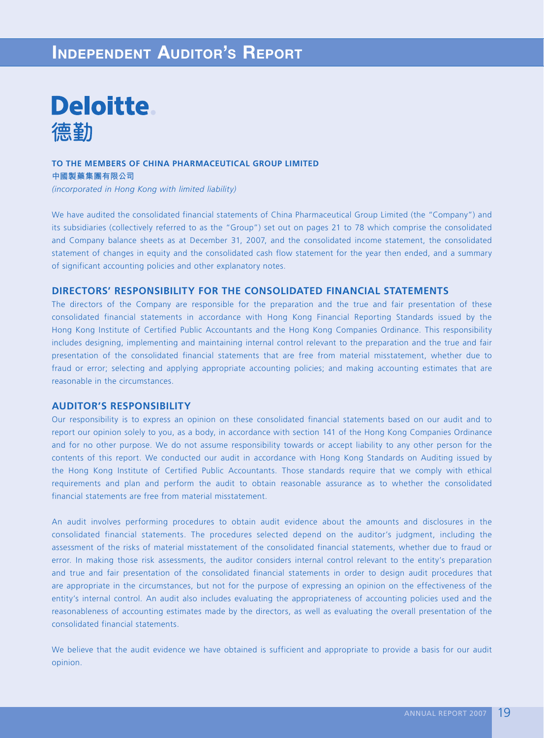# **INDEPENDENT AUDITOR'S REPORT**



## **TO THE MEMBERS OF CHINA PHARMACEUTICAL GROUP LIMITED 中國製藥集團有限公司**

*(incorporated in Hong Kong with limited liability)*

We have audited the consolidated financial statements of China Pharmaceutical Group Limited (the "Company") and its subsidiaries (collectively referred to as the "Group") set out on pages 21 to 78 which comprise the consolidated and Company balance sheets as at December 31, 2007, and the consolidated income statement, the consolidated statement of changes in equity and the consolidated cash flow statement for the year then ended, and a summary of significant accounting policies and other explanatory notes.

# **DIRECTORS' RESPONSIBILITY FOR THE CONSOLIDATED FINANCIAL STATEMENTS**

The directors of the Company are responsible for the preparation and the true and fair presentation of these consolidated financial statements in accordance with Hong Kong Financial Reporting Standards issued by the Hong Kong Institute of Certified Public Accountants and the Hong Kong Companies Ordinance. This responsibility includes designing, implementing and maintaining internal control relevant to the preparation and the true and fair presentation of the consolidated financial statements that are free from material misstatement, whether due to fraud or error; selecting and applying appropriate accounting policies; and making accounting estimates that are reasonable in the circumstances.

## **AUDITOR'S RESPONSIBILITY**

Our responsibility is to express an opinion on these consolidated financial statements based on our audit and to report our opinion solely to you, as a body, in accordance with section 141 of the Hong Kong Companies Ordinance and for no other purpose. We do not assume responsibility towards or accept liability to any other person for the contents of this report. We conducted our audit in accordance with Hong Kong Standards on Auditing issued by the Hong Kong Institute of Certified Public Accountants. Those standards require that we comply with ethical requirements and plan and perform the audit to obtain reasonable assurance as to whether the consolidated financial statements are free from material misstatement.

An audit involves performing procedures to obtain audit evidence about the amounts and disclosures in the consolidated financial statements. The procedures selected depend on the auditor's judgment, including the assessment of the risks of material misstatement of the consolidated financial statements, whether due to fraud or error. In making those risk assessments, the auditor considers internal control relevant to the entity's preparation and true and fair presentation of the consolidated financial statements in order to design audit procedures that are appropriate in the circumstances, but not for the purpose of expressing an opinion on the effectiveness of the entity's internal control. An audit also includes evaluating the appropriateness of accounting policies used and the reasonableness of accounting estimates made by the directors, as well as evaluating the overall presentation of the consolidated financial statements.

We believe that the audit evidence we have obtained is sufficient and appropriate to provide a basis for our audit opinion.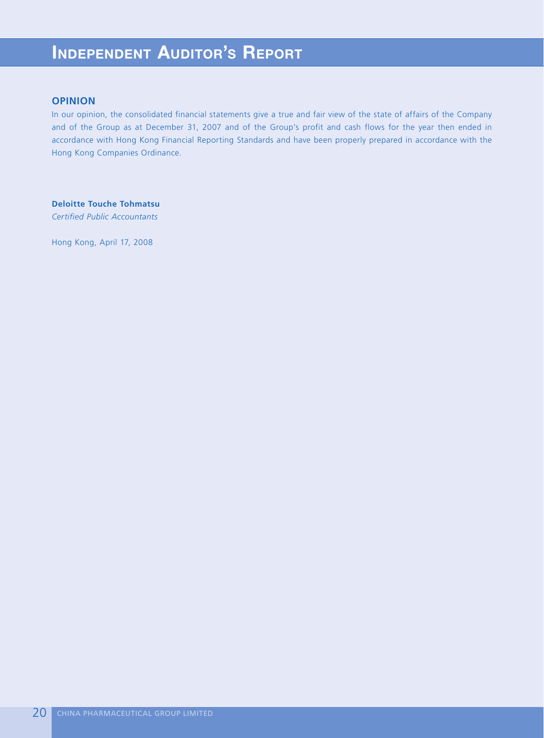# **INDEPENDENT AUDITOR'S REPORT**

## **OPINION**

In our opinion, the consolidated financial statements give a true and fair view of the state of affairs of the Company and of the Group as at December 31, 2007 and of the Group's profit and cash flows for the year then ended in accordance with Hong Kong Financial Reporting Standards and have been properly prepared in accordance with the Hong Kong Companies Ordinance.

**Deloitte Touche Tohmatsu** *Certified Public Accountants*

Hong Kong, April 17, 2008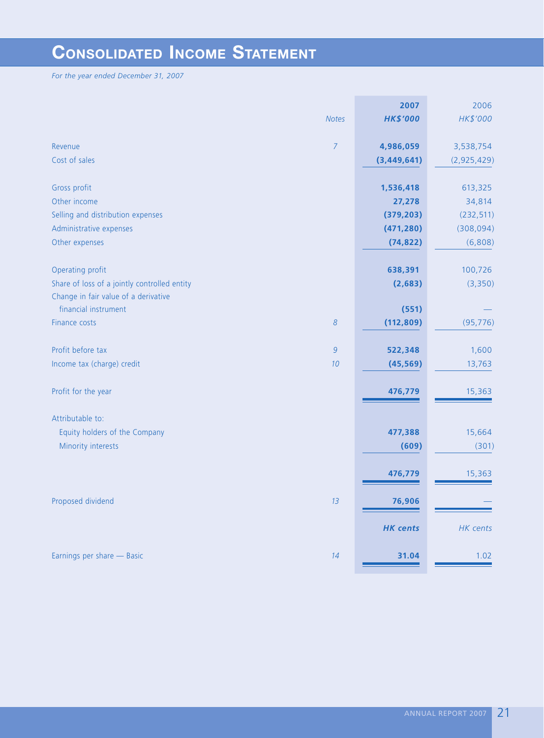# **CONSOLIDATED INCOME STATEMENT**

*For the year ended December 31, 2007*

|                                              |                | 2007            | 2006        |
|----------------------------------------------|----------------|-----------------|-------------|
|                                              | <b>Notes</b>   | <b>HK\$'000</b> | HK\$'000    |
| Revenue                                      | $\overline{7}$ | 4,986,059       | 3,538,754   |
| Cost of sales                                |                | (3,449,641)     | (2,925,429) |
| Gross profit                                 |                | 1,536,418       | 613,325     |
| Other income                                 |                | 27,278          | 34,814      |
| Selling and distribution expenses            |                | (379, 203)      | (232, 511)  |
| Administrative expenses                      |                | (471, 280)      | (308, 094)  |
| Other expenses                               |                | (74, 822)       | (6,808)     |
|                                              |                |                 |             |
| Operating profit                             |                | 638,391         | 100,726     |
| Share of loss of a jointly controlled entity |                | (2,683)         | (3,350)     |
| Change in fair value of a derivative         |                |                 |             |
| financial instrument                         |                | (551)           |             |
| Finance costs                                | 8              | (112, 809)      | (95, 776)   |
| Profit before tax                            | $\overline{9}$ | 522,348         | 1,600       |
| Income tax (charge) credit                   | 10             | (45, 569)       | 13,763      |
| Profit for the year                          |                | 476,779         | 15,363      |
| Attributable to:                             |                |                 |             |
| Equity holders of the Company                |                | 477,388         | 15,664      |
| Minority interests                           |                | (609)           | (301)       |
|                                              |                | 476,779         | 15,363      |
| Proposed dividend                            | 13             | 76,906          |             |
|                                              |                | <b>HK</b> cents | HK cents    |
| Earnings per share - Basic                   | 14             | 31.04           | 1.02        |
|                                              |                |                 |             |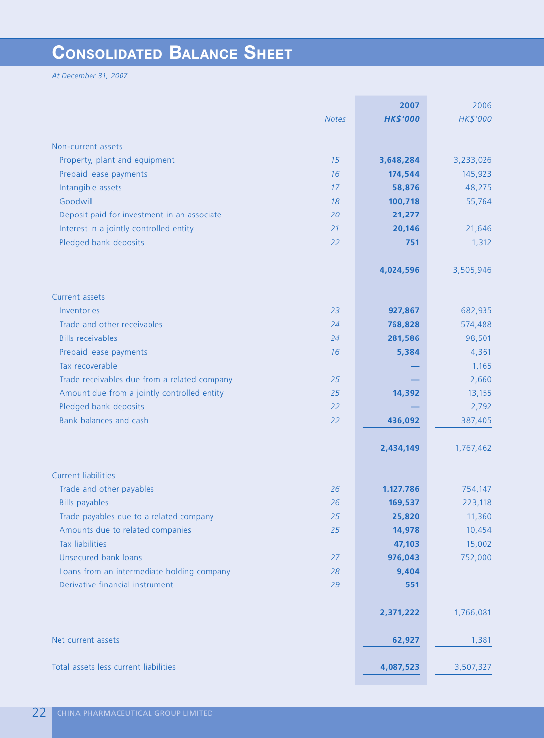# **CONSOLIDATED BALANCE SHEET**

*At December 31, 2007*

|                                                    | 2007            | 2006      |
|----------------------------------------------------|-----------------|-----------|
| <b>Notes</b>                                       | <b>HK\$'000</b> | HK\$'000  |
|                                                    |                 |           |
| Non-current assets                                 |                 |           |
| Property, plant and equipment<br>15                | 3,648,284       | 3,233,026 |
| 16<br>Prepaid lease payments                       | 174,544         | 145,923   |
| Intangible assets<br>17                            | 58,876          | 48,275    |
| Goodwill<br>18                                     | 100,718         | 55,764    |
| Deposit paid for investment in an associate<br>20  | 21,277          |           |
| Interest in a jointly controlled entity<br>21      | 20,146          | 21,646    |
| Pledged bank deposits<br>22                        | 751             | 1,312     |
|                                                    |                 |           |
|                                                    | 4,024,596       | 3,505,946 |
| Current assets                                     |                 |           |
| Inventories<br>23                                  | 927,867         | 682,935   |
| Trade and other receivables<br>24                  | 768,828         | 574,488   |
| <b>Bills receivables</b><br>24                     | 281,586         | 98,501    |
| Prepaid lease payments<br>16                       | 5,384           | 4,361     |
| Tax recoverable                                    |                 | 1,165     |
| Trade receivables due from a related company<br>25 |                 | 2,660     |
| 25<br>Amount due from a jointly controlled entity  | 14,392          | 13,155    |
| Pledged bank deposits<br>22                        |                 | 2,792     |
| Bank balances and cash<br>22                       | 436,092         | 387,405   |
|                                                    |                 |           |
|                                                    | 2,434,149       | 1,767,462 |
| <b>Current liabilities</b>                         |                 |           |
| Trade and other payables<br>26                     | 1,127,786       | 754,147   |
| <b>Bills payables</b><br>26                        | 169,537         | 223,118   |
| Trade payables due to a related company<br>25      | 25,820          | 11,360    |
| Amounts due to related companies<br>25             | 14,978          | 10,454    |
| <b>Tax liabilities</b>                             | 47,103          | 15,002    |
| Unsecured bank loans<br>27                         | 976,043         | 752,000   |
| Loans from an intermediate holding company<br>28   | 9,404           |           |
| Derivative financial instrument<br>29              | 551             |           |
|                                                    |                 |           |
|                                                    | 2,371,222       | 1,766,081 |
|                                                    |                 |           |
| Net current assets                                 | 62,927          | 1,381     |
| Total assets less current liabilities              | 4,087,523       | 3,507,327 |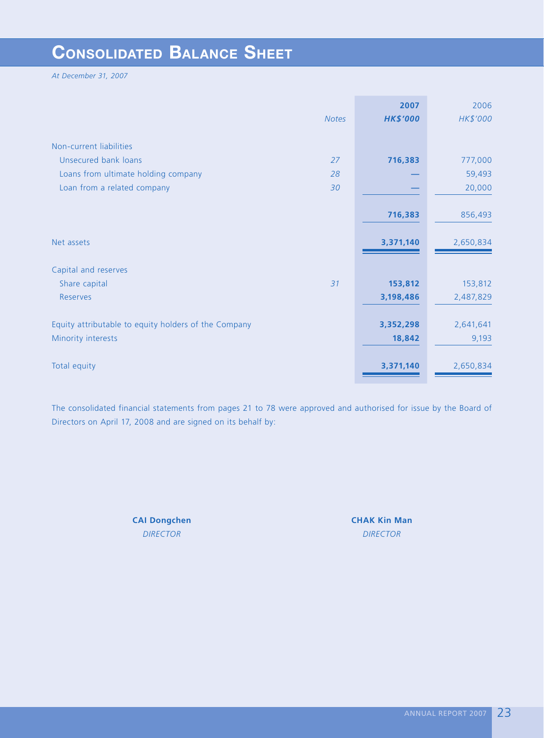# **CONSOLIDATED BALANCE SHEET**

*At December 31, 2007*

|                                                      |              | 2007            | 2006      |
|------------------------------------------------------|--------------|-----------------|-----------|
|                                                      | <b>Notes</b> | <b>HK\$'000</b> | HK\$'000  |
|                                                      |              |                 |           |
| Non-current liabilities                              |              |                 |           |
| Unsecured bank loans                                 | 27           | 716,383         | 777,000   |
| Loans from ultimate holding company                  | 28           |                 | 59,493    |
| Loan from a related company                          | 30           |                 | 20,000    |
|                                                      |              |                 |           |
|                                                      |              | 716,383         | 856,493   |
|                                                      |              |                 |           |
| Net assets                                           |              | 3,371,140       | 2,650,834 |
|                                                      |              |                 |           |
| Capital and reserves                                 |              |                 |           |
| Share capital                                        | 31           | 153,812         | 153,812   |
| <b>Reserves</b>                                      |              | 3,198,486       | 2,487,829 |
|                                                      |              |                 |           |
| Equity attributable to equity holders of the Company |              | 3,352,298       | 2,641,641 |
| Minority interests                                   |              | 18,842          | 9,193     |
|                                                      |              |                 |           |
| Total equity                                         |              | 3,371,140       | 2,650,834 |
|                                                      |              |                 |           |

The consolidated financial statements from pages 21 to 78 were approved and authorised for issue by the Board of Directors on April 17, 2008 and are signed on its behalf by:

**CAI Dongchen CHAK Kin Man**

*DIRECTOR DIRECTOR*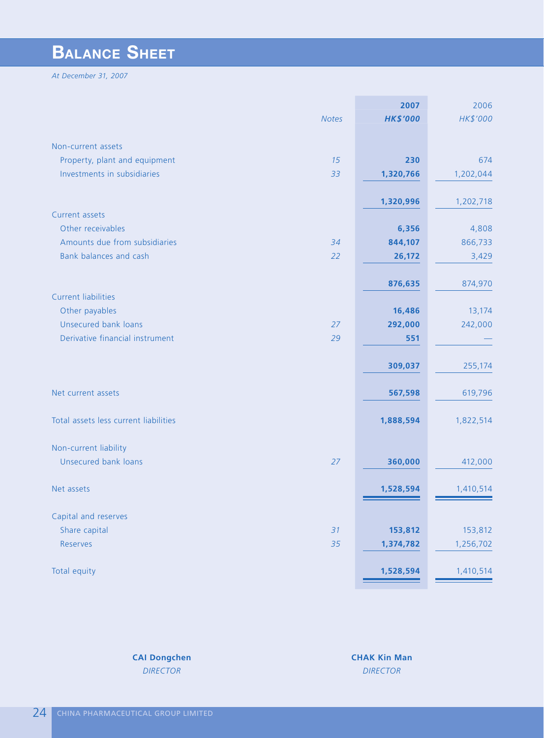# **BALANCE SHEET**

*At December 31, 2007*

|                                       | 2007            | 2006      |
|---------------------------------------|-----------------|-----------|
| <b>Notes</b>                          | <b>HK\$'000</b> | HK\$'000  |
|                                       |                 |           |
| Non-current assets                    |                 |           |
| Property, plant and equipment<br>15   | 230             | 674       |
| Investments in subsidiaries<br>33     | 1,320,766       | 1,202,044 |
|                                       |                 |           |
|                                       | 1,320,996       | 1,202,718 |
| Current assets                        |                 |           |
| Other receivables                     | 6,356           | 4,808     |
| Amounts due from subsidiaries<br>34   | 844,107         | 866,733   |
| Bank balances and cash<br>22          | 26,172          | 3,429     |
|                                       |                 |           |
|                                       | 876,635         | 874,970   |
| <b>Current liabilities</b>            |                 |           |
| Other payables                        | 16,486          | 13,174    |
| Unsecured bank loans<br>27            | 292,000         | 242,000   |
| Derivative financial instrument<br>29 | 551             |           |
|                                       |                 |           |
|                                       | 309,037         | 255,174   |
|                                       |                 |           |
| Net current assets                    | 567,598         | 619,796   |
|                                       |                 |           |
| Total assets less current liabilities | 1,888,594       | 1,822,514 |
|                                       |                 |           |
| Non-current liability                 |                 |           |
| Unsecured bank loans<br>27            | 360,000         | 412,000   |
|                                       |                 |           |
| Net assets                            | 1,528,594       | 1,410,514 |
|                                       |                 |           |
| Capital and reserves                  |                 |           |
| Share capital<br>31                   | 153,812         | 153,812   |
| Reserves<br>35                        | 1,374,782       | 1,256,702 |
|                                       |                 |           |
| Total equity                          | 1,528,594       | 1,410,514 |
|                                       |                 |           |

**CAI Dongchen CHAK Kin Man** *DIRECTOR DIRECTOR*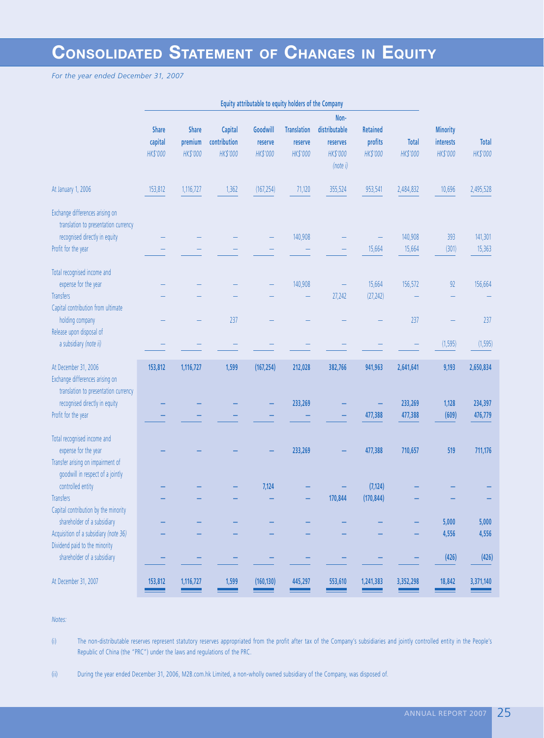# **CONSOLIDATED STATEMENT OF CHANGES IN EQUITY**

*For the year ended December 31, 2007*

|                                                                                                 |                                     |                                     |                                     | Equity attributable to equity holders of the Company |                                           |                                               |                                        |                          |                                          |                          |
|-------------------------------------------------------------------------------------------------|-------------------------------------|-------------------------------------|-------------------------------------|------------------------------------------------------|-------------------------------------------|-----------------------------------------------|----------------------------------------|--------------------------|------------------------------------------|--------------------------|
|                                                                                                 | <b>Share</b><br>capital<br>HK\$'000 | <b>Share</b><br>premium<br>HK\$'000 | Capital<br>contribution<br>HK\$'000 | Goodwill<br>reserve<br>HK\$'000                      | <b>Translation</b><br>reserve<br>HK\$'000 | Non-<br>distributable<br>reserves<br>HK\$'000 | <b>Retained</b><br>profits<br>HK\$'000 | <b>Total</b><br>HK\$'000 | <b>Minority</b><br>interests<br>HK\$'000 | <b>Total</b><br>HK\$'000 |
| At January 1, 2006                                                                              | 153,812                             | 1,116,727                           | 1,362                               | (167, 254)                                           | 71,120                                    | (note i)<br>355,524                           | 953,541                                | 2,484,832                | 10,696                                   | 2,495,528                |
| Exchange differences arising on<br>translation to presentation currency                         |                                     |                                     |                                     |                                                      |                                           |                                               |                                        |                          |                                          |                          |
| recognised directly in equity                                                                   |                                     |                                     |                                     |                                                      | 140,908                                   |                                               |                                        | 140,908                  | 393                                      | 141,301                  |
| Profit for the year                                                                             |                                     |                                     |                                     |                                                      |                                           |                                               | 15,664                                 | 15,664                   | (301)                                    | 15,363                   |
| Total recognised income and<br>expense for the year                                             |                                     |                                     |                                     |                                                      | 140,908                                   |                                               | 15,664                                 | 156,572                  | 92                                       | 156,664                  |
| <b>Transfers</b><br>Capital contribution from ultimate                                          |                                     |                                     |                                     |                                                      |                                           | 27,242                                        | (27, 242)                              |                          |                                          |                          |
| holding company<br>Release upon disposal of                                                     |                                     |                                     | 237                                 |                                                      |                                           |                                               |                                        | 237                      |                                          | 237                      |
| a subsidiary (note ii)                                                                          |                                     |                                     |                                     |                                                      |                                           |                                               |                                        |                          | (1, 595)                                 | (1, 595)                 |
| At December 31, 2006<br>Exchange differences arising on<br>translation to presentation currency | 153,812                             | 1,116,727                           | 1,599                               | (167, 254)                                           | 212,028                                   | 382,766                                       | 941,963                                | 2,641,641                | 9,193                                    | 2,650,834                |
| recognised directly in equity<br>Profit for the year                                            |                                     |                                     |                                     |                                                      | 233,269                                   |                                               | 477,388                                | 233,269<br>477,388       | 1,128<br>(609)                           | 234,397<br>476,779       |
| Total recognised income and                                                                     |                                     |                                     |                                     |                                                      |                                           |                                               |                                        |                          |                                          |                          |
| expense for the year<br>Transfer arising on impairment of<br>goodwill in respect of a jointly   |                                     |                                     |                                     |                                                      | 233,269                                   |                                               | 477,388                                | 710,657                  | 519                                      | 711,176                  |
| controlled entity                                                                               |                                     |                                     |                                     | 7,124                                                |                                           |                                               | (7, 124)                               |                          |                                          |                          |
| <b>Transfers</b>                                                                                |                                     |                                     |                                     |                                                      |                                           | 170,844                                       | (170, 844)                             |                          |                                          |                          |
| Capital contribution by the minority<br>shareholder of a subsidiary                             |                                     |                                     |                                     |                                                      |                                           |                                               |                                        |                          | 5,000                                    | 5,000                    |
| Acquisition of a subsidiary (note 36)                                                           |                                     |                                     |                                     |                                                      |                                           |                                               |                                        |                          | 4,556                                    | 4,556                    |
| Dividend paid to the minority                                                                   |                                     |                                     |                                     |                                                      |                                           |                                               |                                        |                          |                                          |                          |
| shareholder of a subsidiary                                                                     |                                     |                                     |                                     |                                                      |                                           |                                               |                                        |                          | (426)                                    | (426)                    |
| At December 31, 2007                                                                            | 153,812                             | 1,116,727                           | 1,599                               | (160, 130)                                           | 445,297                                   | 553,610                                       | 1,241,383                              | 3,352,298                | 18,842                                   | 3,371,140                |

## *Notes:*

(i) The non-distributable reserves represent statutory reserves appropriated from the profit after tax of the Company's subsidiaries and jointly controlled entity in the People's Republic of China (the "PRC") under the laws and regulations of the PRC.

(ii) During the year ended December 31, 2006, M2B.com.hk Limited, a non-wholly owned subsidiary of the Company, was disposed of.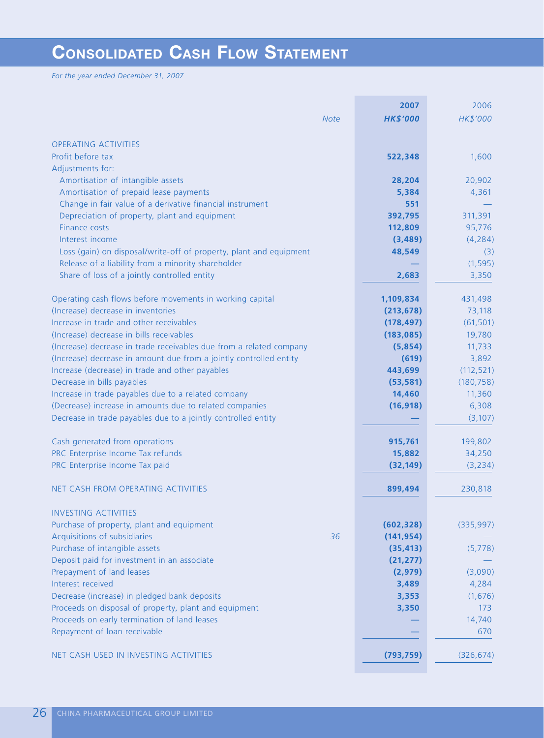# **CONSOLIDATED CASH FLOW STATEMENT**

*For the year ended December 31, 2007*

| HK\$'000<br><b>HK\$'000</b><br><b>Note</b><br><b>OPERATING ACTIVITIES</b><br>Profit before tax<br>1,600<br>522,348<br>Adjustments for:<br>Amortisation of intangible assets<br>20,902<br>28,204<br>Amortisation of prepaid lease payments<br>4,361<br>5,384<br>Change in fair value of a derivative financial instrument<br>551<br>392,795<br>311,391<br>Depreciation of property, plant and equipment<br>Finance costs<br>112,809<br>95,776<br>Interest income<br>(4, 284)<br>(3,489)<br>Loss (gain) on disposal/write-off of property, plant and equipment<br>48,549<br>(3)<br>Release of a liability from a minority shareholder<br>(1, 595)<br>Share of loss of a jointly controlled entity<br>3,350<br>2,683<br>Operating cash flows before movements in working capital<br>431,498<br>1,109,834<br>(Increase) decrease in inventories<br>73,118<br>(213, 678)<br>Increase in trade and other receivables<br>(61, 501)<br>(178, 497)<br>(Increase) decrease in bills receivables<br>(183, 085)<br>19,780<br>(Increase) decrease in trade receivables due from a related company<br>(5,854)<br>11,733<br>(Increase) decrease in amount due from a jointly controlled entity<br>(619)<br>3,892<br>Increase (decrease) in trade and other payables<br>443,699<br>(112, 521)<br>Decrease in bills payables<br>(180, 758)<br>(53, 581)<br>Increase in trade payables due to a related company<br>14,460<br>11,360<br>(Decrease) increase in amounts due to related companies<br>(16, 918)<br>6,308<br>Decrease in trade payables due to a jointly controlled entity<br>(3, 107)<br>Cash generated from operations<br>915,761<br>199,802<br>PRC Enterprise Income Tax refunds<br>15,882<br>34,250<br>PRC Enterprise Income Tax paid<br>(32, 149)<br>(3, 234)<br>NET CASH FROM OPERATING ACTIVITIES<br>899,494<br>230,818<br><b>INVESTING ACTIVITIES</b><br>Purchase of property, plant and equipment<br>(602, 328)<br>(335, 997)<br>Acquisitions of subsidiaries<br>36<br>(141, 954)<br>Purchase of intangible assets<br>(35, 413)<br>(5,778)<br>Deposit paid for investment in an associate<br>(21, 277)<br>Prepayment of land leases<br>(2,979)<br>(3,090)<br>Interest received<br>3,489<br>4,284<br>Decrease (increase) in pledged bank deposits<br>3,353<br>(1,676)<br>Proceeds on disposal of property, plant and equipment<br>3,350<br>173<br>Proceeds on early termination of land leases<br>14,740<br>Repayment of loan receivable<br>670<br>NET CASH USED IN INVESTING ACTIVITIES<br>(793, 759)<br>(326, 674) | 2007 | 2006 |
|-----------------------------------------------------------------------------------------------------------------------------------------------------------------------------------------------------------------------------------------------------------------------------------------------------------------------------------------------------------------------------------------------------------------------------------------------------------------------------------------------------------------------------------------------------------------------------------------------------------------------------------------------------------------------------------------------------------------------------------------------------------------------------------------------------------------------------------------------------------------------------------------------------------------------------------------------------------------------------------------------------------------------------------------------------------------------------------------------------------------------------------------------------------------------------------------------------------------------------------------------------------------------------------------------------------------------------------------------------------------------------------------------------------------------------------------------------------------------------------------------------------------------------------------------------------------------------------------------------------------------------------------------------------------------------------------------------------------------------------------------------------------------------------------------------------------------------------------------------------------------------------------------------------------------------------------------------------------------------------------------------------------------------------------------------------------------------------------------------------------------------------------------------------------------------------------------------------------------------------------------------------------------------------------------------------------------------------------------------------------------------------------------------------------------------------------------------------------------------------------------------------------------|------|------|
|                                                                                                                                                                                                                                                                                                                                                                                                                                                                                                                                                                                                                                                                                                                                                                                                                                                                                                                                                                                                                                                                                                                                                                                                                                                                                                                                                                                                                                                                                                                                                                                                                                                                                                                                                                                                                                                                                                                                                                                                                                                                                                                                                                                                                                                                                                                                                                                                                                                                                                                       |      |      |
|                                                                                                                                                                                                                                                                                                                                                                                                                                                                                                                                                                                                                                                                                                                                                                                                                                                                                                                                                                                                                                                                                                                                                                                                                                                                                                                                                                                                                                                                                                                                                                                                                                                                                                                                                                                                                                                                                                                                                                                                                                                                                                                                                                                                                                                                                                                                                                                                                                                                                                                       |      |      |
|                                                                                                                                                                                                                                                                                                                                                                                                                                                                                                                                                                                                                                                                                                                                                                                                                                                                                                                                                                                                                                                                                                                                                                                                                                                                                                                                                                                                                                                                                                                                                                                                                                                                                                                                                                                                                                                                                                                                                                                                                                                                                                                                                                                                                                                                                                                                                                                                                                                                                                                       |      |      |
|                                                                                                                                                                                                                                                                                                                                                                                                                                                                                                                                                                                                                                                                                                                                                                                                                                                                                                                                                                                                                                                                                                                                                                                                                                                                                                                                                                                                                                                                                                                                                                                                                                                                                                                                                                                                                                                                                                                                                                                                                                                                                                                                                                                                                                                                                                                                                                                                                                                                                                                       |      |      |
|                                                                                                                                                                                                                                                                                                                                                                                                                                                                                                                                                                                                                                                                                                                                                                                                                                                                                                                                                                                                                                                                                                                                                                                                                                                                                                                                                                                                                                                                                                                                                                                                                                                                                                                                                                                                                                                                                                                                                                                                                                                                                                                                                                                                                                                                                                                                                                                                                                                                                                                       |      |      |
|                                                                                                                                                                                                                                                                                                                                                                                                                                                                                                                                                                                                                                                                                                                                                                                                                                                                                                                                                                                                                                                                                                                                                                                                                                                                                                                                                                                                                                                                                                                                                                                                                                                                                                                                                                                                                                                                                                                                                                                                                                                                                                                                                                                                                                                                                                                                                                                                                                                                                                                       |      |      |
|                                                                                                                                                                                                                                                                                                                                                                                                                                                                                                                                                                                                                                                                                                                                                                                                                                                                                                                                                                                                                                                                                                                                                                                                                                                                                                                                                                                                                                                                                                                                                                                                                                                                                                                                                                                                                                                                                                                                                                                                                                                                                                                                                                                                                                                                                                                                                                                                                                                                                                                       |      |      |
|                                                                                                                                                                                                                                                                                                                                                                                                                                                                                                                                                                                                                                                                                                                                                                                                                                                                                                                                                                                                                                                                                                                                                                                                                                                                                                                                                                                                                                                                                                                                                                                                                                                                                                                                                                                                                                                                                                                                                                                                                                                                                                                                                                                                                                                                                                                                                                                                                                                                                                                       |      |      |
|                                                                                                                                                                                                                                                                                                                                                                                                                                                                                                                                                                                                                                                                                                                                                                                                                                                                                                                                                                                                                                                                                                                                                                                                                                                                                                                                                                                                                                                                                                                                                                                                                                                                                                                                                                                                                                                                                                                                                                                                                                                                                                                                                                                                                                                                                                                                                                                                                                                                                                                       |      |      |
|                                                                                                                                                                                                                                                                                                                                                                                                                                                                                                                                                                                                                                                                                                                                                                                                                                                                                                                                                                                                                                                                                                                                                                                                                                                                                                                                                                                                                                                                                                                                                                                                                                                                                                                                                                                                                                                                                                                                                                                                                                                                                                                                                                                                                                                                                                                                                                                                                                                                                                                       |      |      |
|                                                                                                                                                                                                                                                                                                                                                                                                                                                                                                                                                                                                                                                                                                                                                                                                                                                                                                                                                                                                                                                                                                                                                                                                                                                                                                                                                                                                                                                                                                                                                                                                                                                                                                                                                                                                                                                                                                                                                                                                                                                                                                                                                                                                                                                                                                                                                                                                                                                                                                                       |      |      |
|                                                                                                                                                                                                                                                                                                                                                                                                                                                                                                                                                                                                                                                                                                                                                                                                                                                                                                                                                                                                                                                                                                                                                                                                                                                                                                                                                                                                                                                                                                                                                                                                                                                                                                                                                                                                                                                                                                                                                                                                                                                                                                                                                                                                                                                                                                                                                                                                                                                                                                                       |      |      |
|                                                                                                                                                                                                                                                                                                                                                                                                                                                                                                                                                                                                                                                                                                                                                                                                                                                                                                                                                                                                                                                                                                                                                                                                                                                                                                                                                                                                                                                                                                                                                                                                                                                                                                                                                                                                                                                                                                                                                                                                                                                                                                                                                                                                                                                                                                                                                                                                                                                                                                                       |      |      |
|                                                                                                                                                                                                                                                                                                                                                                                                                                                                                                                                                                                                                                                                                                                                                                                                                                                                                                                                                                                                                                                                                                                                                                                                                                                                                                                                                                                                                                                                                                                                                                                                                                                                                                                                                                                                                                                                                                                                                                                                                                                                                                                                                                                                                                                                                                                                                                                                                                                                                                                       |      |      |
|                                                                                                                                                                                                                                                                                                                                                                                                                                                                                                                                                                                                                                                                                                                                                                                                                                                                                                                                                                                                                                                                                                                                                                                                                                                                                                                                                                                                                                                                                                                                                                                                                                                                                                                                                                                                                                                                                                                                                                                                                                                                                                                                                                                                                                                                                                                                                                                                                                                                                                                       |      |      |
|                                                                                                                                                                                                                                                                                                                                                                                                                                                                                                                                                                                                                                                                                                                                                                                                                                                                                                                                                                                                                                                                                                                                                                                                                                                                                                                                                                                                                                                                                                                                                                                                                                                                                                                                                                                                                                                                                                                                                                                                                                                                                                                                                                                                                                                                                                                                                                                                                                                                                                                       |      |      |
|                                                                                                                                                                                                                                                                                                                                                                                                                                                                                                                                                                                                                                                                                                                                                                                                                                                                                                                                                                                                                                                                                                                                                                                                                                                                                                                                                                                                                                                                                                                                                                                                                                                                                                                                                                                                                                                                                                                                                                                                                                                                                                                                                                                                                                                                                                                                                                                                                                                                                                                       |      |      |
|                                                                                                                                                                                                                                                                                                                                                                                                                                                                                                                                                                                                                                                                                                                                                                                                                                                                                                                                                                                                                                                                                                                                                                                                                                                                                                                                                                                                                                                                                                                                                                                                                                                                                                                                                                                                                                                                                                                                                                                                                                                                                                                                                                                                                                                                                                                                                                                                                                                                                                                       |      |      |
|                                                                                                                                                                                                                                                                                                                                                                                                                                                                                                                                                                                                                                                                                                                                                                                                                                                                                                                                                                                                                                                                                                                                                                                                                                                                                                                                                                                                                                                                                                                                                                                                                                                                                                                                                                                                                                                                                                                                                                                                                                                                                                                                                                                                                                                                                                                                                                                                                                                                                                                       |      |      |
|                                                                                                                                                                                                                                                                                                                                                                                                                                                                                                                                                                                                                                                                                                                                                                                                                                                                                                                                                                                                                                                                                                                                                                                                                                                                                                                                                                                                                                                                                                                                                                                                                                                                                                                                                                                                                                                                                                                                                                                                                                                                                                                                                                                                                                                                                                                                                                                                                                                                                                                       |      |      |
|                                                                                                                                                                                                                                                                                                                                                                                                                                                                                                                                                                                                                                                                                                                                                                                                                                                                                                                                                                                                                                                                                                                                                                                                                                                                                                                                                                                                                                                                                                                                                                                                                                                                                                                                                                                                                                                                                                                                                                                                                                                                                                                                                                                                                                                                                                                                                                                                                                                                                                                       |      |      |
|                                                                                                                                                                                                                                                                                                                                                                                                                                                                                                                                                                                                                                                                                                                                                                                                                                                                                                                                                                                                                                                                                                                                                                                                                                                                                                                                                                                                                                                                                                                                                                                                                                                                                                                                                                                                                                                                                                                                                                                                                                                                                                                                                                                                                                                                                                                                                                                                                                                                                                                       |      |      |
|                                                                                                                                                                                                                                                                                                                                                                                                                                                                                                                                                                                                                                                                                                                                                                                                                                                                                                                                                                                                                                                                                                                                                                                                                                                                                                                                                                                                                                                                                                                                                                                                                                                                                                                                                                                                                                                                                                                                                                                                                                                                                                                                                                                                                                                                                                                                                                                                                                                                                                                       |      |      |
|                                                                                                                                                                                                                                                                                                                                                                                                                                                                                                                                                                                                                                                                                                                                                                                                                                                                                                                                                                                                                                                                                                                                                                                                                                                                                                                                                                                                                                                                                                                                                                                                                                                                                                                                                                                                                                                                                                                                                                                                                                                                                                                                                                                                                                                                                                                                                                                                                                                                                                                       |      |      |
|                                                                                                                                                                                                                                                                                                                                                                                                                                                                                                                                                                                                                                                                                                                                                                                                                                                                                                                                                                                                                                                                                                                                                                                                                                                                                                                                                                                                                                                                                                                                                                                                                                                                                                                                                                                                                                                                                                                                                                                                                                                                                                                                                                                                                                                                                                                                                                                                                                                                                                                       |      |      |
|                                                                                                                                                                                                                                                                                                                                                                                                                                                                                                                                                                                                                                                                                                                                                                                                                                                                                                                                                                                                                                                                                                                                                                                                                                                                                                                                                                                                                                                                                                                                                                                                                                                                                                                                                                                                                                                                                                                                                                                                                                                                                                                                                                                                                                                                                                                                                                                                                                                                                                                       |      |      |
|                                                                                                                                                                                                                                                                                                                                                                                                                                                                                                                                                                                                                                                                                                                                                                                                                                                                                                                                                                                                                                                                                                                                                                                                                                                                                                                                                                                                                                                                                                                                                                                                                                                                                                                                                                                                                                                                                                                                                                                                                                                                                                                                                                                                                                                                                                                                                                                                                                                                                                                       |      |      |
|                                                                                                                                                                                                                                                                                                                                                                                                                                                                                                                                                                                                                                                                                                                                                                                                                                                                                                                                                                                                                                                                                                                                                                                                                                                                                                                                                                                                                                                                                                                                                                                                                                                                                                                                                                                                                                                                                                                                                                                                                                                                                                                                                                                                                                                                                                                                                                                                                                                                                                                       |      |      |
|                                                                                                                                                                                                                                                                                                                                                                                                                                                                                                                                                                                                                                                                                                                                                                                                                                                                                                                                                                                                                                                                                                                                                                                                                                                                                                                                                                                                                                                                                                                                                                                                                                                                                                                                                                                                                                                                                                                                                                                                                                                                                                                                                                                                                                                                                                                                                                                                                                                                                                                       |      |      |
|                                                                                                                                                                                                                                                                                                                                                                                                                                                                                                                                                                                                                                                                                                                                                                                                                                                                                                                                                                                                                                                                                                                                                                                                                                                                                                                                                                                                                                                                                                                                                                                                                                                                                                                                                                                                                                                                                                                                                                                                                                                                                                                                                                                                                                                                                                                                                                                                                                                                                                                       |      |      |
|                                                                                                                                                                                                                                                                                                                                                                                                                                                                                                                                                                                                                                                                                                                                                                                                                                                                                                                                                                                                                                                                                                                                                                                                                                                                                                                                                                                                                                                                                                                                                                                                                                                                                                                                                                                                                                                                                                                                                                                                                                                                                                                                                                                                                                                                                                                                                                                                                                                                                                                       |      |      |
|                                                                                                                                                                                                                                                                                                                                                                                                                                                                                                                                                                                                                                                                                                                                                                                                                                                                                                                                                                                                                                                                                                                                                                                                                                                                                                                                                                                                                                                                                                                                                                                                                                                                                                                                                                                                                                                                                                                                                                                                                                                                                                                                                                                                                                                                                                                                                                                                                                                                                                                       |      |      |
|                                                                                                                                                                                                                                                                                                                                                                                                                                                                                                                                                                                                                                                                                                                                                                                                                                                                                                                                                                                                                                                                                                                                                                                                                                                                                                                                                                                                                                                                                                                                                                                                                                                                                                                                                                                                                                                                                                                                                                                                                                                                                                                                                                                                                                                                                                                                                                                                                                                                                                                       |      |      |
|                                                                                                                                                                                                                                                                                                                                                                                                                                                                                                                                                                                                                                                                                                                                                                                                                                                                                                                                                                                                                                                                                                                                                                                                                                                                                                                                                                                                                                                                                                                                                                                                                                                                                                                                                                                                                                                                                                                                                                                                                                                                                                                                                                                                                                                                                                                                                                                                                                                                                                                       |      |      |
|                                                                                                                                                                                                                                                                                                                                                                                                                                                                                                                                                                                                                                                                                                                                                                                                                                                                                                                                                                                                                                                                                                                                                                                                                                                                                                                                                                                                                                                                                                                                                                                                                                                                                                                                                                                                                                                                                                                                                                                                                                                                                                                                                                                                                                                                                                                                                                                                                                                                                                                       |      |      |
|                                                                                                                                                                                                                                                                                                                                                                                                                                                                                                                                                                                                                                                                                                                                                                                                                                                                                                                                                                                                                                                                                                                                                                                                                                                                                                                                                                                                                                                                                                                                                                                                                                                                                                                                                                                                                                                                                                                                                                                                                                                                                                                                                                                                                                                                                                                                                                                                                                                                                                                       |      |      |
|                                                                                                                                                                                                                                                                                                                                                                                                                                                                                                                                                                                                                                                                                                                                                                                                                                                                                                                                                                                                                                                                                                                                                                                                                                                                                                                                                                                                                                                                                                                                                                                                                                                                                                                                                                                                                                                                                                                                                                                                                                                                                                                                                                                                                                                                                                                                                                                                                                                                                                                       |      |      |
|                                                                                                                                                                                                                                                                                                                                                                                                                                                                                                                                                                                                                                                                                                                                                                                                                                                                                                                                                                                                                                                                                                                                                                                                                                                                                                                                                                                                                                                                                                                                                                                                                                                                                                                                                                                                                                                                                                                                                                                                                                                                                                                                                                                                                                                                                                                                                                                                                                                                                                                       |      |      |
|                                                                                                                                                                                                                                                                                                                                                                                                                                                                                                                                                                                                                                                                                                                                                                                                                                                                                                                                                                                                                                                                                                                                                                                                                                                                                                                                                                                                                                                                                                                                                                                                                                                                                                                                                                                                                                                                                                                                                                                                                                                                                                                                                                                                                                                                                                                                                                                                                                                                                                                       |      |      |
|                                                                                                                                                                                                                                                                                                                                                                                                                                                                                                                                                                                                                                                                                                                                                                                                                                                                                                                                                                                                                                                                                                                                                                                                                                                                                                                                                                                                                                                                                                                                                                                                                                                                                                                                                                                                                                                                                                                                                                                                                                                                                                                                                                                                                                                                                                                                                                                                                                                                                                                       |      |      |
|                                                                                                                                                                                                                                                                                                                                                                                                                                                                                                                                                                                                                                                                                                                                                                                                                                                                                                                                                                                                                                                                                                                                                                                                                                                                                                                                                                                                                                                                                                                                                                                                                                                                                                                                                                                                                                                                                                                                                                                                                                                                                                                                                                                                                                                                                                                                                                                                                                                                                                                       |      |      |
|                                                                                                                                                                                                                                                                                                                                                                                                                                                                                                                                                                                                                                                                                                                                                                                                                                                                                                                                                                                                                                                                                                                                                                                                                                                                                                                                                                                                                                                                                                                                                                                                                                                                                                                                                                                                                                                                                                                                                                                                                                                                                                                                                                                                                                                                                                                                                                                                                                                                                                                       |      |      |
|                                                                                                                                                                                                                                                                                                                                                                                                                                                                                                                                                                                                                                                                                                                                                                                                                                                                                                                                                                                                                                                                                                                                                                                                                                                                                                                                                                                                                                                                                                                                                                                                                                                                                                                                                                                                                                                                                                                                                                                                                                                                                                                                                                                                                                                                                                                                                                                                                                                                                                                       |      |      |
|                                                                                                                                                                                                                                                                                                                                                                                                                                                                                                                                                                                                                                                                                                                                                                                                                                                                                                                                                                                                                                                                                                                                                                                                                                                                                                                                                                                                                                                                                                                                                                                                                                                                                                                                                                                                                                                                                                                                                                                                                                                                                                                                                                                                                                                                                                                                                                                                                                                                                                                       |      |      |
|                                                                                                                                                                                                                                                                                                                                                                                                                                                                                                                                                                                                                                                                                                                                                                                                                                                                                                                                                                                                                                                                                                                                                                                                                                                                                                                                                                                                                                                                                                                                                                                                                                                                                                                                                                                                                                                                                                                                                                                                                                                                                                                                                                                                                                                                                                                                                                                                                                                                                                                       |      |      |
|                                                                                                                                                                                                                                                                                                                                                                                                                                                                                                                                                                                                                                                                                                                                                                                                                                                                                                                                                                                                                                                                                                                                                                                                                                                                                                                                                                                                                                                                                                                                                                                                                                                                                                                                                                                                                                                                                                                                                                                                                                                                                                                                                                                                                                                                                                                                                                                                                                                                                                                       |      |      |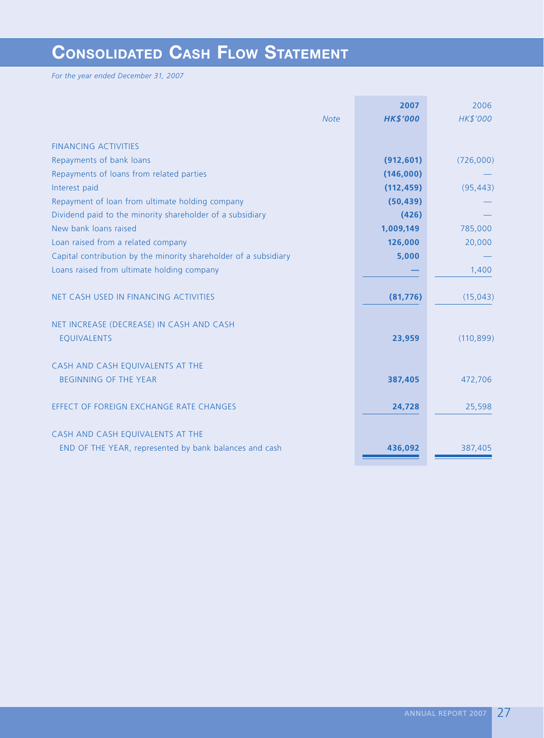# **CONSOLIDATED CASH FLOW STATEMENT**

*For the year ended December 31, 2007*

|                                                                  | 2007            | 2006       |
|------------------------------------------------------------------|-----------------|------------|
| <b>Note</b>                                                      | <b>HK\$'000</b> | HK\$'000   |
|                                                                  |                 |            |
| <b>FINANCING ACTIVITIES</b>                                      |                 |            |
| Repayments of bank loans                                         | (912, 601)      | (726,000)  |
| Repayments of loans from related parties                         | (146,000)       |            |
| Interest paid                                                    | (112, 459)      | (95, 443)  |
| Repayment of loan from ultimate holding company                  | (50, 439)       |            |
| Dividend paid to the minority shareholder of a subsidiary        | (426)           |            |
| New bank loans raised                                            | 1,009,149       | 785,000    |
| Loan raised from a related company                               | 126,000         | 20,000     |
| Capital contribution by the minority shareholder of a subsidiary | 5,000           |            |
| Loans raised from ultimate holding company                       |                 | 1,400      |
|                                                                  |                 |            |
| NET CASH USED IN FINANCING ACTIVITIES                            | (81, 776)       | (15, 043)  |
|                                                                  |                 |            |
| NET INCREASE (DECREASE) IN CASH AND CASH                         |                 |            |
| <b>EQUIVALENTS</b>                                               | 23,959          | (110, 899) |
|                                                                  |                 |            |
| CASH AND CASH EQUIVALENTS AT THE                                 |                 |            |
| <b>BEGINNING OF THE YEAR</b>                                     | 387,405         | 472,706    |
|                                                                  |                 |            |
| EFFECT OF FOREIGN EXCHANGE RATE CHANGES                          | 24,728          | 25,598     |
|                                                                  |                 |            |
| CASH AND CASH EQUIVALENTS AT THE                                 |                 |            |
| END OF THE YEAR, represented by bank balances and cash           | 436,092         | 387,405    |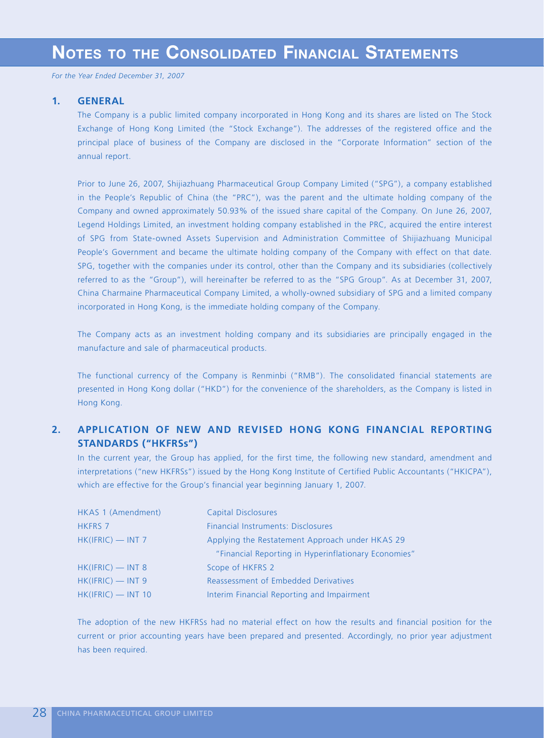## **1. GENERAL**

The Company is a public limited company incorporated in Hong Kong and its shares are listed on The Stock Exchange of Hong Kong Limited (the "Stock Exchange"). The addresses of the registered office and the principal place of business of the Company are disclosed in the "Corporate Information" section of the annual report.

Prior to June 26, 2007, Shijiazhuang Pharmaceutical Group Company Limited ("SPG"), a company established in the People's Republic of China (the "PRC"), was the parent and the ultimate holding company of the Company and owned approximately 50.93% of the issued share capital of the Company. On June 26, 2007, Legend Holdings Limited, an investment holding company established in the PRC, acquired the entire interest of SPG from State-owned Assets Supervision and Administration Committee of Shijiazhuang Municipal People's Government and became the ultimate holding company of the Company with effect on that date. SPG, together with the companies under its control, other than the Company and its subsidiaries (collectively referred to as the "Group"), will hereinafter be referred to as the "SPG Group". As at December 31, 2007, China Charmaine Pharmaceutical Company Limited, a wholly-owned subsidiary of SPG and a limited company incorporated in Hong Kong, is the immediate holding company of the Company.

The Company acts as an investment holding company and its subsidiaries are principally engaged in the manufacture and sale of pharmaceutical products.

The functional currency of the Company is Renminbi ("RMB"). The consolidated financial statements are presented in Hong Kong dollar ("HKD") for the convenience of the shareholders, as the Company is listed in Hong Kong.

# **2. APPLICATION OF NEW AND REVISED HONG KONG FINANCIAL REPORTING STANDARDS ("HKFRSs")**

In the current year, the Group has applied, for the first time, the following new standard, amendment and interpretations ("new HKFRSs") issued by the Hong Kong Institute of Certified Public Accountants ("HKICPA"), which are effective for the Group's financial year beginning January 1, 2007.

| HKAS 1 (Amendment)  | <b>Capital Disclosures</b>                           |
|---------------------|------------------------------------------------------|
| <b>HKFRS 7</b>      | <b>Financial Instruments: Disclosures</b>            |
| $HK(IFRIC)$ - INT 7 | Applying the Restatement Approach under HKAS 29      |
|                     | "Financial Reporting in Hyperinflationary Economies" |
| $HK(IFRIC)$ - INT 8 | Scope of HKFRS 2                                     |
| $HK(IFRIC)$ - INT 9 | Reassessment of Embedded Derivatives                 |
| HK(IFRIC) - INT 10  | Interim Financial Reporting and Impairment           |

The adoption of the new HKFRSs had no material effect on how the results and financial position for the current or prior accounting years have been prepared and presented. Accordingly, no prior year adjustment has been required.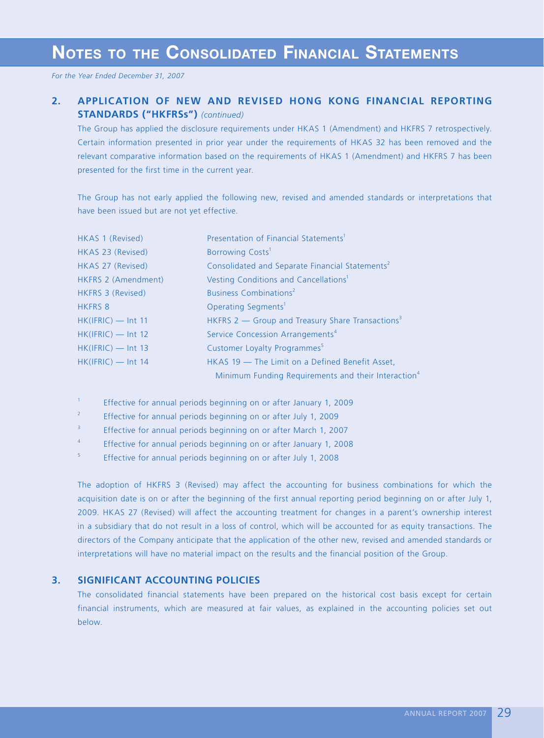# **2. APPLICATION OF NEW AND REVISED HONG KONG FINANCIAL REPORTING STANDARDS ("HKFRSs")** *(continued)*

The Group has applied the disclosure requirements under HKAS 1 (Amendment) and HKFRS 7 retrospectively. Certain information presented in prior year under the requirements of HKAS 32 has been removed and the relevant comparative information based on the requirements of HKAS 1 (Amendment) and HKFRS 7 has been presented for the first time in the current year.

The Group has not early applied the following new, revised and amended standards or interpretations that have been issued but are not yet effective.

| HKAS 1 (Revised)     | Presentation of Financial Statements <sup>1</sup>               |
|----------------------|-----------------------------------------------------------------|
| HKAS 23 (Revised)    | Borrowing Costs <sup>1</sup>                                    |
| HKAS 27 (Revised)    | Consolidated and Separate Financial Statements <sup>2</sup>     |
| HKFRS 2 (Amendment)  | Vesting Conditions and Cancellations <sup>1</sup>               |
| HKFRS 3 (Revised)    | <b>Business Combinations<sup>2</sup></b>                        |
| <b>HKFRS 8</b>       | Operating Segments <sup>1</sup>                                 |
| $HK(IFRIC)$ - Int 11 | HKFRS 2 - Group and Treasury Share Transactions <sup>3</sup>    |
| $HK(IFRIC)$ — Int 12 | Service Concession Arrangements <sup>4</sup>                    |
| $HK(IFRIC)$ — Int 13 | Customer Loyalty Programmes <sup>5</sup>                        |
| $HK(IFRIC)$ — Int 14 | HKAS 19 - The Limit on a Defined Benefit Asset,                 |
|                      | Minimum Funding Requirements and their Interaction <sup>4</sup> |

1 Effective for annual periods beginning on or after January 1, 2009

2 Effective for annual periods beginning on or after July 1, 2009

3 Effective for annual periods beginning on or after March 1, 2007

4 Effective for annual periods beginning on or after January 1, 2008

5 Effective for annual periods beginning on or after July 1, 2008

The adoption of HKFRS 3 (Revised) may affect the accounting for business combinations for which the acquisition date is on or after the beginning of the first annual reporting period beginning on or after July 1, 2009. HKAS 27 (Revised) will affect the accounting treatment for changes in a parent's ownership interest in a subsidiary that do not result in a loss of control, which will be accounted for as equity transactions. The directors of the Company anticipate that the application of the other new, revised and amended standards or interpretations will have no material impact on the results and the financial position of the Group.

# **3. SIGNIFICANT ACCOUNTING POLICIES**

The consolidated financial statements have been prepared on the historical cost basis except for certain financial instruments, which are measured at fair values, as explained in the accounting policies set out below.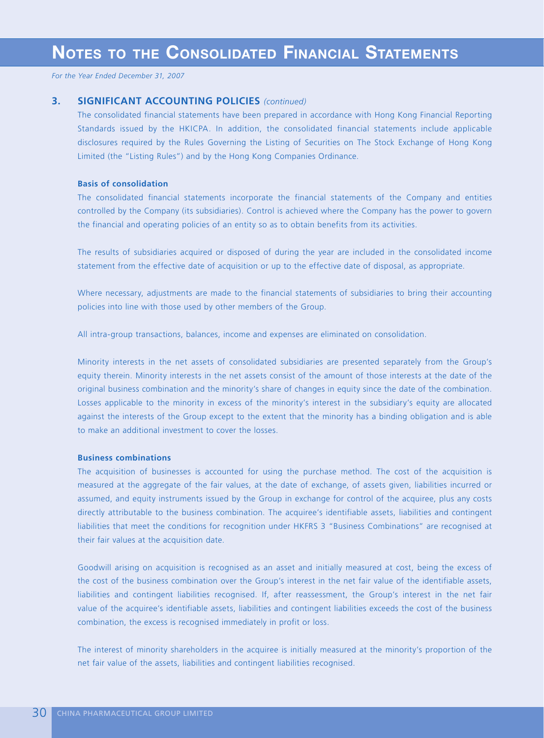## **3. SIGNIFICANT ACCOUNTING POLICIES** *(continued)*

The consolidated financial statements have been prepared in accordance with Hong Kong Financial Reporting Standards issued by the HKICPA. In addition, the consolidated financial statements include applicable disclosures required by the Rules Governing the Listing of Securities on The Stock Exchange of Hong Kong Limited (the "Listing Rules") and by the Hong Kong Companies Ordinance.

### **Basis of consolidation**

The consolidated financial statements incorporate the financial statements of the Company and entities controlled by the Company (its subsidiaries). Control is achieved where the Company has the power to govern the financial and operating policies of an entity so as to obtain benefits from its activities.

The results of subsidiaries acquired or disposed of during the year are included in the consolidated income statement from the effective date of acquisition or up to the effective date of disposal, as appropriate.

Where necessary, adjustments are made to the financial statements of subsidiaries to bring their accounting policies into line with those used by other members of the Group.

All intra-group transactions, balances, income and expenses are eliminated on consolidation.

Minority interests in the net assets of consolidated subsidiaries are presented separately from the Group's equity therein. Minority interests in the net assets consist of the amount of those interests at the date of the original business combination and the minority's share of changes in equity since the date of the combination. Losses applicable to the minority in excess of the minority's interest in the subsidiary's equity are allocated against the interests of the Group except to the extent that the minority has a binding obligation and is able to make an additional investment to cover the losses.

## **Business combinations**

The acquisition of businesses is accounted for using the purchase method. The cost of the acquisition is measured at the aggregate of the fair values, at the date of exchange, of assets given, liabilities incurred or assumed, and equity instruments issued by the Group in exchange for control of the acquiree, plus any costs directly attributable to the business combination. The acquiree's identifiable assets, liabilities and contingent liabilities that meet the conditions for recognition under HKFRS 3 "Business Combinations" are recognised at their fair values at the acquisition date.

Goodwill arising on acquisition is recognised as an asset and initially measured at cost, being the excess of the cost of the business combination over the Group's interest in the net fair value of the identifiable assets, liabilities and contingent liabilities recognised. If, after reassessment, the Group's interest in the net fair value of the acquiree's identifiable assets, liabilities and contingent liabilities exceeds the cost of the business combination, the excess is recognised immediately in profit or loss.

The interest of minority shareholders in the acquiree is initially measured at the minority's proportion of the net fair value of the assets, liabilities and contingent liabilities recognised.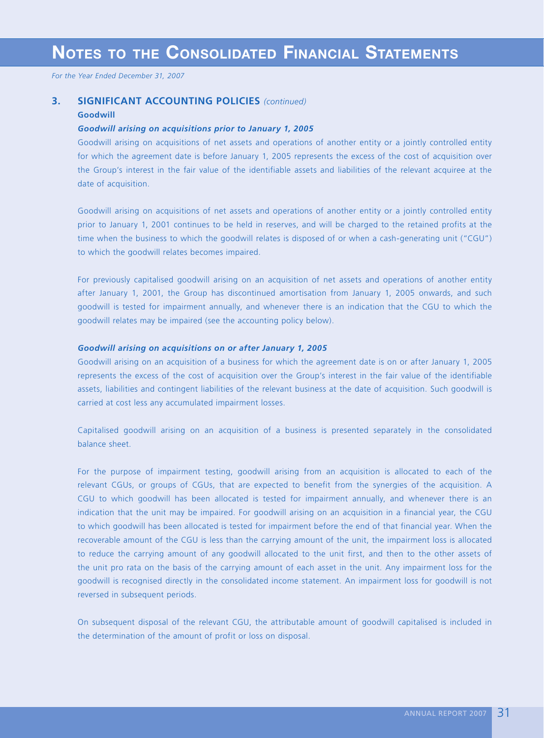## **3. SIGNIFICANT ACCOUNTING POLICIES** *(continued)*

### **Goodwill**

## *Goodwill arising on acquisitions prior to January 1, 2005*

Goodwill arising on acquisitions of net assets and operations of another entity or a jointly controlled entity for which the agreement date is before January 1, 2005 represents the excess of the cost of acquisition over the Group's interest in the fair value of the identifiable assets and liabilities of the relevant acquiree at the date of acquisition.

Goodwill arising on acquisitions of net assets and operations of another entity or a jointly controlled entity prior to January 1, 2001 continues to be held in reserves, and will be charged to the retained profits at the time when the business to which the goodwill relates is disposed of or when a cash-generating unit ("CGU") to which the goodwill relates becomes impaired.

For previously capitalised goodwill arising on an acquisition of net assets and operations of another entity after January 1, 2001, the Group has discontinued amortisation from January 1, 2005 onwards, and such goodwill is tested for impairment annually, and whenever there is an indication that the CGU to which the goodwill relates may be impaired (see the accounting policy below).

### *Goodwill arising on acquisitions on or after January 1, 2005*

Goodwill arising on an acquisition of a business for which the agreement date is on or after January 1, 2005 represents the excess of the cost of acquisition over the Group's interest in the fair value of the identifiable assets, liabilities and contingent liabilities of the relevant business at the date of acquisition. Such goodwill is carried at cost less any accumulated impairment losses.

Capitalised goodwill arising on an acquisition of a business is presented separately in the consolidated balance sheet.

For the purpose of impairment testing, goodwill arising from an acquisition is allocated to each of the relevant CGUs, or groups of CGUs, that are expected to benefit from the synergies of the acquisition. A CGU to which goodwill has been allocated is tested for impairment annually, and whenever there is an indication that the unit may be impaired. For goodwill arising on an acquisition in a financial year, the CGU to which goodwill has been allocated is tested for impairment before the end of that financial year. When the recoverable amount of the CGU is less than the carrying amount of the unit, the impairment loss is allocated to reduce the carrying amount of any goodwill allocated to the unit first, and then to the other assets of the unit pro rata on the basis of the carrying amount of each asset in the unit. Any impairment loss for the goodwill is recognised directly in the consolidated income statement. An impairment loss for goodwill is not reversed in subsequent periods.

On subsequent disposal of the relevant CGU, the attributable amount of goodwill capitalised is included in the determination of the amount of profit or loss on disposal.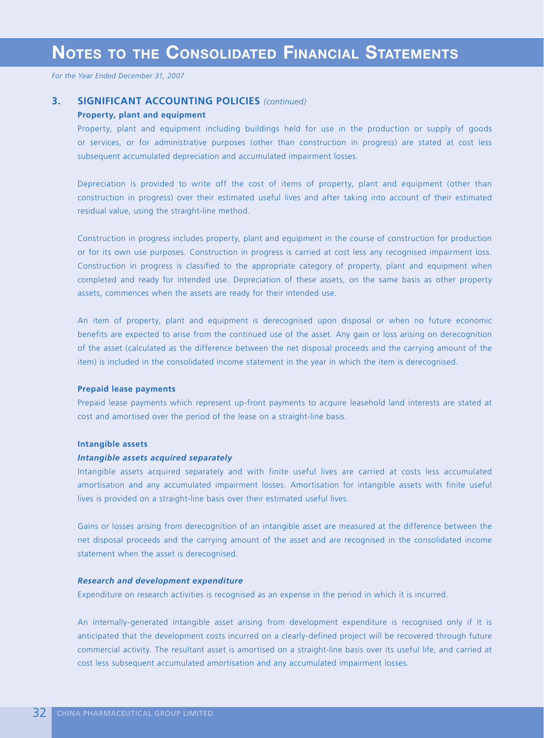## **3. SIGNIFICANT ACCOUNTING POLICIES** *(continued)*

## **Property, plant and equipment**

Property, plant and equipment including buildings held for use in the production or supply of goods or services, or for administrative purposes (other than construction in progress) are stated at cost less subsequent accumulated depreciation and accumulated impairment losses.

Depreciation is provided to write off the cost of items of property, plant and equipment (other than construction in progress) over their estimated useful lives and after taking into account of their estimated residual value, using the straight-line method.

Construction in progress includes property, plant and equipment in the course of construction for production or for its own use purposes. Construction in progress is carried at cost less any recognised impairment loss. Construction in progress is classified to the appropriate category of property, plant and equipment when completed and ready for intended use. Depreciation of these assets, on the same basis as other property assets, commences when the assets are ready for their intended use.

An item of property, plant and equipment is derecognised upon disposal or when no future economic benefits are expected to arise from the continued use of the asset. Any gain or loss arising on derecognition of the asset (calculated as the difference between the net disposal proceeds and the carrying amount of the item) is included in the consolidated income statement in the year in which the item is derecognised.

### **Prepaid lease payments**

Prepaid lease payments which represent up-front payments to acquire leasehold land interests are stated at cost and amortised over the period of the lease on a straight-line basis.

#### **Intangible assets**

### *Intangible assets acquired separately*

Intangible assets acquired separately and with finite useful lives are carried at costs less accumulated amortisation and any accumulated impairment losses. Amortisation for intangible assets with finite useful lives is provided on a straight-line basis over their estimated useful lives.

Gains or losses arising from derecognition of an intangible asset are measured at the difference between the net disposal proceeds and the carrying amount of the asset and are recognised in the consolidated income statement when the asset is derecognised.

## *Research and development expenditure*

Expenditure on research activities is recognised as an expense in the period in which it is incurred.

An internally-generated intangible asset arising from development expenditure is recognised only if it is anticipated that the development costs incurred on a clearly-defined project will be recovered through future commercial activity. The resultant asset is amortised on a straight-line basis over its useful life, and carried at cost less subsequent accumulated amortisation and any accumulated impairment losses.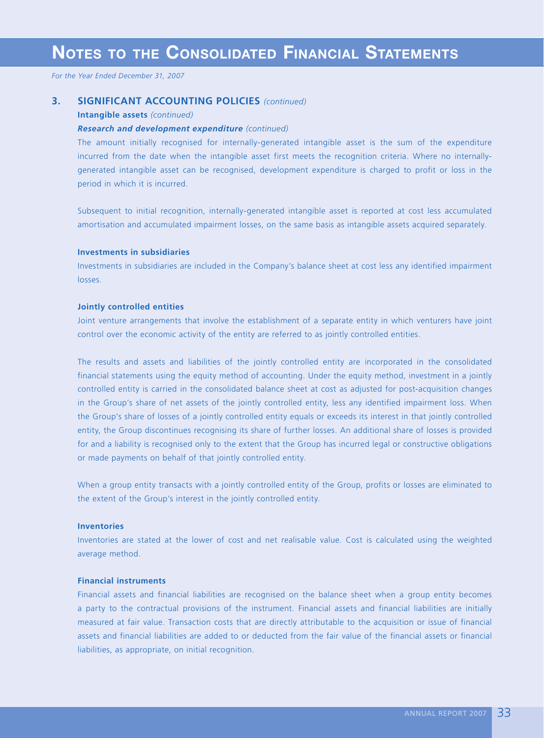# **3. SIGNIFICANT ACCOUNTING POLICIES** *(continued)*

#### **Intangible assets** *(continued)*

## *Research and development expenditure (continued)*

The amount initially recognised for internally-generated intangible asset is the sum of the expenditure incurred from the date when the intangible asset first meets the recognition criteria. Where no internallygenerated intangible asset can be recognised, development expenditure is charged to profit or loss in the period in which it is incurred.

Subsequent to initial recognition, internally-generated intangible asset is reported at cost less accumulated amortisation and accumulated impairment losses, on the same basis as intangible assets acquired separately.

## **Investments in subsidiaries**

Investments in subsidiaries are included in the Company's balance sheet at cost less any identified impairment losses.

### **Jointly controlled entities**

Joint venture arrangements that involve the establishment of a separate entity in which venturers have joint control over the economic activity of the entity are referred to as jointly controlled entities.

The results and assets and liabilities of the jointly controlled entity are incorporated in the consolidated financial statements using the equity method of accounting. Under the equity method, investment in a jointly controlled entity is carried in the consolidated balance sheet at cost as adjusted for post-acquisition changes in the Group's share of net assets of the jointly controlled entity, less any identified impairment loss. When the Group's share of losses of a jointly controlled entity equals or exceeds its interest in that jointly controlled entity, the Group discontinues recognising its share of further losses. An additional share of losses is provided for and a liability is recognised only to the extent that the Group has incurred legal or constructive obligations or made payments on behalf of that jointly controlled entity.

When a group entity transacts with a jointly controlled entity of the Group, profits or losses are eliminated to the extent of the Group's interest in the jointly controlled entity.

### **Inventories**

Inventories are stated at the lower of cost and net realisable value. Cost is calculated using the weighted average method.

## **Financial instruments**

Financial assets and financial liabilities are recognised on the balance sheet when a group entity becomes a party to the contractual provisions of the instrument. Financial assets and financial liabilities are initially measured at fair value. Transaction costs that are directly attributable to the acquisition or issue of financial assets and financial liabilities are added to or deducted from the fair value of the financial assets or financial liabilities, as appropriate, on initial recognition.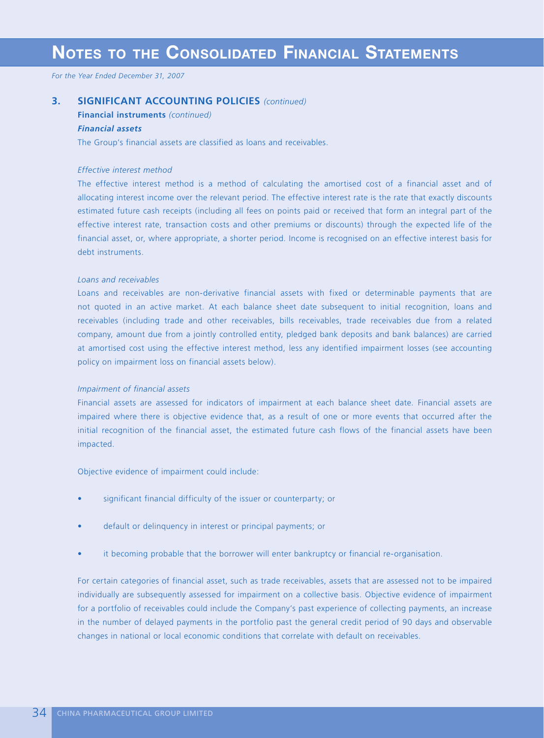# **NOTES TO THE CONSOLIDATED FINANCIAL STATEMENTS**

*For the Year Ended December 31, 2007*

# **3. SIGNIFICANT ACCOUNTING POLICIES** *(continued)*

**Financial instruments** *(continued)*

# *Financial assets*

The Group's financial assets are classified as loans and receivables.

### *Effective interest method*

The effective interest method is a method of calculating the amortised cost of a financial asset and of allocating interest income over the relevant period. The effective interest rate is the rate that exactly discounts estimated future cash receipts (including all fees on points paid or received that form an integral part of the effective interest rate, transaction costs and other premiums or discounts) through the expected life of the financial asset, or, where appropriate, a shorter period. Income is recognised on an effective interest basis for debt instruments.

## *Loans and receivables*

Loans and receivables are non-derivative financial assets with fixed or determinable payments that are not quoted in an active market. At each balance sheet date subsequent to initial recognition, loans and receivables (including trade and other receivables, bills receivables, trade receivables due from a related company, amount due from a jointly controlled entity, pledged bank deposits and bank balances) are carried at amortised cost using the effective interest method, less any identified impairment losses (see accounting policy on impairment loss on financial assets below).

#### *Impairment of financial assets*

Financial assets are assessed for indicators of impairment at each balance sheet date. Financial assets are impaired where there is objective evidence that, as a result of one or more events that occurred after the initial recognition of the financial asset, the estimated future cash flows of the financial assets have been impacted.

Objective evidence of impairment could include:

- significant financial difficulty of the issuer or counterparty; or
- default or delinquency in interest or principal payments; or
- it becoming probable that the borrower will enter bankruptcy or financial re-organisation.

For certain categories of financial asset, such as trade receivables, assets that are assessed not to be impaired individually are subsequently assessed for impairment on a collective basis. Objective evidence of impairment for a portfolio of receivables could include the Company's past experience of collecting payments, an increase in the number of delayed payments in the portfolio past the general credit period of 90 days and observable changes in national or local economic conditions that correlate with default on receivables.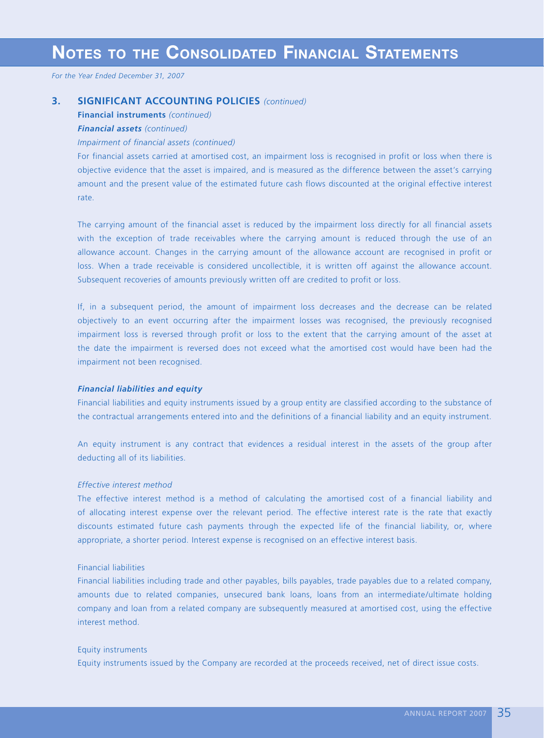## **3. SIGNIFICANT ACCOUNTING POLICIES** *(continued)*

**Financial instruments** *(continued)*

# *Financial assets (continued)*

## *Impairment of financial assets (continued)*

For financial assets carried at amortised cost, an impairment loss is recognised in profit or loss when there is objective evidence that the asset is impaired, and is measured as the difference between the asset's carrying amount and the present value of the estimated future cash flows discounted at the original effective interest rate.

The carrying amount of the financial asset is reduced by the impairment loss directly for all financial assets with the exception of trade receivables where the carrying amount is reduced through the use of an allowance account. Changes in the carrying amount of the allowance account are recognised in profit or loss. When a trade receivable is considered uncollectible, it is written off against the allowance account. Subsequent recoveries of amounts previously written off are credited to profit or loss.

If, in a subsequent period, the amount of impairment loss decreases and the decrease can be related objectively to an event occurring after the impairment losses was recognised, the previously recognised impairment loss is reversed through profit or loss to the extent that the carrying amount of the asset at the date the impairment is reversed does not exceed what the amortised cost would have been had the impairment not been recognised.

### *Financial liabilities and equity*

Financial liabilities and equity instruments issued by a group entity are classified according to the substance of the contractual arrangements entered into and the definitions of a financial liability and an equity instrument.

An equity instrument is any contract that evidences a residual interest in the assets of the group after deducting all of its liabilities.

## *Effective interest method*

The effective interest method is a method of calculating the amortised cost of a financial liability and of allocating interest expense over the relevant period. The effective interest rate is the rate that exactly discounts estimated future cash payments through the expected life of the financial liability, or, where appropriate, a shorter period. Interest expense is recognised on an effective interest basis.

## Financial liabilities

Financial liabilities including trade and other payables, bills payables, trade payables due to a related company, amounts due to related companies, unsecured bank loans, loans from an intermediate/ultimate holding company and loan from a related company are subsequently measured at amortised cost, using the effective interest method.

### Equity instruments

Equity instruments issued by the Company are recorded at the proceeds received, net of direct issue costs.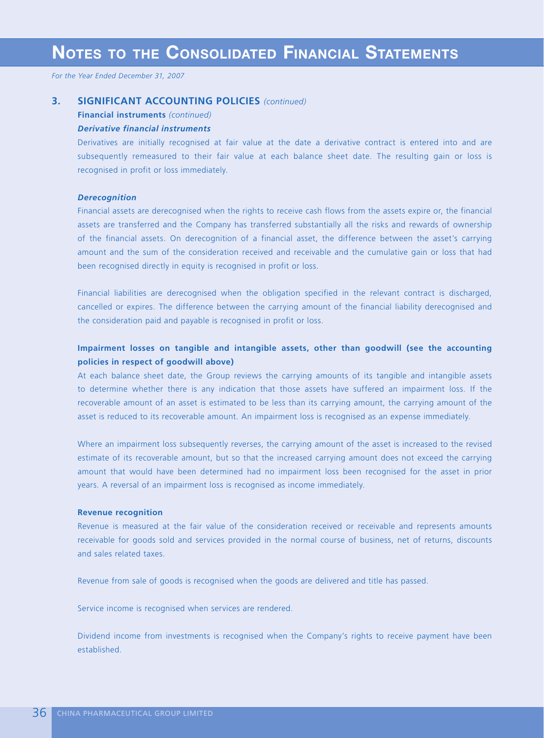### **3. SIGNIFICANT ACCOUNTING POLICIES** *(continued)*

**Financial instruments** *(continued)*

## *Derivative financial instruments*

Derivatives are initially recognised at fair value at the date a derivative contract is entered into and are subsequently remeasured to their fair value at each balance sheet date. The resulting gain or loss is recognised in profit or loss immediately.

#### *Derecognition*

Financial assets are derecognised when the rights to receive cash flows from the assets expire or, the financial assets are transferred and the Company has transferred substantially all the risks and rewards of ownership of the financial assets. On derecognition of a financial asset, the difference between the asset's carrying amount and the sum of the consideration received and receivable and the cumulative gain or loss that had been recognised directly in equity is recognised in profit or loss.

Financial liabilities are derecognised when the obligation specified in the relevant contract is discharged, cancelled or expires. The difference between the carrying amount of the financial liability derecognised and the consideration paid and payable is recognised in profit or loss.

## **Impairment losses on tangible and intangible assets, other than goodwill (see the accounting policies in respect of goodwill above)**

At each balance sheet date, the Group reviews the carrying amounts of its tangible and intangible assets to determine whether there is any indication that those assets have suffered an impairment loss. If the recoverable amount of an asset is estimated to be less than its carrying amount, the carrying amount of the asset is reduced to its recoverable amount. An impairment loss is recognised as an expense immediately.

Where an impairment loss subsequently reverses, the carrying amount of the asset is increased to the revised estimate of its recoverable amount, but so that the increased carrying amount does not exceed the carrying amount that would have been determined had no impairment loss been recognised for the asset in prior years. A reversal of an impairment loss is recognised as income immediately.

#### **Revenue recognition**

Revenue is measured at the fair value of the consideration received or receivable and represents amounts receivable for goods sold and services provided in the normal course of business, net of returns, discounts and sales related taxes.

Revenue from sale of goods is recognised when the goods are delivered and title has passed.

Service income is recognised when services are rendered.

Dividend income from investments is recognised when the Company's rights to receive payment have been established.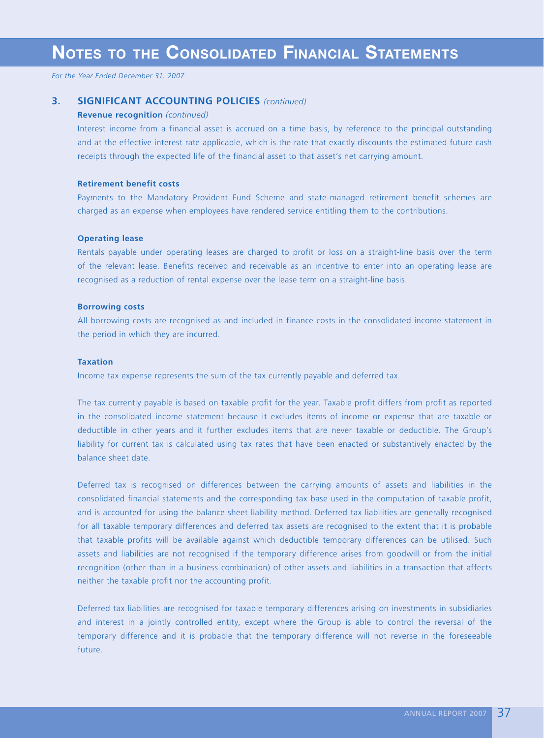## **3. SIGNIFICANT ACCOUNTING POLICIES** *(continued)*

#### **Revenue recognition** *(continued)*

Interest income from a financial asset is accrued on a time basis, by reference to the principal outstanding and at the effective interest rate applicable, which is the rate that exactly discounts the estimated future cash receipts through the expected life of the financial asset to that asset's net carrying amount.

#### **Retirement benefit costs**

Payments to the Mandatory Provident Fund Scheme and state-managed retirement benefit schemes are charged as an expense when employees have rendered service entitling them to the contributions.

#### **Operating lease**

Rentals payable under operating leases are charged to profit or loss on a straight-line basis over the term of the relevant lease. Benefits received and receivable as an incentive to enter into an operating lease are recognised as a reduction of rental expense over the lease term on a straight-line basis.

#### **Borrowing costs**

All borrowing costs are recognised as and included in finance costs in the consolidated income statement in the period in which they are incurred.

#### **Taxation**

Income tax expense represents the sum of the tax currently payable and deferred tax.

The tax currently payable is based on taxable profit for the year. Taxable profit differs from profit as reported in the consolidated income statement because it excludes items of income or expense that are taxable or deductible in other years and it further excludes items that are never taxable or deductible. The Group's liability for current tax is calculated using tax rates that have been enacted or substantively enacted by the balance sheet date.

Deferred tax is recognised on differences between the carrying amounts of assets and liabilities in the consolidated financial statements and the corresponding tax base used in the computation of taxable profit, and is accounted for using the balance sheet liability method. Deferred tax liabilities are generally recognised for all taxable temporary differences and deferred tax assets are recognised to the extent that it is probable that taxable profits will be available against which deductible temporary differences can be utilised. Such assets and liabilities are not recognised if the temporary difference arises from goodwill or from the initial recognition (other than in a business combination) of other assets and liabilities in a transaction that affects neither the taxable profit nor the accounting profit.

Deferred tax liabilities are recognised for taxable temporary differences arising on investments in subsidiaries and interest in a jointly controlled entity, except where the Group is able to control the reversal of the temporary difference and it is probable that the temporary difference will not reverse in the foreseeable future.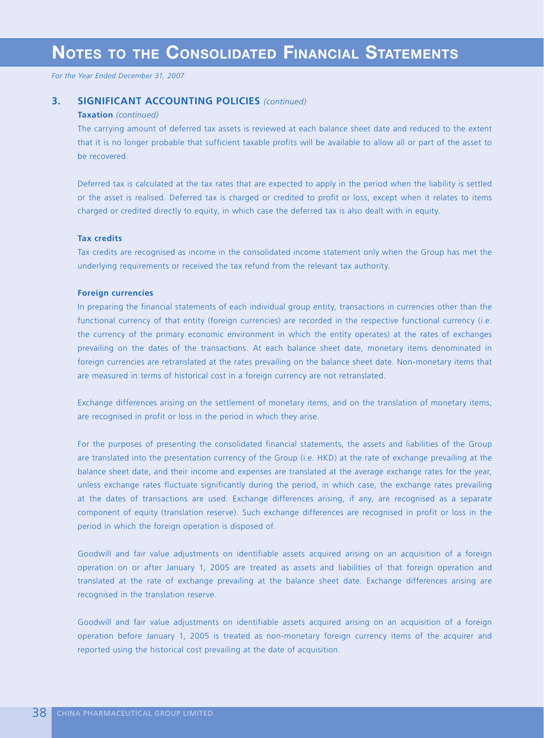## **3. SIGNIFICANT ACCOUNTING POLICIES** *(continued)*

#### **Taxation** *(continued)*

The carrying amount of deferred tax assets is reviewed at each balance sheet date and reduced to the extent that it is no longer probable that sufficient taxable profits will be available to allow all or part of the asset to be recovered.

Deferred tax is calculated at the tax rates that are expected to apply in the period when the liability is settled or the asset is realised. Deferred tax is charged or credited to profit or loss, except when it relates to items charged or credited directly to equity, in which case the deferred tax is also dealt with in equity.

#### **Tax credits**

Tax credits are recognised as income in the consolidated income statement only when the Group has met the underlying requirements or received the tax refund from the relevant tax authority.

#### **Foreign currencies**

In preparing the financial statements of each individual group entity, transactions in currencies other than the functional currency of that entity (foreign currencies) are recorded in the respective functional currency (i.e. the currency of the primary economic environment in which the entity operates) at the rates of exchanges prevailing on the dates of the transactions. At each balance sheet date, monetary items denominated in foreign currencies are retranslated at the rates prevailing on the balance sheet date. Non-monetary items that are measured in terms of historical cost in a foreign currency are not retranslated.

Exchange differences arising on the settlement of monetary items, and on the translation of monetary items, are recognised in profit or loss in the period in which they arise.

For the purposes of presenting the consolidated financial statements, the assets and liabilities of the Group are translated into the presentation currency of the Group (i.e. HKD) at the rate of exchange prevailing at the balance sheet date, and their income and expenses are translated at the average exchange rates for the year, unless exchange rates fluctuate significantly during the period, in which case, the exchange rates prevailing at the dates of transactions are used. Exchange differences arising, if any, are recognised as a separate component of equity (translation reserve). Such exchange differences are recognised in profit or loss in the period in which the foreign operation is disposed of.

Goodwill and fair value adjustments on identifiable assets acquired arising on an acquisition of a foreign operation on or after January 1, 2005 are treated as assets and liabilities of that foreign operation and translated at the rate of exchange prevailing at the balance sheet date. Exchange differences arising are recognised in the translation reserve.

Goodwill and fair value adjustments on identifiable assets acquired arising on an acquisition of a foreign operation before January 1, 2005 is treated as non-monetary foreign currency items of the acquirer and reported using the historical cost prevailing at the date of acquisition.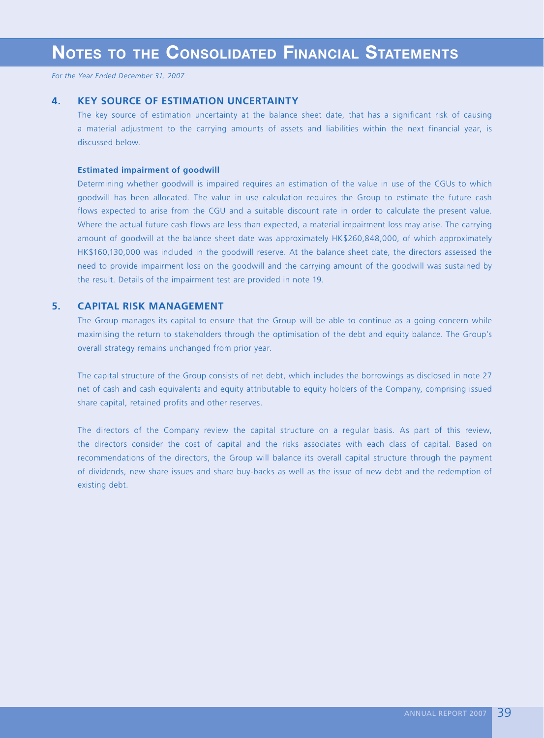### **4. KEY SOURCE OF ESTIMATION UNCERTAINTY**

The key source of estimation uncertainty at the balance sheet date, that has a significant risk of causing a material adjustment to the carrying amounts of assets and liabilities within the next financial year, is discussed below.

#### **Estimated impairment of goodwill**

Determining whether goodwill is impaired requires an estimation of the value in use of the CGUs to which goodwill has been allocated. The value in use calculation requires the Group to estimate the future cash flows expected to arise from the CGU and a suitable discount rate in order to calculate the present value. Where the actual future cash flows are less than expected, a material impairment loss may arise. The carrying amount of goodwill at the balance sheet date was approximately HK\$260,848,000, of which approximately HK\$160,130,000 was included in the goodwill reserve. At the balance sheet date, the directors assessed the need to provide impairment loss on the goodwill and the carrying amount of the goodwill was sustained by the result. Details of the impairment test are provided in note 19.

## **5. CAPITAL RISK MANAGEMENT**

The Group manages its capital to ensure that the Group will be able to continue as a going concern while maximising the return to stakeholders through the optimisation of the debt and equity balance. The Group's overall strategy remains unchanged from prior year.

The capital structure of the Group consists of net debt, which includes the borrowings as disclosed in note 27 net of cash and cash equivalents and equity attributable to equity holders of the Company, comprising issued share capital, retained profits and other reserves.

The directors of the Company review the capital structure on a regular basis. As part of this review, the directors consider the cost of capital and the risks associates with each class of capital. Based on recommendations of the directors, the Group will balance its overall capital structure through the payment of dividends, new share issues and share buy-backs as well as the issue of new debt and the redemption of existing debt.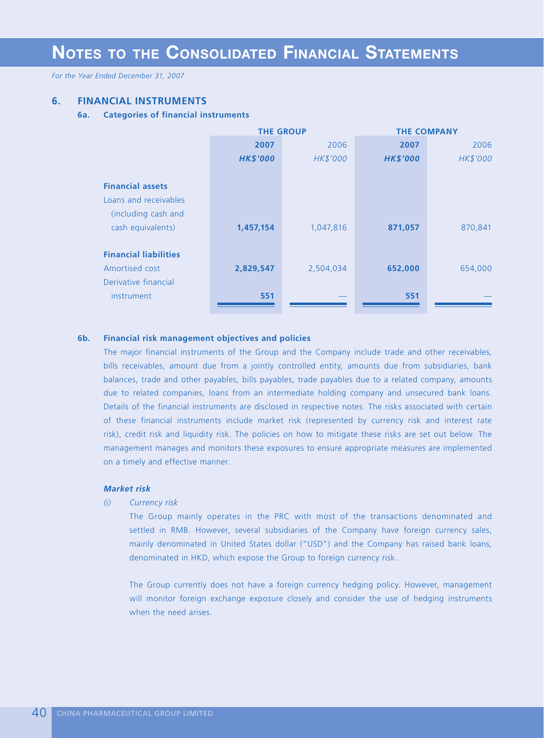*For the Year Ended December 31, 2007*

## **6. FINANCIAL INSTRUMENTS**

#### **6a. Categories of financial instruments**

|                              |                 | <b>THE GROUP</b> | <b>THE COMPANY</b> |          |  |  |
|------------------------------|-----------------|------------------|--------------------|----------|--|--|
|                              | 2007            | 2006             | 2007               | 2006     |  |  |
|                              | <b>HK\$'000</b> | HK\$'000         | <b>HK\$'000</b>    | HK\$'000 |  |  |
|                              |                 |                  |                    |          |  |  |
| <b>Financial assets</b>      |                 |                  |                    |          |  |  |
| Loans and receivables        |                 |                  |                    |          |  |  |
| (including cash and          |                 |                  |                    |          |  |  |
| cash equivalents)            | 1,457,154       | 1,047,816        | 871,057            | 870,841  |  |  |
|                              |                 |                  |                    |          |  |  |
| <b>Financial liabilities</b> |                 |                  |                    |          |  |  |
| Amortised cost               | 2,829,547       | 2,504,034        | 652,000            | 654,000  |  |  |
| Derivative financial         |                 |                  |                    |          |  |  |
| instrument                   | 551             |                  | 551                |          |  |  |
|                              |                 |                  |                    |          |  |  |

#### **6b. Financial risk management objectives and policies**

The major financial instruments of the Group and the Company include trade and other receivables, bills receivables, amount due from a jointly controlled entity, amounts due from subsidiaries, bank balances, trade and other payables, bills payables, trade payables due to a related company, amounts due to related companies, loans from an intermediate holding company and unsecured bank loans. Details of the financial instruments are disclosed in respective notes. The risks associated with certain of these financial instruments include market risk (represented by currency risk and interest rate risk), credit risk and liquidity risk. The policies on how to mitigate these risks are set out below. The management manages and monitors these exposures to ensure appropriate measures are implemented on a timely and effective manner.

#### *Market risk*

*(i) Currency risk*

The Group mainly operates in the PRC with most of the transactions denominated and settled in RMB. However, several subsidiaries of the Company have foreign currency sales, mainly denominated in United States dollar ("USD") and the Company has raised bank loans, denominated in HKD, which expose the Group to foreign currency risk.

The Group currently does not have a foreign currency hedging policy. However, management will monitor foreign exchange exposure closely and consider the use of hedging instruments when the need arises.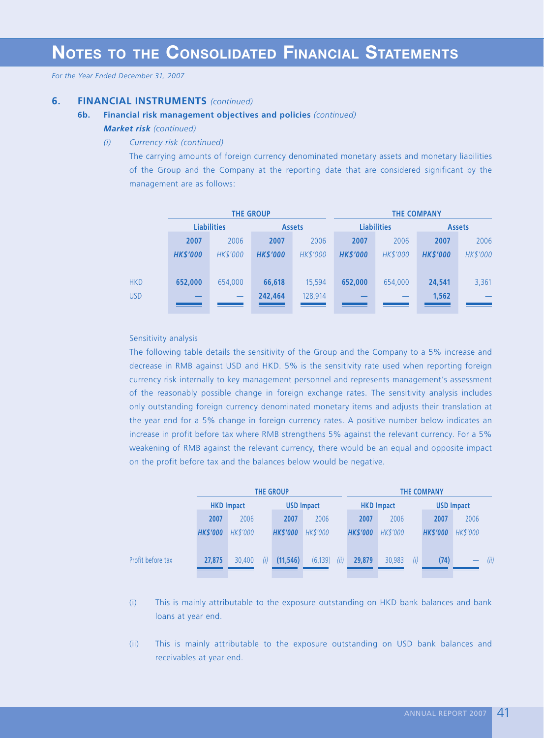## **6. FINANCIAL INSTRUMENTS** *(continued)*

#### **6b. Financial risk management objectives and policies** *(continued)*

#### *Market risk (continued)*

*(i) Currency risk (continued)*

The carrying amounts of foreign currency denominated monetary assets and monetary liabilities of the Group and the Company at the reporting date that are considered significant by the management are as follows:

|            |                    |          | <b>THE GROUP</b> |                      | <b>THE COMPANY</b> |          |                 |          |  |
|------------|--------------------|----------|------------------|----------------------|--------------------|----------|-----------------|----------|--|
|            | <b>Liabilities</b> |          | <b>Assets</b>    |                      | <b>Liabilities</b> |          | <b>Assets</b>   |          |  |
|            | 2007               | 2006     | 2007             | 2006                 | 2007               | 2006     | 2007            | 2006     |  |
|            | <b>HK\$'000</b>    | HK\$'000 | <b>HK\$'000</b>  | HK\$'000             | <b>HK\$'000</b>    | HK\$'000 | <b>HK\$'000</b> | HK\$'000 |  |
|            |                    |          |                  |                      |                    |          |                 |          |  |
| <b>HKD</b> | 652,000            | 654,000  | 66,618           | 15.594               | 652,000            | 654,000  | 24,541          | 3,361    |  |
| <b>USD</b> |                    |          | 242,464          | 128,914              |                    |          | 1,562           |          |  |
|            |                    |          |                  | and the state of the |                    |          |                 |          |  |

## Sensitivity analysis

The following table details the sensitivity of the Group and the Company to a 5% increase and decrease in RMB against USD and HKD. 5% is the sensitivity rate used when reporting foreign currency risk internally to key management personnel and represents management's assessment of the reasonably possible change in foreign exchange rates. The sensitivity analysis includes only outstanding foreign currency denominated monetary items and adjusts their translation at the year end for a 5% change in foreign currency rates. A positive number below indicates an increase in profit before tax where RMB strengthens 5% against the relevant currency. For a 5% weakening of RMB against the relevant currency, there would be an equal and opposite impact on the profit before tax and the balances below would be negative.

|                   |                   | <b>THE GROUP</b> |                   |                  |                   | THE COMPANY   |                   |          |      |  |
|-------------------|-------------------|------------------|-------------------|------------------|-------------------|---------------|-------------------|----------|------|--|
|                   | <b>HKD Impact</b> |                  | <b>USD Impact</b> |                  | <b>HKD Impact</b> |               | <b>USD Impact</b> |          |      |  |
|                   | 2007              | 2006             | 2007              | 2006             | 2007              | 2006          | 2007              | 2006     |      |  |
|                   | <b>HK\$'000</b>   | <b>HK\$'000</b>  | <b>HK\$'000</b>   | HK\$'000         | <b>HK\$'000</b>   | HK\$'000      | <b>HK\$'000</b>   | HK\$'000 |      |  |
|                   |                   |                  |                   |                  |                   |               |                   |          |      |  |
| Profit before tax | 27,875            | 30,400<br>(i)    | (11, 546)         | (6, 139)<br>(ii) | 29,879            | (i)<br>30,983 | (74)              |          | (ii) |  |
|                   |                   |                  |                   |                  |                   |               |                   |          |      |  |

- (i) This is mainly attributable to the exposure outstanding on HKD bank balances and bank loans at year end.
- (ii) This is mainly attributable to the exposure outstanding on USD bank balances and receivables at year end.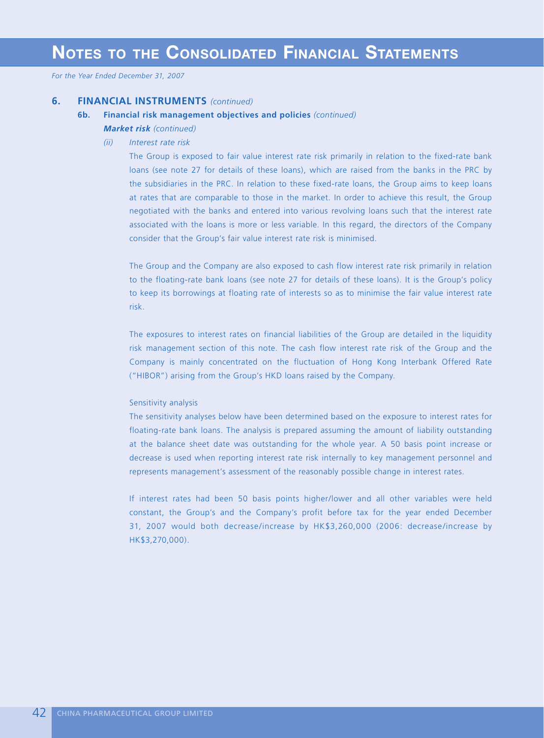*For the Year Ended December 31, 2007*

## **6. FINANCIAL INSTRUMENTS** *(continued)*

#### **6b. Financial risk management objectives and policies** *(continued)*

- *Market risk (continued)*
	- *(ii) Interest rate risk*

The Group is exposed to fair value interest rate risk primarily in relation to the fixed-rate bank loans (see note 27 for details of these loans), which are raised from the banks in the PRC by the subsidiaries in the PRC. In relation to these fixed-rate loans, the Group aims to keep loans at rates that are comparable to those in the market. In order to achieve this result, the Group negotiated with the banks and entered into various revolving loans such that the interest rate associated with the loans is more or less variable. In this regard, the directors of the Company consider that the Group's fair value interest rate risk is minimised.

The Group and the Company are also exposed to cash flow interest rate risk primarily in relation to the floating-rate bank loans (see note 27 for details of these loans). It is the Group's policy to keep its borrowings at floating rate of interests so as to minimise the fair value interest rate risk.

The exposures to interest rates on financial liabilities of the Group are detailed in the liquidity risk management section of this note. The cash flow interest rate risk of the Group and the Company is mainly concentrated on the fluctuation of Hong Kong Interbank Offered Rate ("HIBOR") arising from the Group's HKD loans raised by the Company.

#### Sensitivity analysis

The sensitivity analyses below have been determined based on the exposure to interest rates for floating-rate bank loans. The analysis is prepared assuming the amount of liability outstanding at the balance sheet date was outstanding for the whole year. A 50 basis point increase or decrease is used when reporting interest rate risk internally to key management personnel and represents management's assessment of the reasonably possible change in interest rates.

If interest rates had been 50 basis points higher/lower and all other variables were held constant, the Group's and the Company's profit before tax for the year ended December 31, 2007 would both decrease/increase by HK\$3,260,000 (2006: decrease/increase by HK\$3,270,000).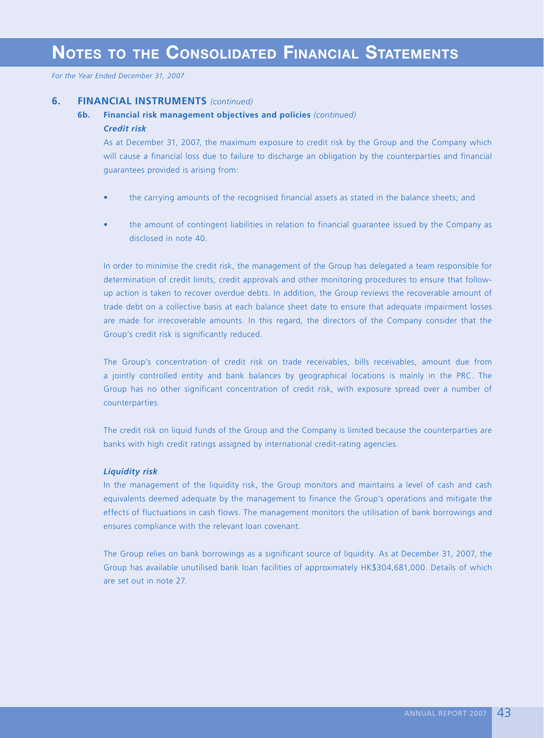*For the Year Ended December 31, 2007*

### **6. FINANCIAL INSTRUMENTS** *(continued)*

## **6b. Financial risk management objectives and policies** *(continued) Credit risk*

As at December 31, 2007, the maximum exposure to credit risk by the Group and the Company which will cause a financial loss due to failure to discharge an obligation by the counterparties and financial guarantees provided is arising from:

- the carrying amounts of the recognised financial assets as stated in the balance sheets; and
- the amount of contingent liabilities in relation to financial guarantee issued by the Company as disclosed in note 40.

In order to minimise the credit risk, the management of the Group has delegated a team responsible for determination of credit limits, credit approvals and other monitoring procedures to ensure that followup action is taken to recover overdue debts. In addition, the Group reviews the recoverable amount of trade debt on a collective basis at each balance sheet date to ensure that adequate impairment losses are made for irrecoverable amounts. In this regard, the directors of the Company consider that the Group's credit risk is significantly reduced.

The Group's concentration of credit risk on trade receivables, bills receivables, amount due from a jointly controlled entity and bank balances by geographical locations is mainly in the PRC. The Group has no other significant concentration of credit risk, with exposure spread over a number of counterparties.

The credit risk on liquid funds of the Group and the Company is limited because the counterparties are banks with high credit ratings assigned by international credit-rating agencies.

#### *Liquidity risk*

In the management of the liquidity risk, the Group monitors and maintains a level of cash and cash equivalents deemed adequate by the management to finance the Group's operations and mitigate the effects of fluctuations in cash flows. The management monitors the utilisation of bank borrowings and ensures compliance with the relevant loan covenant.

The Group relies on bank borrowings as a significant source of liquidity. As at December 31, 2007, the Group has available unutilised bank loan facilities of approximately HK\$304,681,000. Details of which are set out in note 27.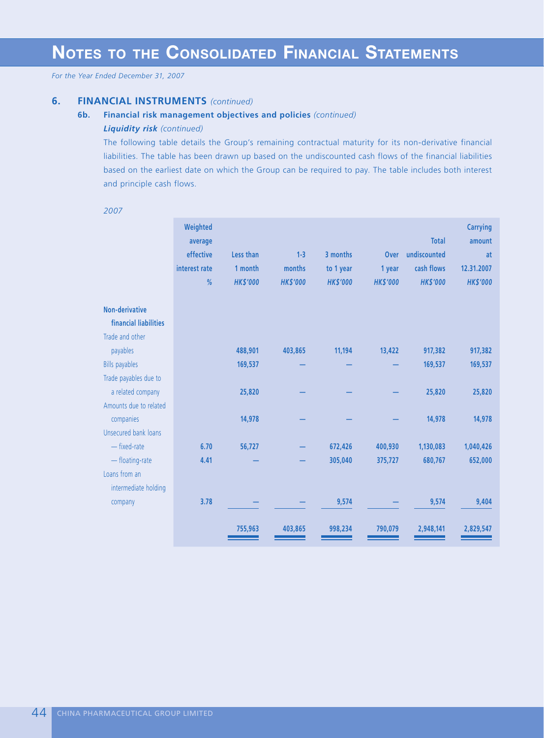## **6. FINANCIAL INSTRUMENTS** *(continued)*

#### **6b. Financial risk management objectives and policies** *(continued)*

#### *Liquidity risk (continued)*

The following table details the Group's remaining contractual maturity for its non-derivative financial liabilities. The table has been drawn up based on the undiscounted cash flows of the financial liabilities based on the earliest date on which the Group can be required to pay. The table includes both interest and principle cash flows.

|                                                            | Weighted<br>average<br>effective<br>interest rate | Less than<br>1 month | $1 - 3$<br>months | 3 months<br>to 1 year | <b>Over</b><br>1 year | <b>Total</b><br>undiscounted<br>cash flows | <b>Carrying</b><br>amount<br>at<br>12.31.2007 |
|------------------------------------------------------------|---------------------------------------------------|----------------------|-------------------|-----------------------|-----------------------|--------------------------------------------|-----------------------------------------------|
|                                                            | %                                                 | <b>HK\$'000</b>      | <b>HK\$'000</b>   | <b>HK\$'000</b>       | <b>HK\$'000</b>       | <b>HK\$'000</b>                            | <b>HK\$'000</b>                               |
| Non-derivative<br>financial liabilities<br>Trade and other |                                                   |                      |                   |                       |                       |                                            |                                               |
| payables<br><b>Bills payables</b>                          |                                                   | 488,901<br>169,537   | 403,865           | 11,194                | 13,422                | 917,382<br>169,537                         | 917,382<br>169,537                            |
| Trade payables due to<br>a related company                 |                                                   | 25,820               |                   |                       |                       | 25,820                                     | 25,820                                        |
| Amounts due to related<br>companies                        |                                                   | 14,978               |                   |                       |                       | 14,978                                     | 14,978                                        |
| Unsecured bank loans<br>- fixed-rate                       | 6.70                                              | 56,727               |                   | 672,426               | 400,930               | 1,130,083                                  | 1,040,426                                     |
| - floating-rate<br>Loans from an                           | 4.41                                              |                      |                   | 305,040               | 375,727               | 680,767                                    | 652,000                                       |
| intermediate holding<br>company                            | 3.78                                              |                      |                   | 9,574                 |                       | 9,574                                      | 9,404                                         |
|                                                            |                                                   | 755,963              | 403,865           | 998,234               | 790,079               | 2,948,141                                  | 2,829,547                                     |

*2007*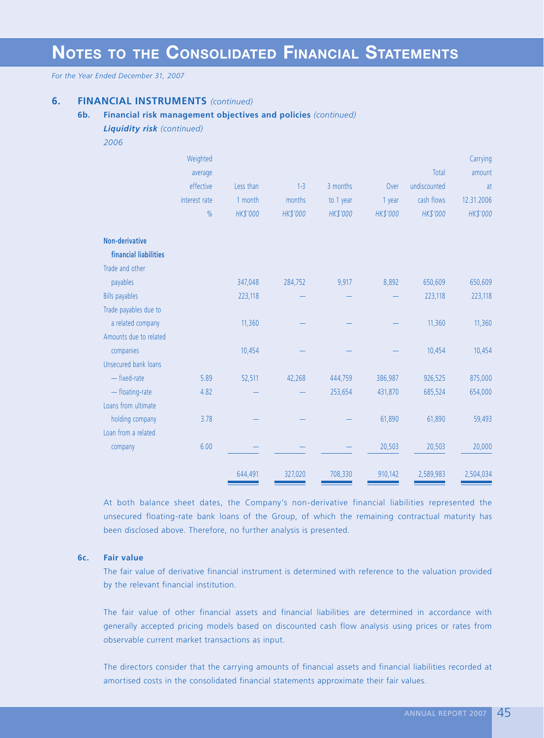*For the Year Ended December 31, 2007*

## **6. FINANCIAL INSTRUMENTS** *(continued)*

### **6b. Financial risk management objectives and policies** *(continued)*

#### *Liquidity risk (continued)*

*2006*

|                        | Weighted      |           |          |           |          |              | Carrying   |
|------------------------|---------------|-----------|----------|-----------|----------|--------------|------------|
|                        | average       |           |          |           |          | Total        | amount     |
|                        | effective     | Less than | $1 - 3$  | 3 months  | Over     | undiscounted | at         |
|                        | interest rate | 1 month   | months   | to 1 year | 1 year   | cash flows   | 12.31.2006 |
|                        | $\frac{0}{0}$ | HK\$'000  | HK\$'000 | HK\$'000  | HK\$'000 | HK\$'000     | HK\$'000   |
| <b>Non-derivative</b>  |               |           |          |           |          |              |            |
| financial liabilities  |               |           |          |           |          |              |            |
| Trade and other        |               |           |          |           |          |              |            |
| payables               |               | 347,048   | 284,752  | 9,917     | 8,892    | 650,609      | 650,609    |
| <b>Bills payables</b>  |               | 223,118   |          |           |          | 223,118      | 223,118    |
| Trade payables due to  |               |           |          |           |          |              |            |
| a related company      |               | 11,360    |          |           |          | 11,360       | 11,360     |
| Amounts due to related |               |           |          |           |          |              |            |
| companies              |               | 10,454    |          |           |          | 10,454       | 10,454     |
| Unsecured bank loans   |               |           |          |           |          |              |            |
| - fixed-rate           | 5.89          | 52,511    | 42,268   | 444,759   | 386,987  | 926,525      | 875,000    |
| - floating-rate        | 4.82          |           |          | 253,654   | 431,870  | 685,524      | 654,000    |
| Loans from ultimate    |               |           |          |           |          |              |            |
| holding company        | 3.78          |           |          |           | 61,890   | 61,890       | 59,493     |
| Loan from a related    |               |           |          |           |          |              |            |
| company                | 6.00          |           |          |           | 20,503   | 20,503       | 20,000     |
|                        |               | 644,491   | 327,020  | 708,330   | 910,142  | 2,589,983    | 2,504,034  |

At both balance sheet dates, the Company's non-derivative financial liabilities represented the unsecured floating-rate bank loans of the Group, of which the remaining contractual maturity has been disclosed above. Therefore, no further analysis is presented.

#### **6c. Fair value**

The fair value of derivative financial instrument is determined with reference to the valuation provided by the relevant financial institution.

The fair value of other financial assets and financial liabilities are determined in accordance with generally accepted pricing models based on discounted cash flow analysis using prices or rates from observable current market transactions as input.

The directors consider that the carrying amounts of financial assets and financial liabilities recorded at amortised costs in the consolidated financial statements approximate their fair values.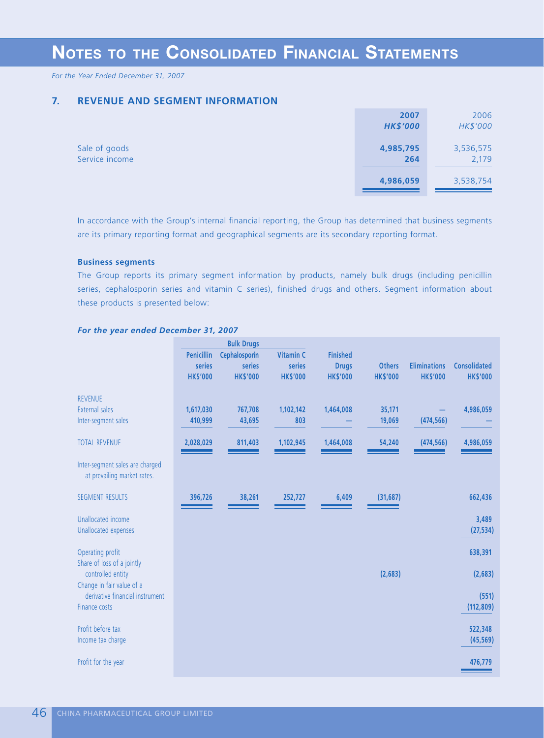*For the Year Ended December 31, 2007*

## **7. REVENUE AND SEGMENT INFORMATION**

|                | 2007            | 2006      |
|----------------|-----------------|-----------|
|                | <b>HK\$'000</b> | HK\$'000  |
|                |                 |           |
| Sale of goods  | 4,985,795       | 3,536,575 |
| Service income | 264             | 2,179     |
|                |                 |           |
|                | 4,986,059       | 3,538,754 |
|                |                 |           |

In accordance with the Group's internal financial reporting, the Group has determined that business segments are its primary reporting format and geographical segments are its secondary reporting format.

#### **Business segments**

The Group reports its primary segment information by products, namely bulk drugs (including penicillin series, cephalosporin series and vitamin C series), finished drugs and others. Segment information about these products is presented below:

|                                                                | <b>Bulk Drugs</b>           |                         |                            |                                 |                 |                     |                     |  |
|----------------------------------------------------------------|-----------------------------|-------------------------|----------------------------|---------------------------------|-----------------|---------------------|---------------------|--|
|                                                                | <b>Penicillin</b><br>series | Cephalosporin<br>series | <b>Vitamin C</b><br>series | <b>Finished</b><br><b>Drugs</b> | <b>Others</b>   | <b>Eliminations</b> | <b>Consolidated</b> |  |
|                                                                | <b>HK\$'000</b>             | <b>HK\$'000</b>         | <b>HK\$'000</b>            | <b>HK\$'000</b>                 | <b>HK\$'000</b> | <b>HK\$'000</b>     | <b>HK\$'000</b>     |  |
| <b>REVENUE</b>                                                 |                             |                         |                            |                                 |                 |                     |                     |  |
| <b>External sales</b>                                          | 1,617,030                   | 767,708                 | 1,102,142                  | 1,464,008                       | 35,171          |                     | 4,986,059           |  |
| Inter-segment sales                                            | 410,999                     | 43,695                  | 803                        |                                 | 19,069          | (474, 566)          |                     |  |
| <b>TOTAL REVENUE</b>                                           | 2,028,029                   | 811,403                 | 1,102,945                  | 1,464,008                       | 54,240          | (474, 566)          | 4,986,059           |  |
| Inter-segment sales are charged<br>at prevailing market rates. |                             |                         |                            |                                 |                 |                     |                     |  |
| <b>SEGMENT RESULTS</b>                                         | 396,726                     | 38,261                  | 252,727                    | 6,409                           | (31, 687)       |                     | 662,436             |  |
| Unallocated income                                             |                             |                         |                            |                                 |                 |                     | 3,489               |  |
| Unallocated expenses                                           |                             |                         |                            |                                 |                 |                     | (27, 534)           |  |
|                                                                |                             |                         |                            |                                 |                 |                     |                     |  |
| Operating profit                                               |                             |                         |                            |                                 |                 |                     | 638,391             |  |
| Share of loss of a jointly                                     |                             |                         |                            |                                 |                 |                     |                     |  |
| controlled entity                                              |                             |                         |                            |                                 | (2,683)         |                     | (2,683)             |  |
| Change in fair value of a                                      |                             |                         |                            |                                 |                 |                     |                     |  |
| derivative financial instrument                                |                             |                         |                            |                                 |                 |                     | (551)               |  |
| Finance costs                                                  |                             |                         |                            |                                 |                 |                     | (112, 809)          |  |
| Profit before tax                                              |                             |                         |                            |                                 |                 |                     | 522,348             |  |
| Income tax charge                                              |                             |                         |                            |                                 |                 |                     | (45, 569)           |  |
|                                                                |                             |                         |                            |                                 |                 |                     |                     |  |
| Profit for the year                                            |                             |                         |                            |                                 |                 |                     | 476,779             |  |
|                                                                |                             |                         |                            |                                 |                 |                     |                     |  |

#### *For the year ended December 31, 2007*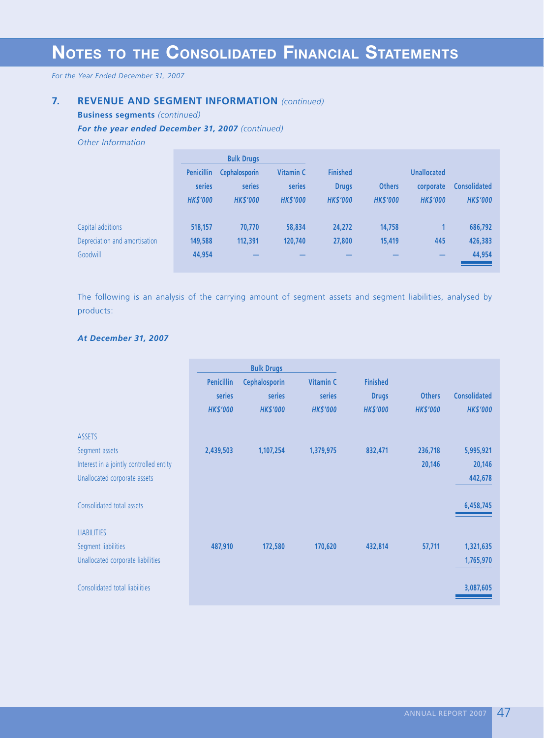*For the Year Ended December 31, 2007*

## **7. REVENUE AND SEGMENT INFORMATION** *(continued)*

**Business segments** *(continued)*

*For the year ended December 31, 2007 (continued)*

*Other Information*

|                               |                   | <b>Bulk Drugs</b>    |                  |                 |                 |                    |                     |
|-------------------------------|-------------------|----------------------|------------------|-----------------|-----------------|--------------------|---------------------|
|                               | <b>Penicillin</b> | <b>Cephalosporin</b> | <b>Vitamin C</b> | <b>Finished</b> |                 | <b>Unallocated</b> |                     |
|                               | series            | series               | series           | <b>Drugs</b>    | <b>Others</b>   | corporate          | <b>Consolidated</b> |
|                               | <b>HK\$'000</b>   | <b>HK\$'000</b>      | <b>HK\$'000</b>  | <b>HK\$'000</b> | <b>HK\$'000</b> | <b>HK\$'000</b>    | <b>HK\$'000</b>     |
|                               |                   |                      |                  |                 |                 |                    |                     |
| Capital additions             | 518,157           | 70,770               | 58,834           | 24,272          | 14,758          |                    | 686,792             |
| Depreciation and amortisation | 149,588           | 112,391              | 120,740          | 27,800          | 15,419          | 445                | 426,383             |
| Goodwill                      | 44,954            |                      |                  |                 |                 |                    | 44,954              |
|                               |                   |                      |                  |                 |                 |                    |                     |

The following is an analysis of the carrying amount of segment assets and segment liabilities, analysed by products:

## *At December 31, 2007*

|                                         |                   | <b>Bulk Drugs</b>    |                  |                 |                 |                     |
|-----------------------------------------|-------------------|----------------------|------------------|-----------------|-----------------|---------------------|
|                                         | <b>Penicillin</b> | <b>Cephalosporin</b> | <b>Vitamin C</b> | <b>Finished</b> |                 |                     |
|                                         | series            | series               | series           | <b>Drugs</b>    | <b>Others</b>   | <b>Consolidated</b> |
|                                         | <b>HK\$'000</b>   | <b>HK\$'000</b>      | <b>HK\$'000</b>  | <b>HK\$'000</b> | <b>HK\$'000</b> | <b>HK\$'000</b>     |
| <b>ASSETS</b>                           |                   |                      |                  |                 |                 |                     |
| Segment assets                          | 2,439,503         | 1,107,254            | 1,379,975        | 832,471         | 236,718         | 5,995,921           |
| Interest in a jointly controlled entity |                   |                      |                  |                 | 20,146          | 20,146              |
| Unallocated corporate assets            |                   |                      |                  |                 |                 | 442,678             |
| Consolidated total assets               |                   |                      |                  |                 |                 | 6,458,745           |
| <b>LIABILITIES</b>                      |                   |                      |                  |                 |                 |                     |
| Segment liabilities                     | 487,910           | 172,580              | 170,620          | 432,814         | 57,711          | 1,321,635           |
| Unallocated corporate liabilities       |                   |                      |                  |                 |                 | 1,765,970           |
| Consolidated total liabilities          |                   |                      |                  |                 |                 | 3,087,605           |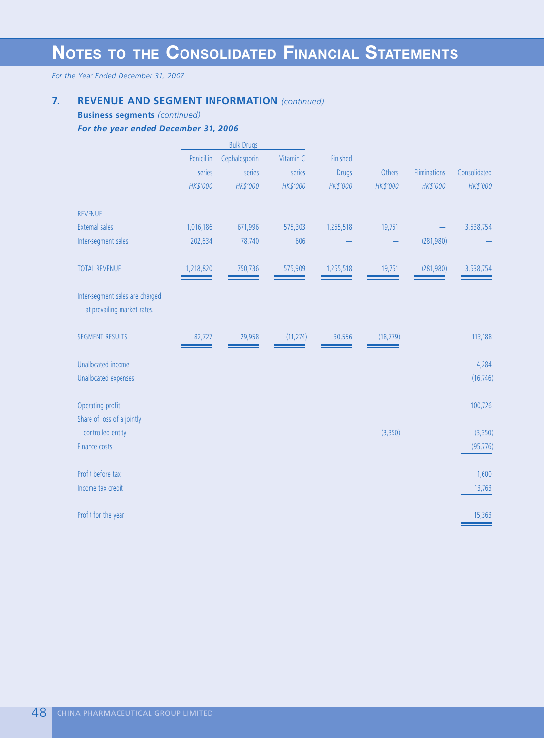## **7. REVENUE AND SEGMENT INFORMATION** *(continued)*

**Business segments** *(continued)*

*For the year ended December 31, 2006*

|                                                                |            | <b>Bulk Drugs</b> |           |              |           |              |              |
|----------------------------------------------------------------|------------|-------------------|-----------|--------------|-----------|--------------|--------------|
|                                                                | Penicillin | Cephalosporin     | Vitamin C | Finished     |           |              |              |
|                                                                | series     | series            | series    | <b>Drugs</b> | Others    | Eliminations | Consolidated |
|                                                                | HK\$'000   | HK\$'000          | HK\$'000  | HK\$'000     | HK\$'000  | HK\$'000     | HK\$'000     |
| <b>REVENUE</b>                                                 |            |                   |           |              |           |              |              |
| <b>External sales</b>                                          | 1,016,186  | 671,996           | 575,303   | 1,255,518    | 19,751    |              | 3,538,754    |
| Inter-segment sales                                            | 202,634    | 78,740            | 606       |              |           | (281,980)    |              |
| <b>TOTAL REVENUE</b>                                           | 1,218,820  | 750,736           | 575,909   | 1,255,518    | 19,751    | (281,980)    | 3,538,754    |
| Inter-segment sales are charged<br>at prevailing market rates. |            |                   |           |              |           |              |              |
| <b>SEGMENT RESULTS</b>                                         | 82,727     | 29,958            | (11, 274) | 30,556       | (18, 779) |              | 113,188      |
| Unallocated income                                             |            |                   |           |              |           |              | 4,284        |
| Unallocated expenses                                           |            |                   |           |              |           |              | (16, 746)    |
| Operating profit<br>Share of loss of a jointly                 |            |                   |           |              |           |              | 100,726      |
| controlled entity                                              |            |                   |           |              | (3,350)   |              | (3,350)      |
| Finance costs                                                  |            |                   |           |              |           |              | (95, 776)    |
| Profit before tax                                              |            |                   |           |              |           |              | 1,600        |
| Income tax credit                                              |            |                   |           |              |           |              | 13,763       |
| Profit for the year                                            |            |                   |           |              |           |              | 15,363       |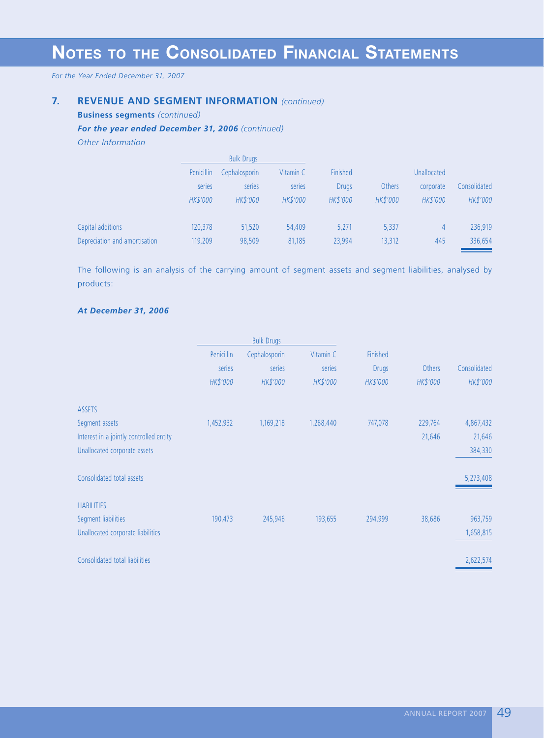*For the Year Ended December 31, 2007*

## **7. REVENUE AND SEGMENT INFORMATION** *(continued)*

**Business segments** *(continued)*

### *For the year ended December 31, 2006 (continued)*

*Other Information*

|                               | <b>Bulk Drugs</b> |                 |           |                 |               |                    |              |
|-------------------------------|-------------------|-----------------|-----------|-----------------|---------------|--------------------|--------------|
|                               | Penicillin        | Cephalosporin   | Vitamin C | Finished        |               | <b>Unallocated</b> |              |
|                               | series            | series          | series    | <b>Drugs</b>    | <b>Others</b> | corporate          | Consolidated |
|                               | <b>HK\$'000</b>   | <b>HK\$'000</b> | HK\$'000  | <b>HK\$'000</b> | HK\$'000      | HK\$'000           | HK\$'000     |
| Capital additions             | 120,378           | 51,520          | 54,409    | 5,271           | 5,337         | 4                  | 236,919      |
| Depreciation and amortisation | 119,209           | 98,509          | 81,185    | 23,994          | 13,312        | 445                | 336,654      |

The following is an analysis of the carrying amount of segment assets and segment liabilities, analysed by products:

#### *At December 31, 2006*

|                                         | <b>Bulk Drugs</b> |               |           |              |          |              |
|-----------------------------------------|-------------------|---------------|-----------|--------------|----------|--------------|
|                                         | Penicillin        | Cephalosporin | Vitamin C | Finished     |          |              |
|                                         | series            | series        | series    | <b>Drugs</b> | Others   | Consolidated |
|                                         | HK\$'000          | HK\$'000      | HK\$'000  | HK\$'000     | HK\$'000 | HK\$'000     |
| <b>ASSETS</b>                           |                   |               |           |              |          |              |
| Segment assets                          | 1,452,932         | 1,169,218     | 1,268,440 | 747,078      | 229,764  | 4,867,432    |
| Interest in a jointly controlled entity |                   |               |           |              | 21,646   | 21,646       |
| Unallocated corporate assets            |                   |               |           |              |          | 384,330      |
| Consolidated total assets               |                   |               |           |              |          | 5,273,408    |
| <b>LIABILITIES</b>                      |                   |               |           |              |          |              |
| Segment liabilities                     | 190,473           | 245,946       | 193,655   | 294,999      | 38,686   | 963,759      |
| Unallocated corporate liabilities       |                   |               |           |              |          | 1,658,815    |
| Consolidated total liabilities          |                   |               |           |              |          | 2,622,574    |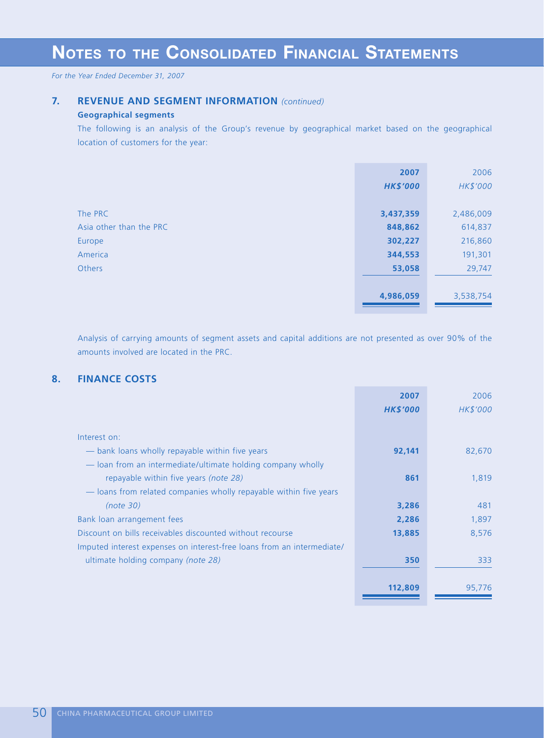*For the Year Ended December 31, 2007*

## **7. REVENUE AND SEGMENT INFORMATION** *(continued)*

## **Geographical segments**

The following is an analysis of the Group's revenue by geographical market based on the geographical location of customers for the year:

|                         | 2007            | 2006      |
|-------------------------|-----------------|-----------|
|                         | <b>HK\$'000</b> | HK\$'000  |
|                         |                 |           |
| The PRC                 | 3,437,359       | 2,486,009 |
| Asia other than the PRC | 848,862         | 614,837   |
| Europe                  | 302,227         | 216,860   |
| America                 | 344,553         | 191,301   |
| <b>Others</b>           | 53,058          | 29,747    |
|                         |                 |           |
|                         | 4,986,059       | 3,538,754 |
|                         |                 |           |

Analysis of carrying amounts of segment assets and capital additions are not presented as over 90% of the amounts involved are located in the PRC.

## **8. FINANCE COSTS**

|                                                                        | 2007            | 2006     |
|------------------------------------------------------------------------|-----------------|----------|
|                                                                        | <b>HK\$'000</b> | HK\$'000 |
|                                                                        |                 |          |
| Interest on:                                                           |                 |          |
| — bank loans wholly repayable within five years                        | 92,141          | 82,670   |
| — loan from an intermediate/ultimate holding company wholly            |                 |          |
| repayable within five years (note 28)                                  | 861             | 1,819    |
| — loans from related companies wholly repayable within five years      |                 |          |
| (note 30)                                                              | 3,286           | 481      |
| Bank loan arrangement fees                                             | 2,286           | 1,897    |
| Discount on bills receivables discounted without recourse              | 13,885          | 8,576    |
| Imputed interest expenses on interest-free loans from an intermediate/ |                 |          |
| ultimate holding company (note 28)                                     | 350             | 333      |
|                                                                        |                 |          |
|                                                                        | 112,809         | 95,776   |
|                                                                        |                 |          |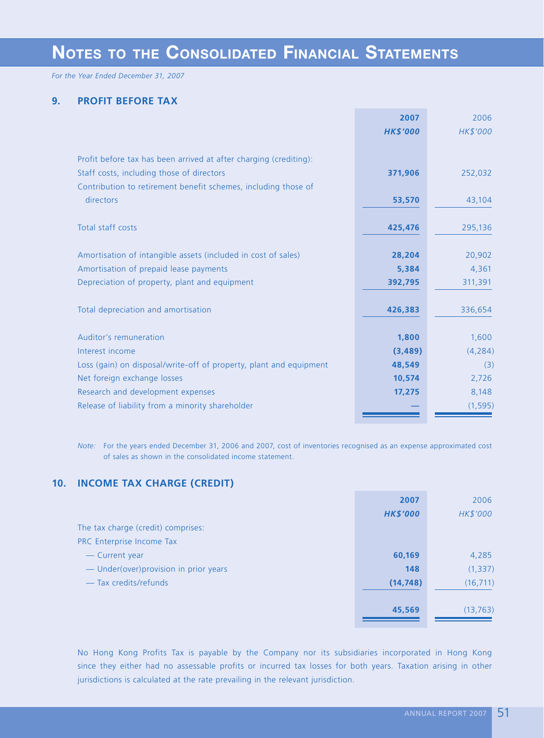*For the Year Ended December 31, 2007*

## **9. PROFIT BEFORE TAX**

|                                                                    | 2007            | 2006     |
|--------------------------------------------------------------------|-----------------|----------|
|                                                                    | <b>HK\$'000</b> | HK\$'000 |
|                                                                    |                 |          |
| Profit before tax has been arrived at after charging (crediting):  |                 |          |
| Staff costs, including those of directors                          | 371,906         | 252,032  |
| Contribution to retirement benefit schemes, including those of     |                 |          |
| directors                                                          | 53,570          | 43,104   |
|                                                                    |                 |          |
| Total staff costs                                                  | 425,476         | 295,136  |
|                                                                    |                 |          |
| Amortisation of intangible assets (included in cost of sales)      | 28,204          | 20,902   |
| Amortisation of prepaid lease payments                             | 5,384           | 4,361    |
| Depreciation of property, plant and equipment                      | 392,795         | 311,391  |
|                                                                    |                 |          |
| Total depreciation and amortisation                                | 426,383         | 336,654  |
|                                                                    |                 |          |
| Auditor's remuneration                                             | 1,800           | 1,600    |
| Interest income                                                    | (3, 489)        | (4, 284) |
| Loss (gain) on disposal/write-off of property, plant and equipment | 48,549          | (3)      |
| Net foreign exchange losses                                        | 10,574          | 2,726    |
| Research and development expenses                                  | 17,275          | 8,148    |
| Release of liability from a minority shareholder                   |                 | (1, 595) |
|                                                                    |                 |          |

*Note:* For the years ended December 31, 2006 and 2007, cost of inventories recognised as an expense approximated cost of sales as shown in the consolidated income statement.

## **10. INCOME TAX CHARGE (CREDIT)**

|                                        | 2007            | 2006      |
|----------------------------------------|-----------------|-----------|
|                                        | <b>HK\$'000</b> | HK\$'000  |
| The tax charge (credit) comprises:     |                 |           |
| PRC Enterprise Income Tax              |                 |           |
| - Current year                         | 60,169          | 4,285     |
| - Under(over) provision in prior years | 148             | (1, 337)  |
| - Tax credits/refunds                  | (14, 748)       | (16, 711) |
|                                        |                 |           |
|                                        | 45,569          | (13, 763) |
|                                        |                 |           |

No Hong Kong Profits Tax is payable by the Company nor its subsidiaries incorporated in Hong Kong since they either had no assessable profits or incurred tax losses for both years. Taxation arising in other jurisdictions is calculated at the rate prevailing in the relevant jurisdiction.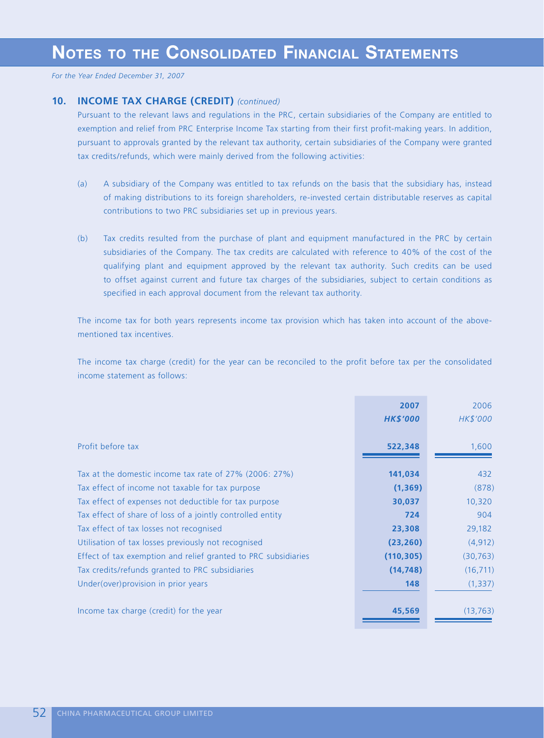## **10. INCOME TAX CHARGE (CREDIT)** *(continued)*

Pursuant to the relevant laws and regulations in the PRC, certain subsidiaries of the Company are entitled to exemption and relief from PRC Enterprise Income Tax starting from their first profit-making years. In addition, pursuant to approvals granted by the relevant tax authority, certain subsidiaries of the Company were granted tax credits/refunds, which were mainly derived from the following activities:

- (a) A subsidiary of the Company was entitled to tax refunds on the basis that the subsidiary has, instead of making distributions to its foreign shareholders, re-invested certain distributable reserves as capital contributions to two PRC subsidiaries set up in previous years.
- (b) Tax credits resulted from the purchase of plant and equipment manufactured in the PRC by certain subsidiaries of the Company. The tax credits are calculated with reference to 40% of the cost of the qualifying plant and equipment approved by the relevant tax authority. Such credits can be used to offset against current and future tax charges of the subsidiaries, subject to certain conditions as specified in each approval document from the relevant tax authority.

The income tax for both years represents income tax provision which has taken into account of the abovementioned tax incentives.

The income tax charge (credit) for the year can be reconciled to the profit before tax per the consolidated income statement as follows:

|                                                                | 2007<br><b>HK\$'000</b> | 2006<br>HK\$'000 |
|----------------------------------------------------------------|-------------------------|------------------|
| Profit before tax                                              | 522,348                 | 1,600            |
| Tax at the domestic income tax rate of 27% (2006: 27%)         | 141,034                 | 432              |
| Tax effect of income not taxable for tax purpose               | (1, 369)                | (878)            |
| Tax effect of expenses not deductible for tax purpose          | 30,037                  | 10,320           |
| Tax effect of share of loss of a jointly controlled entity     | 724                     | 904              |
| Tax effect of tax losses not recognised                        | 23,308                  | 29,182           |
| Utilisation of tax losses previously not recognised            | (23, 260)               | (4, 912)         |
| Effect of tax exemption and relief granted to PRC subsidiaries | (110, 305)              | (30, 763)        |
| Tax credits/refunds granted to PRC subsidiaries                | (14, 748)               | (16, 711)        |
| Under(over) provision in prior years                           | 148                     | (1, 337)         |
| Income tax charge (credit) for the year                        | 45,569                  | (13, 763)        |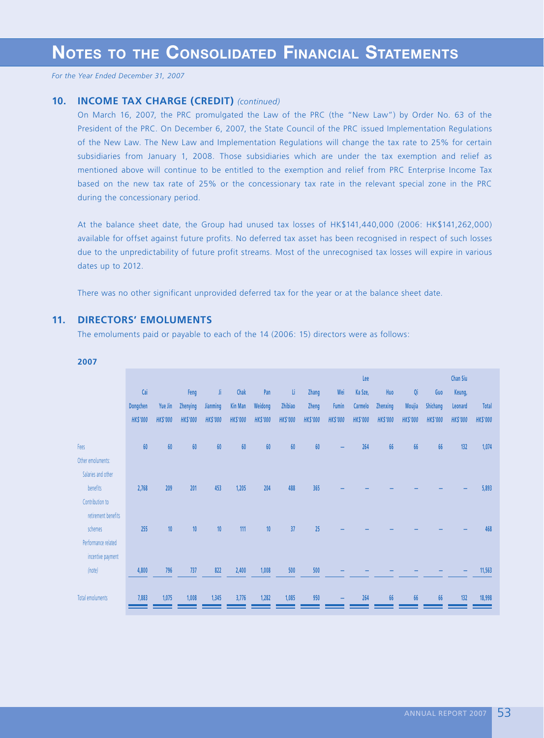## **10. INCOME TAX CHARGE (CREDIT)** *(continued)*

On March 16, 2007, the PRC promulgated the Law of the PRC (the "New Law") by Order No. 63 of the President of the PRC. On December 6, 2007, the State Council of the PRC issued Implementation Regulations of the New Law. The New Law and Implementation Regulations will change the tax rate to 25% for certain subsidiaries from January 1, 2008. Those subsidiaries which are under the tax exemption and relief as mentioned above will continue to be entitled to the exemption and relief from PRC Enterprise Income Tax based on the new tax rate of 25% or the concessionary tax rate in the relevant special zone in the PRC during the concessionary period.

At the balance sheet date, the Group had unused tax losses of HK\$141,440,000 (2006: HK\$141,262,000) available for offset against future profits. No deferred tax asset has been recognised in respect of such losses due to the unpredictability of future profit streams. Most of the unrecognised tax losses will expire in various dates up to 2012.

There was no other significant unprovided deferred tax for the year or at the balance sheet date.

## **11. DIRECTORS' EMOLUMENTS**

The emoluments paid or payable to each of the 14 (2006: 15) directors were as follows:

| 2007                |                             |                           |                             |                             |                                   |                            |                            |                          |                          |                            |                             |                           |                             |                            |                                 |
|---------------------|-----------------------------|---------------------------|-----------------------------|-----------------------------|-----------------------------------|----------------------------|----------------------------|--------------------------|--------------------------|----------------------------|-----------------------------|---------------------------|-----------------------------|----------------------------|---------------------------------|
|                     | Cai                         |                           | Feng                        | Ji.                         | Chak                              | Pan                        | U.                         | Zhang                    | Wei                      | Lee<br>Ka Sze,             | Huo                         | Qi                        | Guo                         | <b>Chan Siu</b><br>Keung,  |                                 |
|                     | Dongchen<br><b>HK\$'000</b> | Yue Jin<br><b>HKS'000</b> | Zhenying<br><b>HK\$'000</b> | Jianming<br><b>HK\$'000</b> | <b>Kin Man</b><br><b>HK\$'000</b> | Weidong<br><b>HK\$'000</b> | Zhibiao<br><b>HK\$'000</b> | Zheng<br><b>HK\$'000</b> | Fumin<br><b>HK\$'000</b> | Carmelo<br><b>HK\$'000</b> | Zhenxing<br><b>HK\$'000</b> | Moujia<br><b>HK\$'000</b> | Shichang<br><b>HK\$'000</b> | Leonard<br><b>HK\$'000</b> | <b>Total</b><br><b>HK\$'000</b> |
|                     |                             |                           |                             |                             |                                   |                            |                            |                          |                          |                            |                             |                           |                             |                            |                                 |
| Fees                | 60                          | 60                        | 60                          | 60                          | 60                                | 60                         | 60                         | 60                       |                          | 264                        | 66                          | 66                        | 66                          | 132                        | 1,074                           |
| Other emoluments:   |                             |                           |                             |                             |                                   |                            |                            |                          |                          |                            |                             |                           |                             |                            |                                 |
| Salaries and other  |                             |                           |                             |                             |                                   |                            |                            |                          |                          |                            |                             |                           |                             |                            |                                 |
| benefits            | 2,768                       | 209                       | 201                         | 453                         | 1,205                             | 204                        | 488                        | 365                      |                          |                            |                             |                           |                             |                            | 5,893                           |
| Contribution to     |                             |                           |                             |                             |                                   |                            |                            |                          |                          |                            |                             |                           |                             |                            |                                 |
| retirement benefits |                             |                           |                             |                             |                                   |                            |                            |                          |                          |                            |                             |                           |                             |                            |                                 |
| schemes             | 255                         | 10                        | 10                          | 10                          | 111                               | 10                         | 37                         | 25                       |                          |                            |                             |                           |                             |                            | 468                             |
| Performance related |                             |                           |                             |                             |                                   |                            |                            |                          |                          |                            |                             |                           |                             |                            |                                 |
| incentive payment   |                             |                           |                             |                             |                                   |                            |                            |                          |                          |                            |                             |                           |                             |                            |                                 |
| (note)              | 4,800                       | 796                       | 737                         | 822                         | 2,400                             | 1,008                      | 500                        | 500                      |                          |                            |                             |                           |                             |                            | 11,563                          |
| Total emoluments    | 7,883                       | 1,075                     | 1,008                       | 1,345                       | 3,776                             | 1,282                      | 1,085                      | 950                      |                          | 264                        | 66                          | 66                        | 66                          | 132                        | 18,998                          |

#### **2007**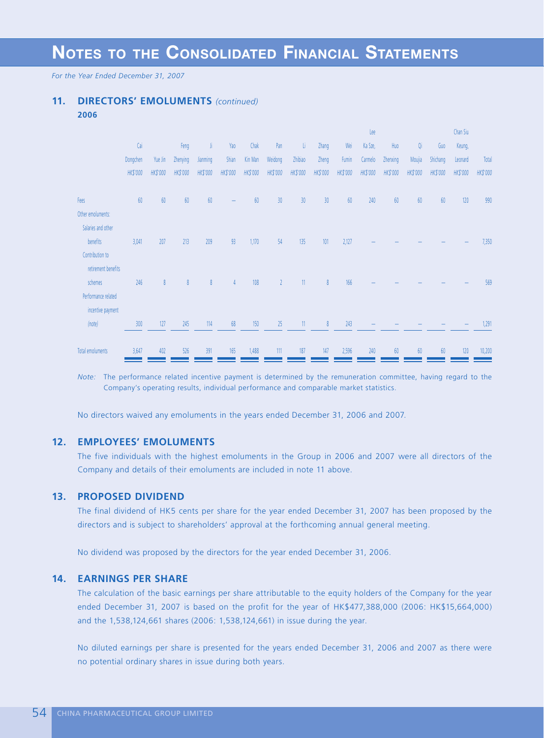*For the Year Ended December 31, 2007*

## **11. DIRECTORS' EMOLUMENTS** *(continued)*

|                     |          |                 |          |          |          |          |                |                          |                 |          | Lee      |          |          |          | Chan Siu |          |
|---------------------|----------|-----------------|----------|----------|----------|----------|----------------|--------------------------|-----------------|----------|----------|----------|----------|----------|----------|----------|
|                     | Cai      |                 | Feng     | Ji       | Yao      | Chak     | Pan            | ti.                      | Zhang           | Wei      | Ka Sze,  | Huo      | Qi       | Guo      | Keung,   |          |
|                     | Dongchen | Yue Jin         | Zhenying | Jianming | Shian    | Kin Man  | Weidong        | Zhibiao                  | Zheng           | Fumin    | Carmelo  | Zhenxing | Moujia   | Shichang | Leonard  | Total    |
|                     | HK\$'000 | <b>HK\$'000</b> | HK\$'000 | HK\$'000 | HK\$'000 | HK\$'000 | HK\$'000       | HK\$'000                 | HK\$'000        | HK\$'000 | HK\$'000 | HK\$'000 | HK\$'000 | HK\$'000 | HK\$'000 | HK\$'000 |
| Fees                | 60       | 60              | 60       | 60       |          | 60       | 30             | 30                       | 30 <sup>°</sup> | 60       | 240      | 60       | 60       | 60       | 120      | 990      |
| Other emoluments:   |          |                 |          |          |          |          |                |                          |                 |          |          |          |          |          |          |          |
| Salaries and other  |          |                 |          |          |          |          |                |                          |                 |          |          |          |          |          |          |          |
| benefits            | 3,041    | 207             | 213      | 209      | 93       | 1,170    | 54             | 135                      | 101             | 2,127    |          |          |          |          |          | 7,350    |
| Contribution to     |          |                 |          |          |          |          |                |                          |                 |          |          |          |          |          |          |          |
| retirement benefits |          |                 |          |          |          |          |                |                          |                 |          |          |          |          |          |          |          |
| schemes             | 246      | 8               | 8        | 8        | 4        | 108      | $\overline{2}$ | 11                       | 8               | 166      |          |          |          |          |          | 569      |
| Performance related |          |                 |          |          |          |          |                |                          |                 |          |          |          |          |          |          |          |
| incentive payment   |          |                 |          |          |          |          |                |                          |                 |          |          |          |          |          |          |          |
| (note)              | 300      | 127             | 245      | 114      | 68       | 150      | 25             | $\overline{\phantom{a}}$ | 8               | 243      |          |          |          |          |          | 1,291    |
| Total emoluments    | 3,647    | 402             | 526      | 391      | 165      | 1,488    | 111            | 187                      | 147             | 2,596    | 240      | 60       | 60       | 60       | 120      | 10,200   |

*Note:* The performance related incentive payment is determined by the remuneration committee, having regard to the Company's operating results, individual performance and comparable market statistics.

No directors waived any emoluments in the years ended December 31, 2006 and 2007.

## **12. EMPLOYEES' EMOLUMENTS**

The five individuals with the highest emoluments in the Group in 2006 and 2007 were all directors of the Company and details of their emoluments are included in note 11 above.

### **13. PROPOSED DIVIDEND**

The final dividend of HK5 cents per share for the year ended December 31, 2007 has been proposed by the directors and is subject to shareholders' approval at the forthcoming annual general meeting.

No dividend was proposed by the directors for the year ended December 31, 2006.

#### **14. EARNINGS PER SHARE**

The calculation of the basic earnings per share attributable to the equity holders of the Company for the year ended December 31, 2007 is based on the profit for the year of HK\$477,388,000 (2006: HK\$15,664,000) and the 1,538,124,661 shares (2006: 1,538,124,661) in issue during the year.

No diluted earnings per share is presented for the years ended December 31, 2006 and 2007 as there were no potential ordinary shares in issue during both years.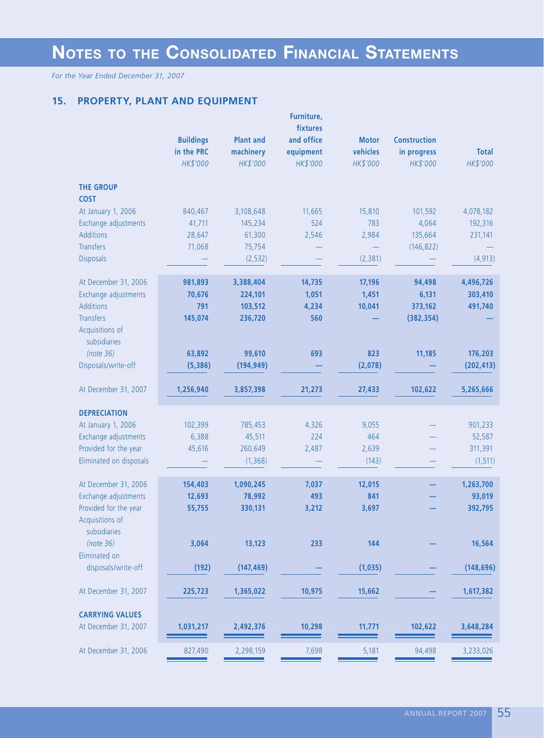*For the Year Ended December 31, 2007*

## **15. PROPERTY, PLANT AND EQUIPMENT**

|                                  | <b>Buildings</b><br>in the PRC | <b>Plant and</b><br>machinery | Furniture,<br>fixtures<br>and office<br>equipment | <b>Motor</b><br>vehicles | <b>Construction</b><br>in progress | <b>Total</b>          |
|----------------------------------|--------------------------------|-------------------------------|---------------------------------------------------|--------------------------|------------------------------------|-----------------------|
|                                  | HK\$'000                       | HK\$'000                      | HK\$'000                                          | HK\$'000                 | HK\$'000                           | HK\$'000              |
| <b>THE GROUP</b><br><b>COST</b>  |                                |                               |                                                   |                          |                                    |                       |
| At January 1, 2006               | 840,467                        | 3,108,648                     | 11,665                                            | 15,810                   | 101,592                            | 4,078,182             |
| Exchange adjustments             | 41,711                         | 145,234                       | 524                                               | 783                      | 4,064                              | 192,316               |
| <b>Additions</b>                 | 28,647                         | 61,300                        | 2,546                                             | 2,984                    | 135,664                            | 231,141               |
| <b>Transfers</b>                 | 71,068                         | 75,754                        |                                                   |                          | (146, 822)                         |                       |
| <b>Disposals</b>                 |                                | (2,532)                       |                                                   | (2, 381)                 |                                    | (4, 913)              |
| At December 31, 2006             | 981,893                        | 3,388,404                     | 14,735                                            | 17,196                   | 94,498                             | 4,496,726             |
| Exchange adjustments             | 70,676                         | 224,101                       | 1,051                                             | 1,451                    | 6,131                              | 303,410               |
| <b>Additions</b>                 | 791                            | 103,512                       | 4,234                                             | 10,041                   | 373,162                            | 491,740               |
| <b>Transfers</b>                 | 145,074                        | 236,720                       | 560                                               |                          | (382, 354)                         |                       |
| Acquisitions of                  |                                |                               |                                                   |                          |                                    |                       |
| subsidiaries                     |                                |                               |                                                   |                          |                                    |                       |
| (note 36)<br>Disposals/write-off | 63,892<br>(5, 386)             | 99,610<br>(194, 949)          | 693                                               | 823<br>(2,078)           | 11,185                             | 176,203<br>(202, 413) |
|                                  |                                |                               |                                                   |                          |                                    |                       |
| At December 31, 2007             | 1,256,940                      | 3,857,398                     | 21,273                                            | 27,433                   | 102,622                            | 5,265,666             |
| <b>DEPRECIATION</b>              |                                |                               |                                                   |                          |                                    |                       |
| At January 1, 2006               | 102,399                        | 785,453                       | 4,326                                             | 9,055                    |                                    | 901,233               |
| Exchange adjustments             | 6,388                          | 45,511                        | 224                                               | 464                      |                                    | 52,587                |
| Provided for the year            | 45,616                         | 260,649                       | 2,487                                             | 2,639                    |                                    | 311,391               |
| Eliminated on disposals          |                                | (1, 368)                      |                                                   | (143)                    |                                    | (1, 511)              |
| At December 31, 2006             | 154,403                        | 1,090,245                     | 7,037                                             | 12,015                   |                                    | 1,263,700             |
| Exchange adjustments             | 12,693                         | 78,992                        | 493                                               | 841                      |                                    | 93,019                |
| Provided for the year            | 55,755                         | 330,131                       | 3,212                                             | 3,697                    |                                    | 392,795               |
| Acquisitions of<br>subsidiaries  |                                |                               |                                                   |                          |                                    |                       |
| (note 36)                        | 3,064                          | 13,123                        | 233                                               | 144                      |                                    | 16,564                |
| Eliminated on                    |                                |                               |                                                   |                          |                                    |                       |
| disposals/write-off              | (192)                          | (147, 469)                    |                                                   | (1,035)                  |                                    | (148, 696)            |
| At December 31, 2007             | 225,723                        | 1,365,022                     | 10,975                                            | 15,662                   |                                    | 1,617,382             |
| <b>CARRYING VALUES</b>           |                                |                               |                                                   |                          |                                    |                       |
| At December 31, 2007             | 1,031,217                      | 2,492,376                     | 10,298                                            | 11,771                   | 102,622                            | 3,648,284             |
| At December 31, 2006             | 827,490                        | 2,298,159                     | 7,698                                             | 5,181                    | 94,498                             | 3,233,026             |
|                                  |                                |                               |                                                   |                          |                                    |                       |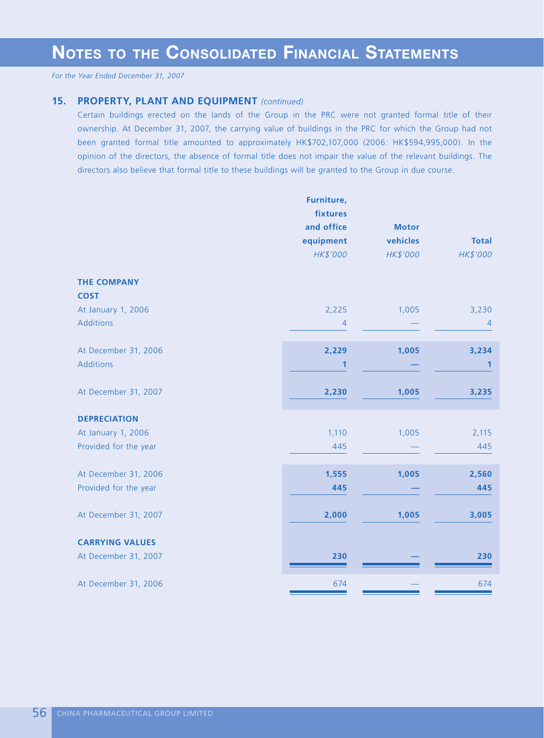### **15. PROPERTY, PLANT AND EQUIPMENT** *(continued)*

Certain buildings erected on the lands of the Group in the PRC were not granted formal title of their ownership. At December 31, 2007, the carrying value of buildings in the PRC for which the Group had not been granted formal title amounted to approximately HK\$702,107,000 (2006: HK\$594,995,000). In the opinion of the directors, the absence of formal title does not impair the value of the relevant buildings. The directors also believe that formal title to these buildings will be granted to the Group in due course.

|                                   | Furniture,            |                          |                |
|-----------------------------------|-----------------------|--------------------------|----------------|
|                                   | fixtures              |                          |                |
|                                   | and office            | <b>Motor</b><br>vehicles | <b>Total</b>   |
|                                   | equipment<br>HK\$'000 | HK\$'000                 | HK\$'000       |
|                                   |                       |                          |                |
| <b>THE COMPANY</b><br><b>COST</b> |                       |                          |                |
| At January 1, 2006                | 2,225                 | 1,005                    | 3,230          |
| <b>Additions</b>                  | $\overline{4}$        |                          | $\overline{4}$ |
|                                   |                       |                          |                |
| At December 31, 2006              | 2,229                 | 1,005                    | 3,234          |
| <b>Additions</b>                  | 1                     |                          | 1              |
|                                   |                       |                          |                |
| At December 31, 2007              | 2,230                 | 1,005                    | 3,235          |
|                                   |                       |                          |                |
| <b>DEPRECIATION</b>               |                       |                          |                |
| At January 1, 2006                | 1,110                 | 1,005                    | 2,115          |
| Provided for the year             | 445                   |                          | 445            |
|                                   |                       |                          |                |
| At December 31, 2006              | 1,555                 | 1,005                    | 2,560          |
| Provided for the year             | 445                   |                          | 445            |
|                                   |                       |                          |                |
| At December 31, 2007              | 2,000                 | 1,005                    | 3,005          |
| <b>CARRYING VALUES</b>            |                       |                          |                |
| At December 31, 2007              | 230                   |                          | 230            |
|                                   |                       |                          |                |
| At December 31, 2006              | 674                   |                          | 674            |
|                                   |                       |                          |                |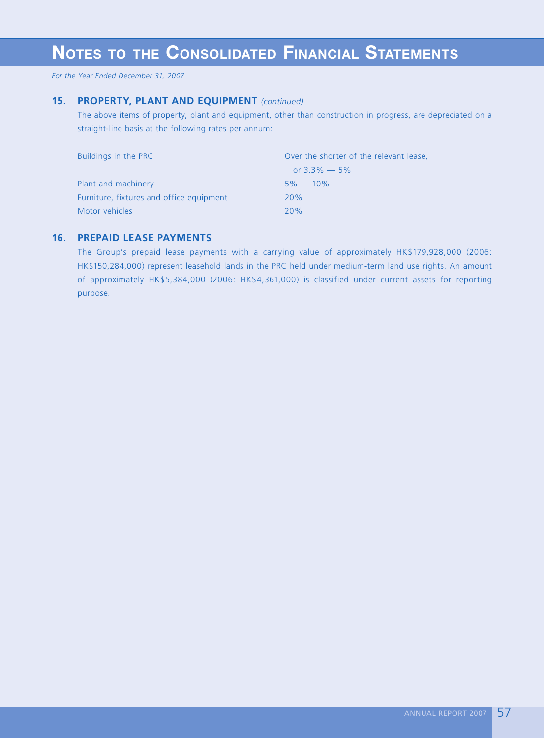*For the Year Ended December 31, 2007*

## **15. PROPERTY, PLANT AND EQUIPMENT** *(continued)*

The above items of property, plant and equipment, other than construction in progress, are depreciated on a straight-line basis at the following rates per annum:

| Buildings in the PRC                     | Over the shorter of the relevant lease, |  |  |  |  |  |
|------------------------------------------|-----------------------------------------|--|--|--|--|--|
|                                          | or $3.3\% - 5\%$                        |  |  |  |  |  |
| Plant and machinery                      | $5\% - 10\%$                            |  |  |  |  |  |
| Furniture, fixtures and office equipment | 20%                                     |  |  |  |  |  |
| Motor vehicles                           | 20%                                     |  |  |  |  |  |

## **16. PREPAID LEASE PAYMENTS**

The Group's prepaid lease payments with a carrying value of approximately HK\$179,928,000 (2006: HK\$150,284,000) represent leasehold lands in the PRC held under medium-term land use rights. An amount of approximately HK\$5,384,000 (2006: HK\$4,361,000) is classified under current assets for reporting purpose.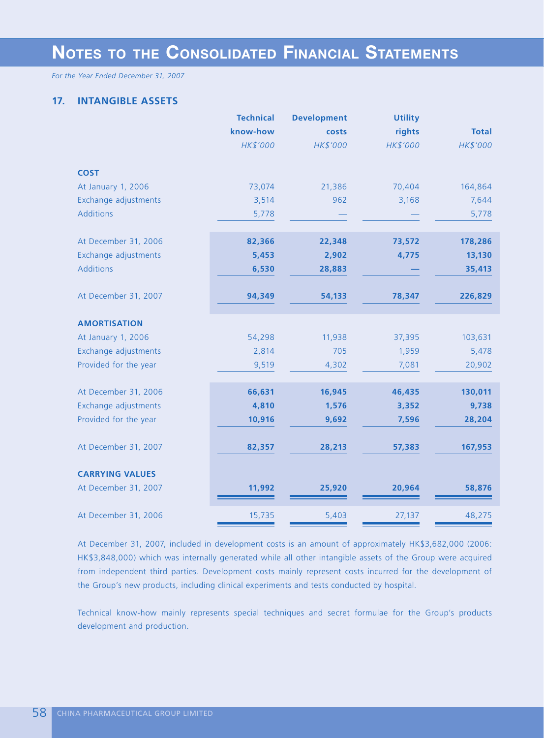*For the Year Ended December 31, 2007*

## **17. INTANGIBLE ASSETS**

|                        | <b>Technical</b> | <b>Development</b> | <b>Utility</b> |              |
|------------------------|------------------|--------------------|----------------|--------------|
|                        | know-how         | costs              | rights         | <b>Total</b> |
|                        | HK\$'000         | HK\$'000           | HK\$'000       | HK\$'000     |
| <b>COST</b>            |                  |                    |                |              |
| At January 1, 2006     | 73,074           | 21,386             | 70,404         | 164,864      |
| Exchange adjustments   | 3,514            | 962                | 3,168          | 7,644        |
| <b>Additions</b>       | 5,778            |                    |                | 5,778        |
|                        |                  |                    |                |              |
| At December 31, 2006   | 82,366           | 22,348             | 73,572         | 178,286      |
| Exchange adjustments   | 5,453            | 2,902              | 4,775          | 13,130       |
| <b>Additions</b>       | 6,530            | 28,883             |                | 35,413       |
|                        |                  |                    |                |              |
| At December 31, 2007   | 94,349           | 54,133             | 78,347         | 226,829      |
|                        |                  |                    |                |              |
| <b>AMORTISATION</b>    |                  |                    |                |              |
| At January 1, 2006     | 54,298           | 11,938             | 37,395         | 103,631      |
| Exchange adjustments   | 2,814            | 705                | 1,959          | 5,478        |
| Provided for the year  | 9,519            | 4,302              | 7,081          | 20,902       |
|                        |                  |                    |                |              |
| At December 31, 2006   | 66,631           | 16,945             | 46,435         | 130,011      |
| Exchange adjustments   | 4,810            | 1,576              | 3,352          | 9,738        |
| Provided for the year  | 10,916           | 9,692              | 7,596          | 28,204       |
|                        |                  |                    |                |              |
| At December 31, 2007   | 82,357           | 28,213             | 57,383         | 167,953      |
|                        |                  |                    |                |              |
| <b>CARRYING VALUES</b> |                  |                    |                |              |
| At December 31, 2007   | 11,992           | 25,920             | 20,964         | 58,876       |
|                        |                  |                    |                |              |
| At December 31, 2006   | 15,735           | 5,403              | 27,137         | 48,275       |
|                        |                  |                    |                |              |

At December 31, 2007, included in development costs is an amount of approximately HK\$3,682,000 (2006: HK\$3,848,000) which was internally generated while all other intangible assets of the Group were acquired from independent third parties. Development costs mainly represent costs incurred for the development of the Group's new products, including clinical experiments and tests conducted by hospital.

Technical know-how mainly represents special techniques and secret formulae for the Group's products development and production.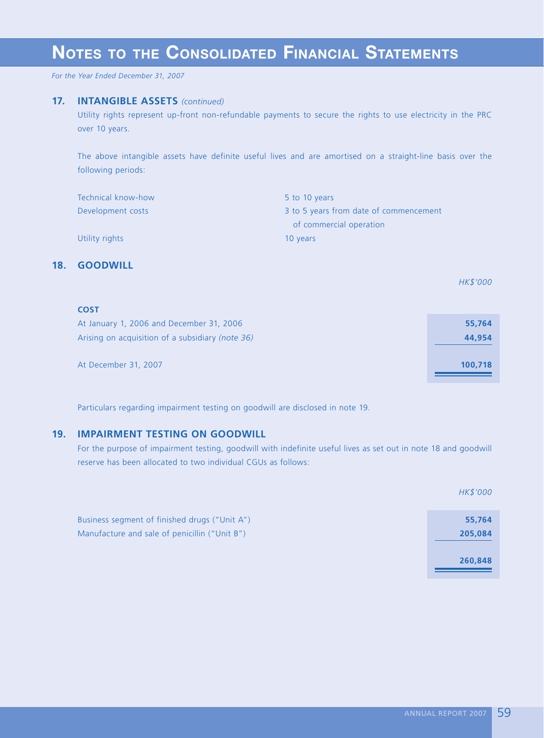*For the Year Ended December 31, 2007*

### **17. INTANGIBLE ASSETS** *(continued)*

Utility rights represent up-front non-refundable payments to secure the rights to use electricity in the PRC over 10 years.

The above intangible assets have definite useful lives and are amortised on a straight-line basis over the following periods:

| Technical know-how | 5 to 10 years                          |
|--------------------|----------------------------------------|
| Development costs  | 3 to 5 years from date of commencement |
|                    | of commercial operation                |
| Utility rights     | 10 years                               |

## **18. GOODWILL**

*HK\$'000*

| <b>COST</b>                                      |         |
|--------------------------------------------------|---------|
| At January 1, 2006 and December 31, 2006         | 55,764  |
| Arising on acquisition of a subsidiary (note 36) | 44,954  |
|                                                  |         |
| At December 31, 2007                             | 100,718 |
|                                                  |         |

Particulars regarding impairment testing on goodwill are disclosed in note 19.

## **19. IMPAIRMENT TESTING ON GOODWILL**

For the purpose of impairment testing, goodwill with indefinite useful lives as set out in note 18 and goodwill reserve has been allocated to two individual CGUs as follows:

|                                                                                                | HK\$'000          |
|------------------------------------------------------------------------------------------------|-------------------|
| Business segment of finished drugs ("Unit A")<br>Manufacture and sale of penicillin ("Unit B") | 55,764<br>205,084 |
|                                                                                                | 260,848           |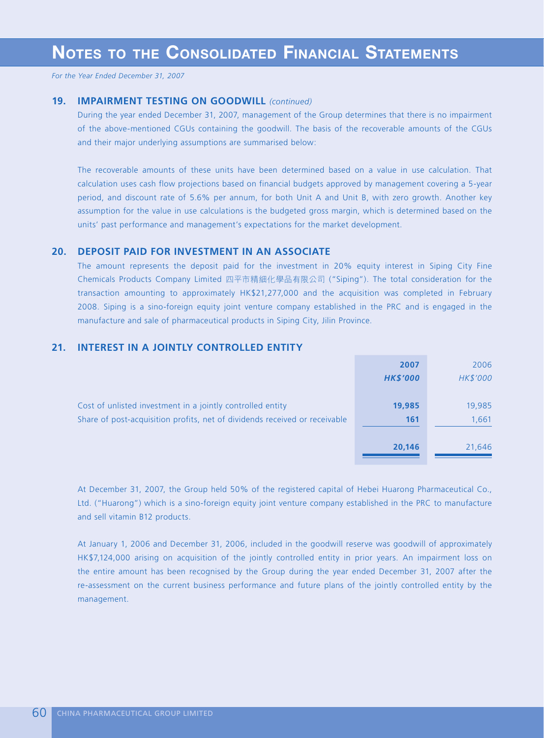## **19. IMPAIRMENT TESTING ON GOODWILL** *(continued)*

During the year ended December 31, 2007, management of the Group determines that there is no impairment of the above-mentioned CGUs containing the goodwill. The basis of the recoverable amounts of the CGUs and their major underlying assumptions are summarised below:

The recoverable amounts of these units have been determined based on a value in use calculation. That calculation uses cash flow projections based on financial budgets approved by management covering a 5-year period, and discount rate of 5.6% per annum, for both Unit A and Unit B, with zero growth. Another key assumption for the value in use calculations is the budgeted gross margin, which is determined based on the units' past performance and management's expectations for the market development.

### **20. DEPOSIT PAID FOR INVESTMENT IN AN ASSOCIATE**

The amount represents the deposit paid for the investment in 20% equity interest in Siping City Fine Chemicals Products Company Limited 四平市精細化學品有限公司 ("Siping"). The total consideration for the transaction amounting to approximately HK\$21,277,000 and the acquisition was completed in February 2008. Siping is a sino-foreign equity joint venture company established in the PRC and is engaged in the manufacture and sale of pharmaceutical products in Siping City, Jilin Province.

## **21. INTEREST IN A JOINTLY CONTROLLED ENTITY**

|                                                                            | 2007            | 2006     |
|----------------------------------------------------------------------------|-----------------|----------|
|                                                                            | <b>HK\$'000</b> | HK\$'000 |
|                                                                            |                 |          |
| Cost of unlisted investment in a jointly controlled entity                 | 19,985          | 19,985   |
| Share of post-acquisition profits, net of dividends received or receivable | 161             | 1,661    |
|                                                                            |                 |          |
|                                                                            | 20,146          | 21,646   |
|                                                                            |                 |          |

At December 31, 2007, the Group held 50% of the registered capital of Hebei Huarong Pharmaceutical Co., Ltd. ("Huarong") which is a sino-foreign equity joint venture company established in the PRC to manufacture and sell vitamin B12 products.

At January 1, 2006 and December 31, 2006, included in the goodwill reserve was goodwill of approximately HK\$7,124,000 arising on acquisition of the jointly controlled entity in prior years. An impairment loss on the entire amount has been recognised by the Group during the year ended December 31, 2007 after the re-assessment on the current business performance and future plans of the jointly controlled entity by the management.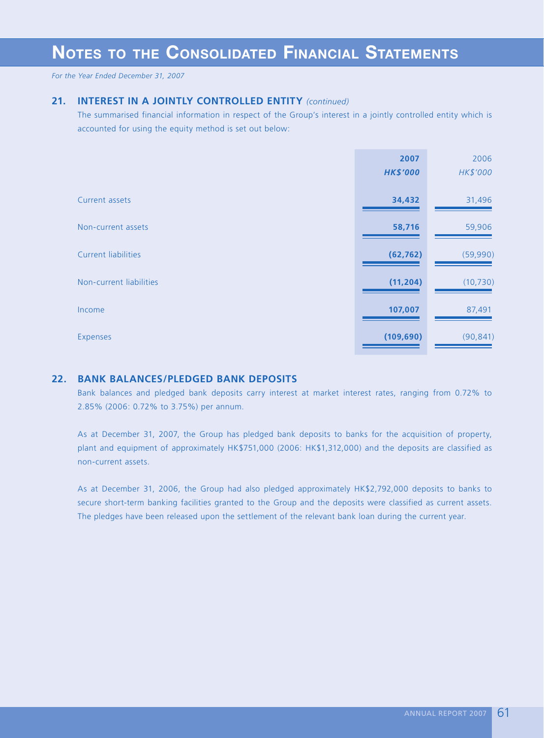*For the Year Ended December 31, 2007*

## **21. INTEREST IN A JOINTLY CONTROLLED ENTITY** *(continued)*

The summarised financial information in respect of the Group's interest in a jointly controlled entity which is accounted for using the equity method is set out below:

|                            | 2007            | 2006      |
|----------------------------|-----------------|-----------|
|                            | <b>HK\$'000</b> | HK\$'000  |
|                            |                 |           |
| Current assets             | 34,432          | 31,496    |
|                            |                 |           |
| Non-current assets         | 58,716          | 59,906    |
|                            |                 |           |
| <b>Current liabilities</b> | (62, 762)       | (59,990)  |
| Non-current liabilities    | (11, 204)       | (10, 730) |
|                            |                 |           |
| Income                     | 107,007         | 87,491    |
|                            |                 |           |
| Expenses                   | (109, 690)      | (90, 841) |
|                            |                 |           |

## **22. BANK BALANCES/PLEDGED BANK DEPOSITS**

Bank balances and pledged bank deposits carry interest at market interest rates, ranging from 0.72% to 2.85% (2006: 0.72% to 3.75%) per annum.

As at December 31, 2007, the Group has pledged bank deposits to banks for the acquisition of property, plant and equipment of approximately HK\$751,000 (2006: HK\$1,312,000) and the deposits are classified as non-current assets.

As at December 31, 2006, the Group had also pledged approximately HK\$2,792,000 deposits to banks to secure short-term banking facilities granted to the Group and the deposits were classified as current assets. The pledges have been released upon the settlement of the relevant bank loan during the current year.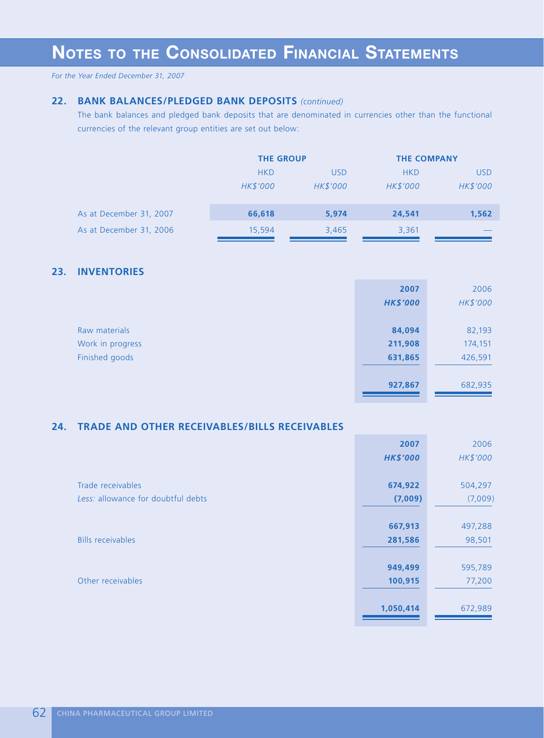## **22. BANK BALANCES/PLEDGED BANK DEPOSITS** *(continued)*

The bank balances and pledged bank deposits that are denominated in currencies other than the functional currencies of the relevant group entities are set out below:

|                         | <b>THE GROUP</b> |            | <b>THE COMPANY</b> |            |
|-------------------------|------------------|------------|--------------------|------------|
|                         | <b>HKD</b>       | <b>USD</b> | <b>HKD</b>         | <b>USD</b> |
|                         | HK\$'000         | HK\$'000   | <b>HK\$'000</b>    | HK\$'000   |
|                         |                  |            |                    |            |
| As at December 31, 2007 | 66,618           | 5,974      | 24,541             | 1,562      |
| As at December 31, 2006 | 15,594           | 3,465      | 3,361              |            |

## **23. INVENTORIES**

|                  | 2007            | 2006     |
|------------------|-----------------|----------|
|                  | <b>HK\$'000</b> | HK\$'000 |
|                  |                 |          |
| Raw materials    | 84,094          | 82,193   |
| Work in progress | 211,908         | 174,151  |
| Finished goods   | 631,865         | 426,591  |
|                  |                 |          |
|                  | 927,867         | 682,935  |
|                  |                 |          |

## **24. TRADE AND OTHER RECEIVABLES/BILLS RECEIVABLES**

|                                    | 2007            | 2006     |
|------------------------------------|-----------------|----------|
|                                    | <b>HK\$'000</b> | HK\$'000 |
|                                    |                 |          |
| Trade receivables                  | 674,922         | 504,297  |
| Less: allowance for doubtful debts | (7,009)         | (7,009)  |
|                                    |                 |          |
|                                    | 667,913         | 497,288  |
| <b>Bills receivables</b>           | 281,586         | 98,501   |
|                                    |                 |          |
|                                    | 949,499         | 595,789  |
| Other receivables                  | 100,915         | 77,200   |
|                                    |                 |          |
|                                    | 1,050,414       | 672,989  |
|                                    |                 |          |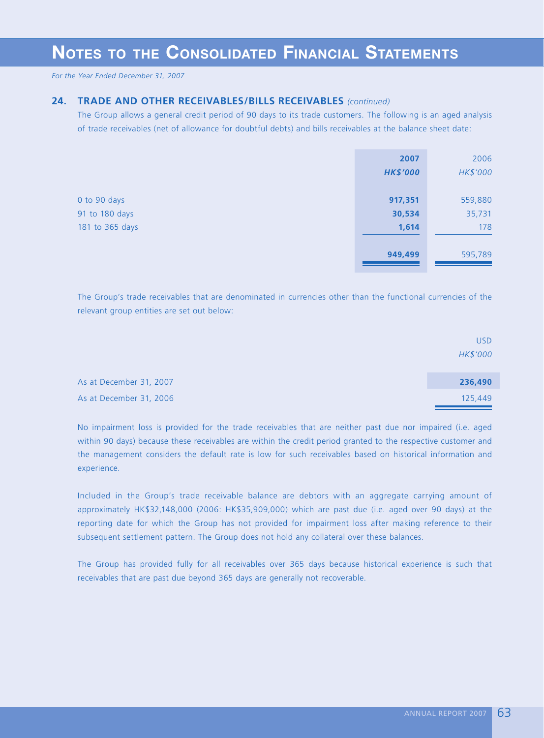## **24. TRADE AND OTHER RECEIVABLES/BILLS RECEIVABLES** *(continued)*

The Group allows a general credit period of 90 days to its trade customers. The following is an aged analysis of trade receivables (net of allowance for doubtful debts) and bills receivables at the balance sheet date:

|                                                   | 2007<br><b>HK\$'000</b>    | 2006<br>HK\$'000         |
|---------------------------------------------------|----------------------------|--------------------------|
| 0 to 90 days<br>91 to 180 days<br>181 to 365 days | 917,351<br>30,534<br>1,614 | 559,880<br>35,731<br>178 |
|                                                   | 949,499                    | 595,789                  |

The Group's trade receivables that are denominated in currencies other than the functional currencies of the relevant group entities are set out below:

|                         | USD.     |
|-------------------------|----------|
|                         | HK\$'000 |
|                         |          |
| As at December 31, 2007 | 236,490  |
| As at December 31, 2006 | 125,449  |

No impairment loss is provided for the trade receivables that are neither past due nor impaired (i.e. aged within 90 days) because these receivables are within the credit period granted to the respective customer and the management considers the default rate is low for such receivables based on historical information and experience.

Included in the Group's trade receivable balance are debtors with an aggregate carrying amount of approximately HK\$32,148,000 (2006: HK\$35,909,000) which are past due (i.e. aged over 90 days) at the reporting date for which the Group has not provided for impairment loss after making reference to their subsequent settlement pattern. The Group does not hold any collateral over these balances.

The Group has provided fully for all receivables over 365 days because historical experience is such that receivables that are past due beyond 365 days are generally not recoverable.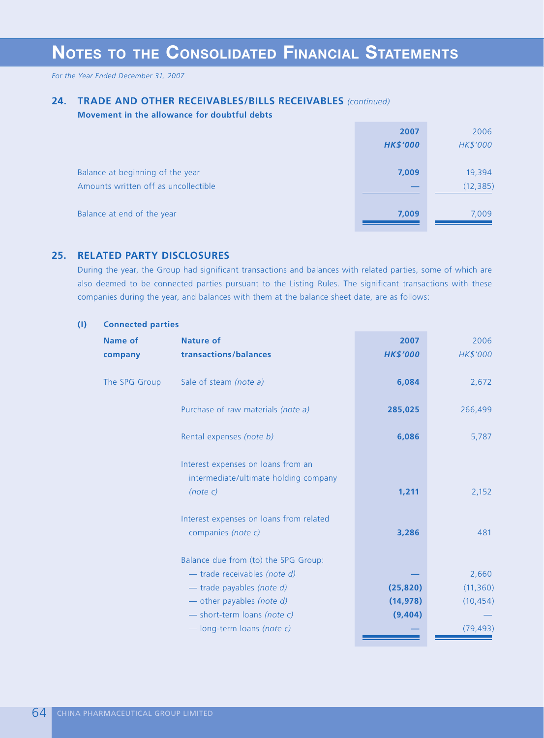*For the Year Ended December 31, 2007*

## **24. TRADE AND OTHER RECEIVABLES/BILLS RECEIVABLES** *(continued)*

#### **Movement in the allowance for doubtful debts**

|                                      | 2007            | 2006      |
|--------------------------------------|-----------------|-----------|
|                                      | <b>HK\$'000</b> | HK\$'000  |
|                                      |                 |           |
| Balance at beginning of the year     | 7,009           | 19,394    |
| Amounts written off as uncollectible |                 | (12, 385) |
|                                      |                 |           |
| Balance at end of the year           | 7,009           | 7,009     |
|                                      |                 |           |

## **25. RELATED PARTY DISCLOSURES**

During the year, the Group had significant transactions and balances with related parties, some of which are also deemed to be connected parties pursuant to the Listing Rules. The significant transactions with these companies during the year, and balances with them at the balance sheet date, are as follows:

#### **(I) Connected parties**

| <b>Name of</b> | <b>Nature of</b>                        | 2007            | 2006      |
|----------------|-----------------------------------------|-----------------|-----------|
| company        | transactions/balances                   | <b>HK\$'000</b> | HK\$'000  |
|                |                                         |                 |           |
| The SPG Group  | Sale of steam (note a)                  | 6,084           | 2,672     |
|                | Purchase of raw materials (note a)      | 285,025         | 266,499   |
|                |                                         |                 |           |
|                | Rental expenses (note b)                | 6,086           | 5,787     |
|                |                                         |                 |           |
|                | Interest expenses on loans from an      |                 |           |
|                | intermediate/ultimate holding company   |                 |           |
|                | (note c)                                | 1,211           | 2,152     |
|                |                                         |                 |           |
|                | Interest expenses on loans from related |                 |           |
|                | companies (note c)                      | 3,286           | 481       |
|                | Balance due from (to) the SPG Group:    |                 |           |
|                | - trade receivables (note d)            |                 | 2,660     |
|                | - trade payables (note d)               | (25, 820)       | (11, 360) |
|                | - other payables (note d)               | (14, 978)       | (10, 454) |
|                | - short-term loans (note c)             | (9,404)         |           |
|                | - long-term loans (note c)              |                 | (79, 493) |
|                |                                         |                 |           |

<u>a sa Ba</u>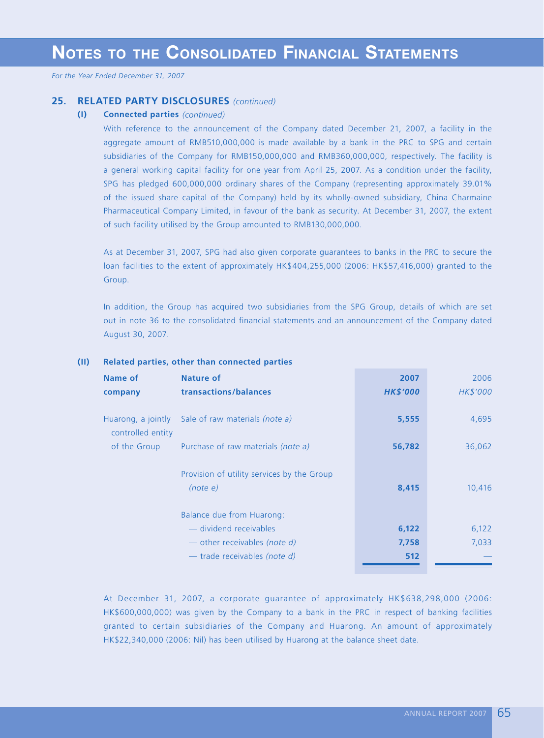### **25. RELATED PARTY DISCLOSURES** *(continued)*

### **(I) Connected parties** *(continued)*

With reference to the announcement of the Company dated December 21, 2007, a facility in the aggregate amount of RMB510,000,000 is made available by a bank in the PRC to SPG and certain subsidiaries of the Company for RMB150,000,000 and RMB360,000,000, respectively. The facility is a general working capital facility for one year from April 25, 2007. As a condition under the facility, SPG has pledged 600,000,000 ordinary shares of the Company (representing approximately 39.01% of the issued share capital of the Company) held by its wholly-owned subsidiary, China Charmaine Pharmaceutical Company Limited, in favour of the bank as security. At December 31, 2007, the extent of such facility utilised by the Group amounted to RMB130,000,000.

As at December 31, 2007, SPG had also given corporate guarantees to banks in the PRC to secure the loan facilities to the extent of approximately HK\$404,255,000 (2006: HK\$57,416,000) granted to the Group.

In addition, the Group has acquired two subsidiaries from the SPG Group, details of which are set out in note 36 to the consolidated financial statements and an announcement of the Company dated August 30, 2007.

| Name of                                 | <b>Nature of</b>                                       | 2007            | 2006     |
|-----------------------------------------|--------------------------------------------------------|-----------------|----------|
| company                                 | transactions/balances                                  | <b>HK\$'000</b> | HK\$'000 |
| Huarong, a jointly<br>controlled entity | Sale of raw materials <i>(note a)</i>                  | 5,555           | 4,695    |
| of the Group                            | Purchase of raw materials (note a)                     | 56,782          | 36,062   |
|                                         | Provision of utility services by the Group<br>(note e) | 8,415           | 10,416   |
|                                         | Balance due from Huarong:                              |                 |          |
|                                         | — dividend receivables                                 | 6,122           | 6,122    |
|                                         | - other receivables (note d)                           | 7,758           | 7,033    |
|                                         | — trade receivables (note d)                           | 512             |          |

## **(II) Related parties, other than connected parties**

At December 31, 2007, a corporate guarantee of approximately HK\$638,298,000 (2006: HK\$600,000,000) was given by the Company to a bank in the PRC in respect of banking facilities granted to certain subsidiaries of the Company and Huarong. An amount of approximately HK\$22,340,000 (2006: Nil) has been utilised by Huarong at the balance sheet date.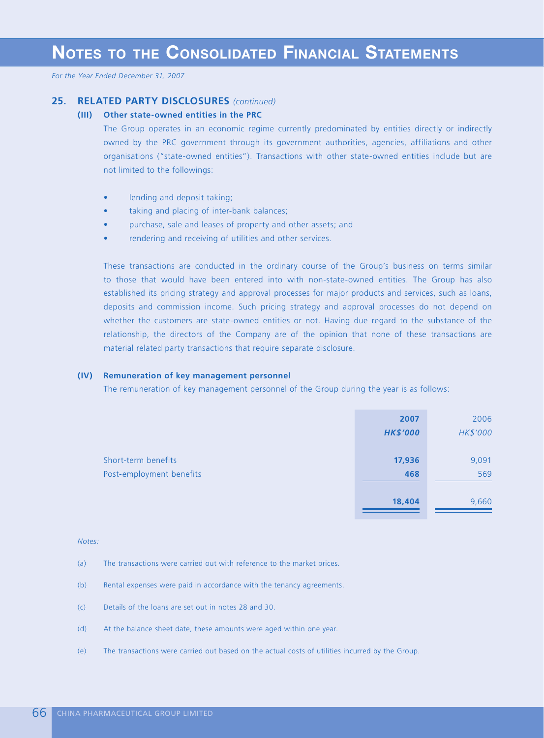## **25. RELATED PARTY DISCLOSURES** *(continued)*

#### **(III) Other state-owned entities in the PRC**

The Group operates in an economic regime currently predominated by entities directly or indirectly owned by the PRC government through its government authorities, agencies, affiliations and other organisations ("state-owned entities"). Transactions with other state-owned entities include but are not limited to the followings:

- lending and deposit taking;
- taking and placing of inter-bank balances;
- purchase, sale and leases of property and other assets; and
- rendering and receiving of utilities and other services.

These transactions are conducted in the ordinary course of the Group's business on terms similar to those that would have been entered into with non-state-owned entities. The Group has also established its pricing strategy and approval processes for major products and services, such as loans, deposits and commission income. Such pricing strategy and approval processes do not depend on whether the customers are state-owned entities or not. Having due regard to the substance of the relationship, the directors of the Company are of the opinion that none of these transactions are material related party transactions that require separate disclosure.

#### **(IV) Remuneration of key management personnel**

The remuneration of key management personnel of the Group during the year is as follows:

|                          | 2007            | 2006     |
|--------------------------|-----------------|----------|
|                          | <b>HK\$'000</b> | HK\$'000 |
|                          |                 |          |
| Short-term benefits      | 17,936          | 9,091    |
| Post-employment benefits | 468             | 569      |
|                          |                 |          |
|                          | 18,404          | 9,660    |

#### *Notes:*

- (a) The transactions were carried out with reference to the market prices.
- (b) Rental expenses were paid in accordance with the tenancy agreements.
- (c) Details of the loans are set out in notes 28 and 30.
- (d) At the balance sheet date, these amounts were aged within one year.
- (e) The transactions were carried out based on the actual costs of utilities incurred by the Group.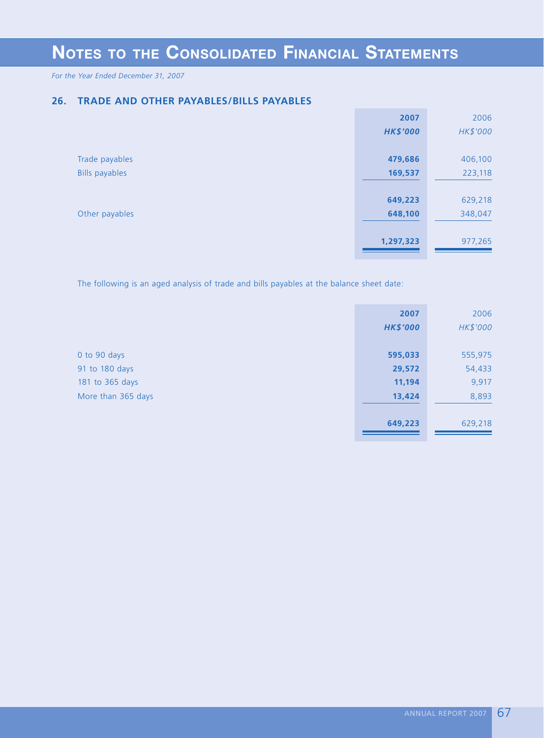*For the Year Ended December 31, 2007*

## **26. TRADE AND OTHER PAYABLES/BILLS PAYABLES**

|                       | 2007            | 2006     |
|-----------------------|-----------------|----------|
|                       | <b>HK\$'000</b> | HK\$'000 |
|                       |                 |          |
| Trade payables        | 479,686         | 406,100  |
| <b>Bills payables</b> | 169,537         | 223,118  |
|                       |                 |          |
|                       | 649,223         | 629,218  |
| Other payables        | 648,100         | 348,047  |
|                       |                 |          |
|                       | 1,297,323       | 977,265  |
|                       |                 |          |

The following is an aged analysis of trade and bills payables at the balance sheet date:

|                    | 2007<br><b>HK\$'000</b> | 2006<br>HK\$'000 |
|--------------------|-------------------------|------------------|
| 0 to 90 days       | 595,033                 | 555,975          |
| 91 to 180 days     | 29,572                  | 54,433           |
| 181 to 365 days    | 11,194                  | 9,917            |
| More than 365 days | 13,424                  | 8,893            |
|                    |                         |                  |
|                    | 649,223                 | 629,218          |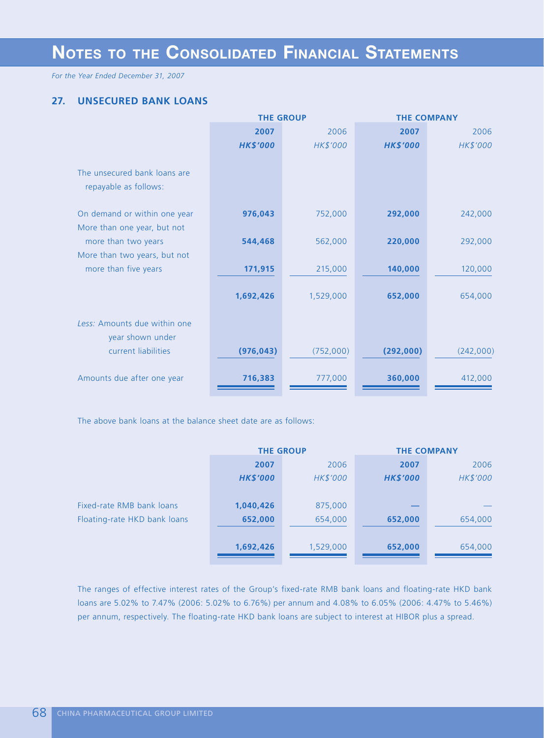*For the Year Ended December 31, 2007*

## **27. UNSECURED BANK LOANS**

|                              | <b>THE GROUP</b> |           | <b>THE COMPANY</b> |           |
|------------------------------|------------------|-----------|--------------------|-----------|
|                              | 2007             | 2006      | 2007               | 2006      |
|                              | <b>HK\$'000</b>  | HK\$'000  | <b>HK\$'000</b>    | HK\$'000  |
|                              |                  |           |                    |           |
| The unsecured bank loans are |                  |           |                    |           |
| repayable as follows:        |                  |           |                    |           |
|                              |                  |           |                    |           |
| On demand or within one year | 976,043          | 752,000   | 292,000            | 242,000   |
| More than one year, but not  |                  |           |                    |           |
| more than two years          | 544,468          | 562,000   | 220,000            | 292,000   |
| More than two years, but not |                  |           |                    |           |
| more than five years         | 171,915          | 215,000   | 140,000            | 120,000   |
|                              |                  |           |                    |           |
|                              | 1,692,426        | 1,529,000 | 652,000            | 654,000   |
| Less: Amounts due within one |                  |           |                    |           |
| year shown under             |                  |           |                    |           |
| current liabilities          | (976, 043)       | (752,000) | (292,000)          | (242,000) |
|                              |                  |           |                    |           |
| Amounts due after one year   | 716,383          | 777,000   | 360,000            | 412,000   |
|                              |                  |           |                    |           |

The above bank loans at the balance sheet date are as follows:

|                              | <b>THE GROUP</b> |           | <b>THE COMPANY</b> |          |
|------------------------------|------------------|-----------|--------------------|----------|
|                              | 2007             | 2006      | 2007               | 2006     |
|                              | <b>HK\$'000</b>  | HK\$'000  | <b>HK\$'000</b>    | HK\$'000 |
|                              |                  |           |                    |          |
| Fixed-rate RMB bank loans    | 1,040,426        | 875,000   |                    |          |
| Floating-rate HKD bank loans | 652,000          | 654,000   | 652,000            | 654,000  |
|                              |                  |           |                    |          |
|                              | 1,692,426        | 1,529,000 | 652,000            | 654,000  |
|                              |                  |           |                    |          |

The ranges of effective interest rates of the Group's fixed-rate RMB bank loans and floating-rate HKD bank loans are 5.02% to 7.47% (2006: 5.02% to 6.76%) per annum and 4.08% to 6.05% (2006: 4.47% to 5.46%) per annum, respectively. The floating-rate HKD bank loans are subject to interest at HIBOR plus a spread.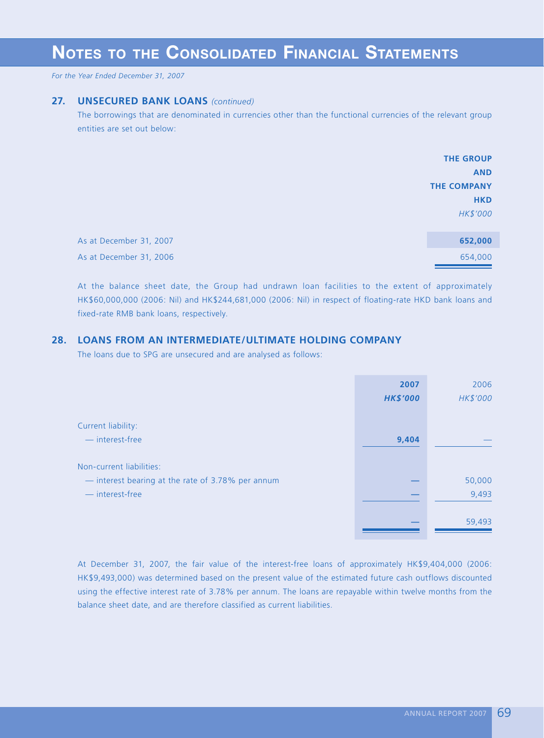*For the Year Ended December 31, 2007*

### **27. UNSECURED BANK LOANS** *(continued)*

The borrowings that are denominated in currencies other than the functional currencies of the relevant group entities are set out below:

|                         | <b>THE GROUP</b>   |
|-------------------------|--------------------|
|                         | <b>AND</b>         |
|                         | <b>THE COMPANY</b> |
|                         | <b>HKD</b>         |
|                         | HK\$'000           |
| As at December 31, 2007 | 652,000            |
| As at December 31, 2006 | 654,000            |

At the balance sheet date, the Group had undrawn loan facilities to the extent of approximately HK\$60,000,000 (2006: Nil) and HK\$244,681,000 (2006: Nil) in respect of floating-rate HKD bank loans and fixed-rate RMB bank loans, respectively.

## **28. LOANS FROM AN INTERMEDIATE/ULTIMATE HOLDING COMPANY**

The loans due to SPG are unsecured and are analysed as follows:

|                                                   | 2007            | 2006     |
|---------------------------------------------------|-----------------|----------|
|                                                   | <b>HK\$'000</b> | HK\$'000 |
|                                                   |                 |          |
| Current liability:                                |                 |          |
| — interest-free                                   | 9,404           |          |
|                                                   |                 |          |
| Non-current liabilities:                          |                 |          |
| - interest bearing at the rate of 3.78% per annum |                 | 50,000   |
| - interest-free                                   |                 | 9,493    |
|                                                   |                 |          |
|                                                   |                 | 59,493   |
|                                                   |                 |          |

At December 31, 2007, the fair value of the interest-free loans of approximately HK\$9,404,000 (2006: HK\$9,493,000) was determined based on the present value of the estimated future cash outflows discounted using the effective interest rate of 3.78% per annum. The loans are repayable within twelve months from the balance sheet date, and are therefore classified as current liabilities.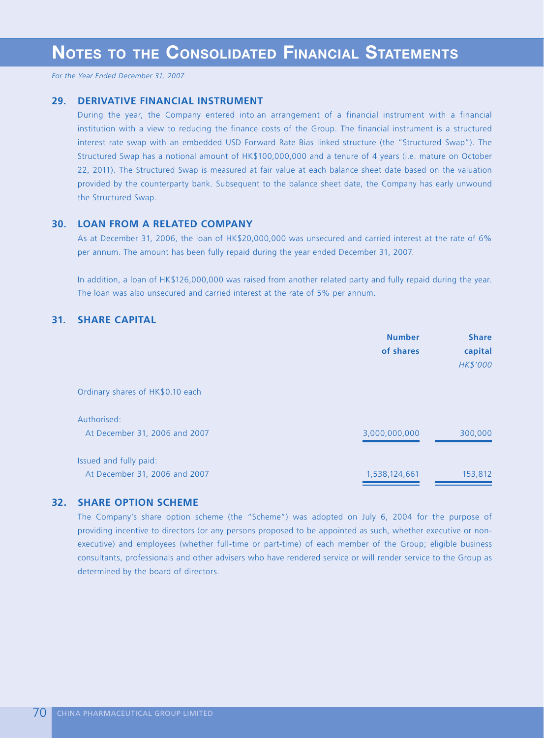### **29. DERIVATIVE FINANCIAL INSTRUMENT**

During the year, the Company entered into an arrangement of a financial instrument with a financial institution with a view to reducing the finance costs of the Group. The financial instrument is a structured interest rate swap with an embedded USD Forward Rate Bias linked structure (the "Structured Swap"). The Structured Swap has a notional amount of HK\$100,000,000 and a tenure of 4 years (i.e. mature on October 22, 2011). The Structured Swap is measured at fair value at each balance sheet date based on the valuation provided by the counterparty bank. Subsequent to the balance sheet date, the Company has early unwound the Structured Swap.

## **30. LOAN FROM A RELATED COMPANY**

As at December 31, 2006, the loan of HK\$20,000,000 was unsecured and carried interest at the rate of 6% per annum. The amount has been fully repaid during the year ended December 31, 2007.

In addition, a loan of HK\$126,000,000 was raised from another related party and fully repaid during the year. The loan was also unsecured and carried interest at the rate of 5% per annum.

## **31. SHARE CAPITAL**

|                                                         | <b>Number</b><br>of shares | <b>Share</b><br>capital<br>HK\$'000 |
|---------------------------------------------------------|----------------------------|-------------------------------------|
| Ordinary shares of HK\$0.10 each                        |                            |                                     |
| Authorised:<br>At December 31, 2006 and 2007            | 3,000,000,000              | 300,000                             |
| Issued and fully paid:<br>At December 31, 2006 and 2007 | 1,538,124,661              | 153,812                             |

## **32. SHARE OPTION SCHEME**

The Company's share option scheme (the "Scheme") was adopted on July 6, 2004 for the purpose of providing incentive to directors (or any persons proposed to be appointed as such, whether executive or nonexecutive) and employees (whether full-time or part-time) of each member of the Group; eligible business consultants, professionals and other advisers who have rendered service or will render service to the Group as determined by the board of directors.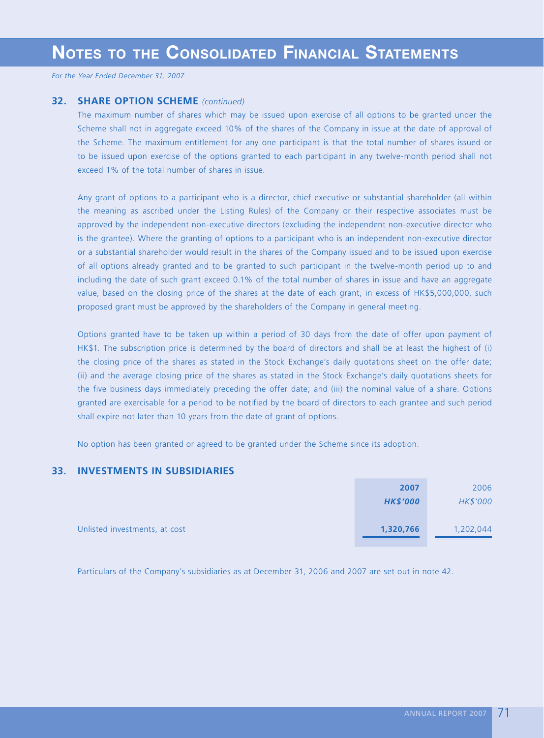## **32. SHARE OPTION SCHEME** *(continued)*

The maximum number of shares which may be issued upon exercise of all options to be granted under the Scheme shall not in aggregate exceed 10% of the shares of the Company in issue at the date of approval of the Scheme. The maximum entitlement for any one participant is that the total number of shares issued or to be issued upon exercise of the options granted to each participant in any twelve-month period shall not exceed 1% of the total number of shares in issue.

Any grant of options to a participant who is a director, chief executive or substantial shareholder (all within the meaning as ascribed under the Listing Rules) of the Company or their respective associates must be approved by the independent non-executive directors (excluding the independent non-executive director who is the grantee). Where the granting of options to a participant who is an independent non-executive director or a substantial shareholder would result in the shares of the Company issued and to be issued upon exercise of all options already granted and to be granted to such participant in the twelve-month period up to and including the date of such grant exceed 0.1% of the total number of shares in issue and have an aggregate value, based on the closing price of the shares at the date of each grant, in excess of HK\$5,000,000, such proposed grant must be approved by the shareholders of the Company in general meeting.

Options granted have to be taken up within a period of 30 days from the date of offer upon payment of HK\$1. The subscription price is determined by the board of directors and shall be at least the highest of (i) the closing price of the shares as stated in the Stock Exchange's daily quotations sheet on the offer date; (ii) and the average closing price of the shares as stated in the Stock Exchange's daily quotations sheets for the five business days immediately preceding the offer date; and (iii) the nominal value of a share. Options granted are exercisable for a period to be notified by the board of directors to each grantee and such period shall expire not later than 10 years from the date of grant of options.

No option has been granted or agreed to be granted under the Scheme since its adoption.

## **33. INVESTMENTS IN SUBSIDIARIES**

|                               | 2007            | 2006      |
|-------------------------------|-----------------|-----------|
|                               | <b>HK\$'000</b> | HK\$'000  |
|                               |                 |           |
| Unlisted investments, at cost | 1,320,766       | 1,202,044 |
|                               |                 |           |

Particulars of the Company's subsidiaries as at December 31, 2006 and 2007 are set out in note 42.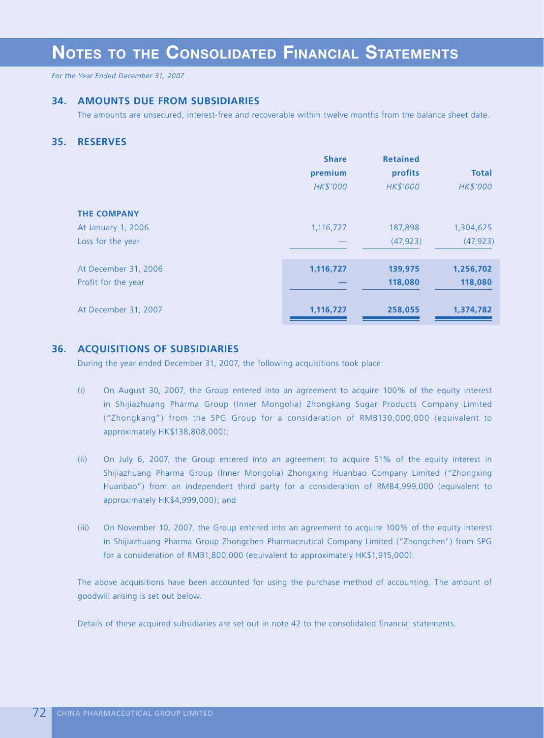# **NOTES TO THE CONSOLIDATED FINANCIAL STATEMENTS**

*For the Year Ended December 31, 2007*

#### **34. AMOUNTS DUE FROM SUBSIDIARIES**

The amounts are unsecured, interest-free and recoverable within twelve months from the balance sheet date.

#### **35. RESERVES**

|                      | <b>Share</b><br>premium<br>HK\$'000 | <b>Retained</b><br>profits<br>HK\$'000 | <b>Total</b><br>HK\$'000 |
|----------------------|-------------------------------------|----------------------------------------|--------------------------|
| <b>THE COMPANY</b>   |                                     |                                        |                          |
| At January 1, 2006   | 1,116,727                           | 187,898                                | 1,304,625                |
| Loss for the year    |                                     | (47, 923)                              | (47, 923)                |
|                      |                                     |                                        |                          |
| At December 31, 2006 | 1,116,727                           | 139,975                                | 1,256,702                |
| Profit for the year  |                                     | 118,080                                | 118,080                  |
| At December 31, 2007 | 1,116,727                           | 258,055                                | 1,374,782                |

#### **36. ACQUISITIONS OF SUBSIDIARIES**

During the year ended December 31, 2007, the following acquisitions took place:

- (i) On August 30, 2007, the Group entered into an agreement to acquire 100% of the equity interest in Shijiazhuang Pharma Group (Inner Mongolia) Zhongkang Sugar Products Company Limited ("Zhongkang") from the SPG Group for a consideration of RMB130,000,000 (equivalent to approximately HK\$138,808,000);
- (ii) On July 6, 2007, the Group entered into an agreement to acquire 51% of the equity interest in Shijiazhuang Pharma Group (Inner Mongolia) Zhongxing Huanbao Company Limited ("Zhongxing Huanbao") from an independent third party for a consideration of RMB4,999,000 (equivalent to approximately HK\$4,999,000); and
- (iii) On November 10, 2007, the Group entered into an agreement to acquire 100% of the equity interest in Shijiazhuang Pharma Group Zhongchen Pharmaceutical Company Limited ("Zhongchen") from SPG for a consideration of RMB1,800,000 (equivalent to approximately HK\$1,915,000).

The above acquisitions have been accounted for using the purchase method of accounting. The amount of goodwill arising is set out below.

Details of these acquired subsidiaries are set out in note 42 to the consolidated financial statements.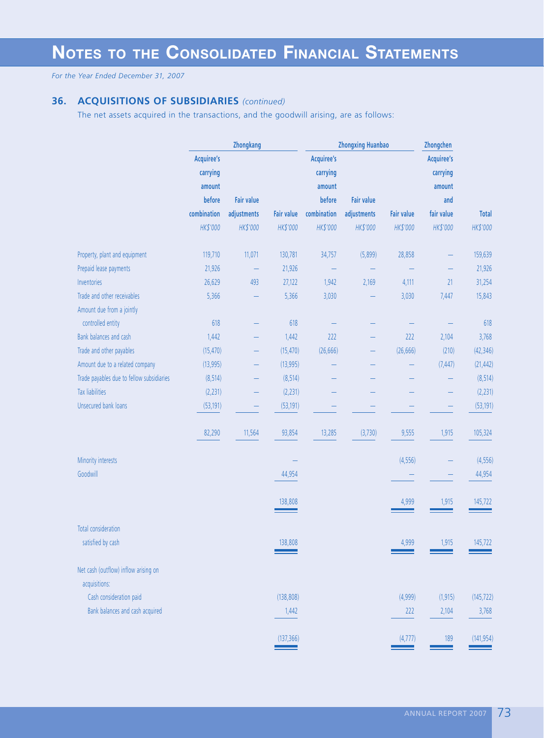#### **36. ACQUISITIONS OF SUBSIDIARIES** *(continued)*

The net assets acquired in the transactions, and the goodwill arising, are as follows:

|                                                       |                   | Zhongkang         |                   | <b>Zhongxing Huanbao</b> |                   |                   | Zhongchen  |              |
|-------------------------------------------------------|-------------------|-------------------|-------------------|--------------------------|-------------------|-------------------|------------|--------------|
|                                                       | <b>Acquiree's</b> |                   |                   | <b>Acquiree's</b>        |                   |                   | Acquiree's |              |
|                                                       | carrying          |                   |                   | carrying                 |                   |                   | carrying   |              |
|                                                       | amount            |                   |                   | amount                   |                   |                   | amount     |              |
|                                                       | before            | <b>Fair value</b> |                   | before                   | <b>Fair value</b> |                   | and        |              |
|                                                       | combination       | adjustments       | <b>Fair value</b> | combination              | adjustments       | <b>Fair value</b> | fair value | <b>Total</b> |
|                                                       | HK\$'000          | HK\$'000          | HK\$'000          | HK\$'000                 | HK\$'000          | HK\$'000          | HK\$'000   | HK\$'000     |
| Property, plant and equipment                         | 119,710           | 11,071            | 130,781           | 34,757                   | (5,899)           | 28,858            |            | 159,639      |
| Prepaid lease payments                                | 21,926            |                   | 21,926            |                          |                   |                   |            | 21,926       |
| Inventories                                           | 26,629            | 493               | 27,122            | 1,942                    | 2,169             | 4,111             | 21         | 31,254       |
| Trade and other receivables                           | 5,366             |                   | 5,366             | 3,030                    |                   | 3,030             | 7,447      | 15,843       |
| Amount due from a jointly                             |                   |                   |                   |                          |                   |                   |            |              |
| controlled entity                                     | 618               |                   | 618               |                          |                   |                   |            | 618          |
| Bank balances and cash                                | 1,442             |                   | 1,442             | 222                      |                   | 222               | 2,104      | 3,768        |
| Trade and other payables                              | (15, 470)         | -                 | (15, 470)         | (26, 666)                | -                 | (26, 666)         | (210)      | (42, 346)    |
| Amount due to a related company                       | (13,995)          |                   | (13,995)          |                          |                   |                   | (7, 447)   | (21, 442)    |
| Trade payables due to fellow subsidiaries             | (8, 514)          |                   | (8, 514)          |                          |                   |                   |            | (8, 514)     |
| <b>Tax liabilities</b>                                | (2, 231)          | -                 | (2, 231)          |                          |                   |                   |            | (2, 231)     |
| Unsecured bank loans                                  | (53, 191)         |                   | (53, 191)         |                          |                   |                   |            | (53, 191)    |
|                                                       | 82,290            | 11,564            | 93,854            | 13,285                   | (3,730)           | 9,555             | 1,915      | 105,324      |
| Minority interests                                    |                   |                   |                   |                          |                   | (4,556)           |            | (4, 556)     |
| Goodwill                                              |                   |                   | 44,954            |                          |                   |                   |            | 44,954       |
|                                                       |                   |                   | 138,808           |                          |                   | 4,999             | 1,915      | 145,722      |
| <b>Total consideration</b>                            |                   |                   |                   |                          |                   |                   |            |              |
| satisfied by cash                                     |                   |                   | 138,808           |                          |                   | 4,999             | 1,915      | 145,722      |
| Net cash (outflow) inflow arising on<br>acquisitions: |                   |                   |                   |                          |                   |                   |            |              |
| Cash consideration paid                               |                   |                   | (138, 808)        |                          |                   | (4,999)           | (1, 915)   | (145, 722)   |
| Bank balances and cash acquired                       |                   |                   | 1,442             |                          |                   | 222               | 2,104      | 3,768        |
|                                                       |                   |                   | (137, 366)        |                          |                   | (4,777)           | 189        | (141, 954)   |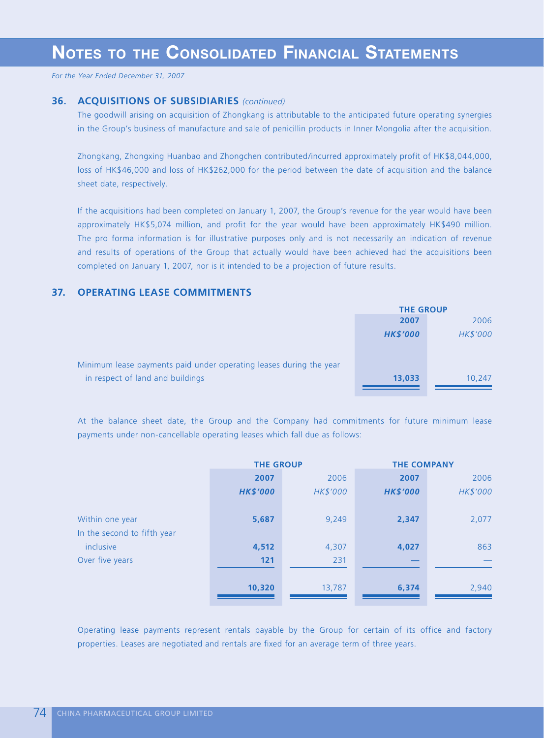#### **36. ACQUISITIONS OF SUBSIDIARIES** *(continued)*

The goodwill arising on acquisition of Zhongkang is attributable to the anticipated future operating synergies in the Group's business of manufacture and sale of penicillin products in Inner Mongolia after the acquisition.

Zhongkang, Zhongxing Huanbao and Zhongchen contributed/incurred approximately profit of HK\$8,044,000, loss of HK\$46,000 and loss of HK\$262,000 for the period between the date of acquisition and the balance sheet date, respectively.

If the acquisitions had been completed on January 1, 2007, the Group's revenue for the year would have been approximately HK\$5,074 million, and profit for the year would have been approximately HK\$490 million. The pro forma information is for illustrative purposes only and is not necessarily an indication of revenue and results of operations of the Group that actually would have been achieved had the acquisitions been completed on January 1, 2007, nor is it intended to be a projection of future results.

#### **37. OPERATING LEASE COMMITMENTS**

|                                                                    | <b>THE GROUP</b> |          |
|--------------------------------------------------------------------|------------------|----------|
|                                                                    | 2007             | 2006     |
|                                                                    | <b>HK\$'000</b>  | HK\$'000 |
|                                                                    |                  |          |
| Minimum lease payments paid under operating leases during the year |                  |          |
| in respect of land and buildings                                   | 13,033           | 10,247   |
|                                                                    |                  |          |

At the balance sheet date, the Group and the Company had commitments for future minimum lease payments under non-cancellable operating leases which fall due as follows:

|                             | <b>THE GROUP</b> |          | <b>THE COMPANY</b> |          |  |
|-----------------------------|------------------|----------|--------------------|----------|--|
|                             | 2007             | 2006     | 2007               | 2006     |  |
|                             | <b>HK\$'000</b>  | HK\$'000 | <b>HK\$'000</b>    | HK\$'000 |  |
|                             |                  |          |                    |          |  |
| Within one year             | 5,687            | 9,249    | 2,347              | 2,077    |  |
| In the second to fifth year |                  |          |                    |          |  |
| inclusive                   | 4,512            | 4,307    | 4,027              | 863      |  |
| Over five years             | 121              | 231      |                    |          |  |
|                             |                  |          |                    |          |  |
|                             | 10,320           | 13,787   | 6,374              | 2,940    |  |
|                             |                  |          |                    |          |  |

Operating lease payments represent rentals payable by the Group for certain of its office and factory properties. Leases are negotiated and rentals are fixed for an average term of three years.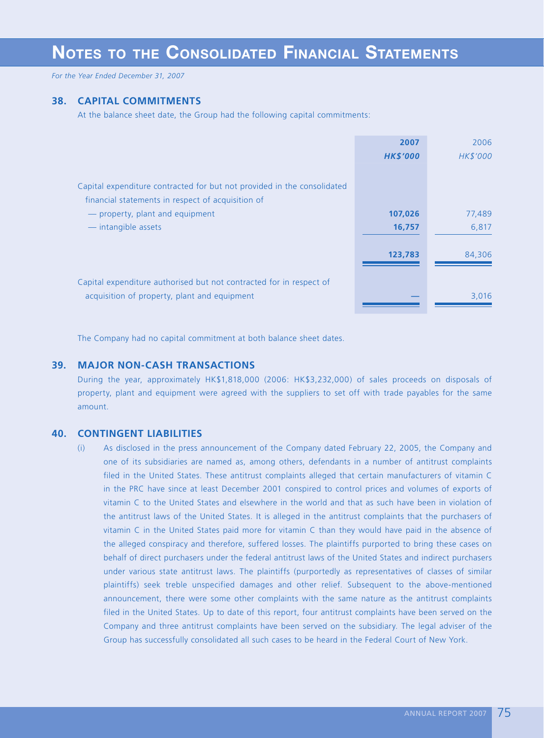# **NOTES TO THE CONSOLIDATED FINANCIAL STATEMENTS**

*For the Year Ended December 31, 2007*

#### **38. CAPITAL COMMITMENTS**

At the balance sheet date, the Group had the following capital commitments:

|                                                                         | 2007            | 2006     |
|-------------------------------------------------------------------------|-----------------|----------|
|                                                                         | <b>HK\$'000</b> | HK\$'000 |
|                                                                         |                 |          |
| Capital expenditure contracted for but not provided in the consolidated |                 |          |
| financial statements in respect of acquisition of                       |                 |          |
| - property, plant and equipment                                         | 107,026         | 77,489   |
| - intangible assets                                                     | 16,757          | 6,817    |
|                                                                         |                 |          |
|                                                                         | 123,783         | 84,306   |
|                                                                         |                 |          |
| Capital expenditure authorised but not contracted for in respect of     |                 |          |
| acquisition of property, plant and equipment                            |                 | 3,016    |
|                                                                         |                 |          |

The Company had no capital commitment at both balance sheet dates.

#### **39. MAJOR NON-CASH TRANSACTIONS**

During the year, approximately HK\$1,818,000 (2006: HK\$3,232,000) of sales proceeds on disposals of property, plant and equipment were agreed with the suppliers to set off with trade payables for the same amount.

#### **40. CONTINGENT LIABILITIES**

(i) As disclosed in the press announcement of the Company dated February 22, 2005, the Company and one of its subsidiaries are named as, among others, defendants in a number of antitrust complaints filed in the United States. These antitrust complaints alleged that certain manufacturers of vitamin C in the PRC have since at least December 2001 conspired to control prices and volumes of exports of vitamin C to the United States and elsewhere in the world and that as such have been in violation of the antitrust laws of the United States. It is alleged in the antitrust complaints that the purchasers of vitamin C in the United States paid more for vitamin C than they would have paid in the absence of the alleged conspiracy and therefore, suffered losses. The plaintiffs purported to bring these cases on behalf of direct purchasers under the federal antitrust laws of the United States and indirect purchasers under various state antitrust laws. The plaintiffs (purportedly as representatives of classes of similar plaintiffs) seek treble unspecified damages and other relief. Subsequent to the above-mentioned announcement, there were some other complaints with the same nature as the antitrust complaints filed in the United States. Up to date of this report, four antitrust complaints have been served on the Company and three antitrust complaints have been served on the subsidiary. The legal adviser of the Group has successfully consolidated all such cases to be heard in the Federal Court of New York.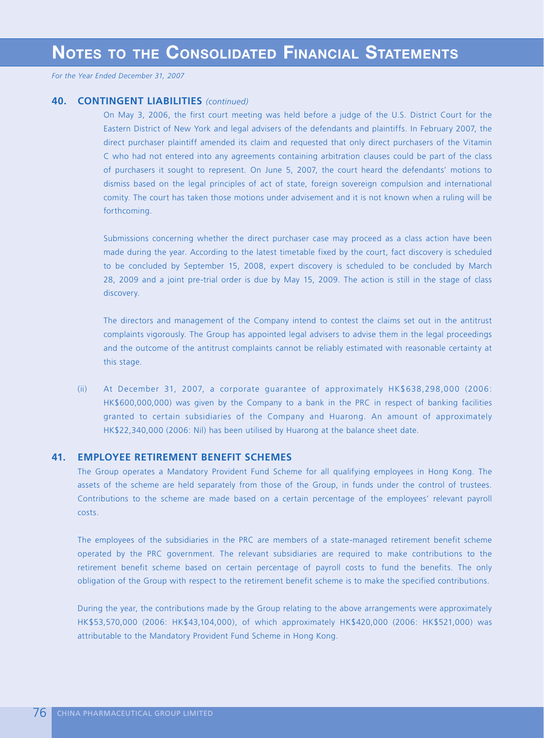#### **40. CONTINGENT LIABILITIES** *(continued)*

On May 3, 2006, the first court meeting was held before a judge of the U.S. District Court for the Eastern District of New York and legal advisers of the defendants and plaintiffs. In February 2007, the direct purchaser plaintiff amended its claim and requested that only direct purchasers of the Vitamin C who had not entered into any agreements containing arbitration clauses could be part of the class of purchasers it sought to represent. On June 5, 2007, the court heard the defendants' motions to dismiss based on the legal principles of act of state, foreign sovereign compulsion and international comity. The court has taken those motions under advisement and it is not known when a ruling will be forthcoming.

Submissions concerning whether the direct purchaser case may proceed as a class action have been made during the year. According to the latest timetable fixed by the court, fact discovery is scheduled to be concluded by September 15, 2008, expert discovery is scheduled to be concluded by March 28, 2009 and a joint pre-trial order is due by May 15, 2009. The action is still in the stage of class discovery.

The directors and management of the Company intend to contest the claims set out in the antitrust complaints vigorously. The Group has appointed legal advisers to advise them in the legal proceedings and the outcome of the antitrust complaints cannot be reliably estimated with reasonable certainty at this stage.

(ii) At December 31, 2007, a corporate guarantee of approximately HK\$638,298,000 (2006: HK\$600,000,000) was given by the Company to a bank in the PRC in respect of banking facilities granted to certain subsidiaries of the Company and Huarong. An amount of approximately HK\$22,340,000 (2006: Nil) has been utilised by Huarong at the balance sheet date.

#### **41. EMPLOYEE RETIREMENT BENEFIT SCHEMES**

The Group operates a Mandatory Provident Fund Scheme for all qualifying employees in Hong Kong. The assets of the scheme are held separately from those of the Group, in funds under the control of trustees. Contributions to the scheme are made based on a certain percentage of the employees' relevant payroll costs.

The employees of the subsidiaries in the PRC are members of a state-managed retirement benefit scheme operated by the PRC government. The relevant subsidiaries are required to make contributions to the retirement benefit scheme based on certain percentage of payroll costs to fund the benefits. The only obligation of the Group with respect to the retirement benefit scheme is to make the specified contributions.

During the year, the contributions made by the Group relating to the above arrangements were approximately HK\$53,570,000 (2006: HK\$43,104,000), of which approximately HK\$420,000 (2006: HK\$521,000) was attributable to the Mandatory Provident Fund Scheme in Hong Kong.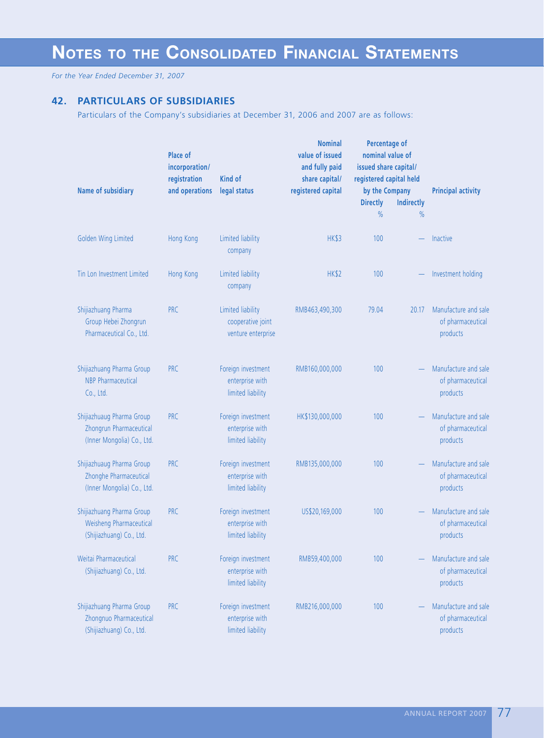### **42. PARTICULARS OF SUBSIDIARIES**

Particulars of the Company's subsidiaries at December 31, 2006 and 2007 are as follows:

| Name of subsidiary                                                                 | Place of<br>incorporation/<br>registration<br>and operations | Kind of<br>legal status                                      | <b>Nominal</b><br>value of issued<br>and fully paid<br>share capital/<br>registered capital | Percentage of<br>nominal value of<br>issued share capital/<br>registered capital held<br>by the Company |            | <b>Principal activity</b>                             |  |
|------------------------------------------------------------------------------------|--------------------------------------------------------------|--------------------------------------------------------------|---------------------------------------------------------------------------------------------|---------------------------------------------------------------------------------------------------------|------------|-------------------------------------------------------|--|
|                                                                                    |                                                              |                                                              |                                                                                             | <b>Directly</b>                                                                                         | Indirectly |                                                       |  |
|                                                                                    |                                                              |                                                              |                                                                                             | $\%$                                                                                                    | $\%$       |                                                       |  |
| Golden Wing Limited                                                                | Hong Kong                                                    | Limited liability<br>company                                 | <b>HK\$3</b>                                                                                | 100                                                                                                     |            | Inactive                                              |  |
| Tin Lon Investment Limited                                                         | Hong Kong                                                    | Limited liability<br>company                                 | HK\$2                                                                                       | 100                                                                                                     |            | Investment holding                                    |  |
| Shijiazhuang Pharma<br>Group Hebei Zhongrun<br>Pharmaceutical Co., Ltd.            | <b>PRC</b>                                                   | Limited liability<br>cooperative joint<br>venture enterprise | RMB463,490,300                                                                              | 79.04                                                                                                   | 20.17      | Manufacture and sale<br>of pharmaceutical<br>products |  |
| Shijiazhuang Pharma Group<br><b>NBP</b> Pharmaceutical<br>Co., Ltd.                | <b>PRC</b>                                                   | Foreign investment<br>enterprise with<br>limited liability   | RMB160,000,000                                                                              | 100                                                                                                     |            | Manufacture and sale<br>of pharmaceutical<br>products |  |
| Shijiazhuaug Pharma Group<br>Zhongrun Pharmaceutical<br>(Inner Mongolia) Co., Ltd. | <b>PRC</b>                                                   | Foreign investment<br>enterprise with<br>limited liability   | HK\$130,000,000                                                                             | 100                                                                                                     |            | Manufacture and sale<br>of pharmaceutical<br>products |  |
| Shijiazhuaug Pharma Group<br>Zhonghe Pharmaceutical<br>(Inner Mongolia) Co., Ltd.  | <b>PRC</b>                                                   | Foreign investment<br>enterprise with<br>limited liability   | RMB135,000,000                                                                              | 100                                                                                                     |            | Manufacture and sale<br>of pharmaceutical<br>products |  |
| Shijiazhuang Pharma Group<br>Weisheng Pharmaceutical<br>(Shijiazhuang) Co., Ltd.   | <b>PRC</b>                                                   | Foreign investment<br>enterprise with<br>limited liability   | US\$20,169,000                                                                              | 100                                                                                                     |            | Manufacture and sale<br>of pharmaceutical<br>products |  |
| Weitai Pharmaceutical<br>(Shijiazhuang) Co., Ltd.                                  | <b>PRC</b>                                                   | Foreign investment<br>enterprise with<br>limited liability   | RMB59,400,000                                                                               | 100                                                                                                     |            | Manufacture and sale<br>of pharmaceutical<br>products |  |
| Shijiazhuang Pharma Group<br>Zhongnuo Pharmaceutical<br>(Shijiazhuang) Co., Ltd.   | <b>PRC</b>                                                   | Foreign investment<br>enterprise with<br>limited liability   | RMB216,000,000                                                                              | 100                                                                                                     |            | Manufacture and sale<br>of pharmaceutical<br>products |  |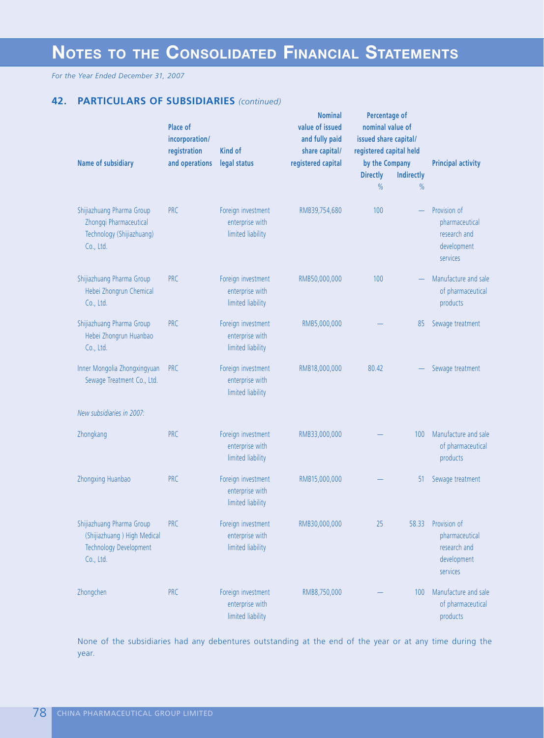# **NOTES TO THE CONSOLIDATED FINANCIAL STATEMENTS**

*For the Year Ended December 31, 2007*

## **42. PARTICULARS OF SUBSIDIARIES** *(continued)*

| Name of subsidiary                                                                                     | <b>Place of</b><br>incorporation/<br>registration<br>and operations | <b>Kind of</b><br>legal status                             | <b>Nominal</b><br>value of issued<br>and fully paid<br>share capital/<br>registered capital | Percentage of<br>nominal value of<br>issued share capital/<br>registered capital held<br>by the Company<br><b>Directly</b><br>$\frac{0}{0}$ | <b>Indirectly</b><br>$\%$ | <b>Principal activity</b>                                                       |
|--------------------------------------------------------------------------------------------------------|---------------------------------------------------------------------|------------------------------------------------------------|---------------------------------------------------------------------------------------------|---------------------------------------------------------------------------------------------------------------------------------------------|---------------------------|---------------------------------------------------------------------------------|
| Shijiazhuang Pharma Group<br>Zhongqi Pharmaceutical<br>Technology (Shijiazhuang)<br>Co., Ltd.          | <b>PRC</b>                                                          | Foreign investment<br>enterprise with<br>limited liability | RMB39,754,680                                                                               | 100                                                                                                                                         |                           | Provision of<br>pharmaceutical<br>research and<br>development<br>services       |
| Shijiazhuang Pharma Group<br>Hebei Zhongrun Chemical<br>Co., Ltd.                                      | <b>PRC</b>                                                          | Foreign investment<br>enterprise with<br>limited liability | RMB50,000,000                                                                               | 100                                                                                                                                         |                           | Manufacture and sale<br>of pharmaceutical<br>products                           |
| Shijiazhuang Pharma Group<br>Hebei Zhongrun Huanbao<br>Co., Ltd.                                       | <b>PRC</b>                                                          | Foreign investment<br>enterprise with<br>limited liability | RMB5,000,000                                                                                |                                                                                                                                             | 85                        | Sewage treatment                                                                |
| Inner Mongolia Zhongxingyuan<br>Sewage Treatment Co., Ltd.                                             | <b>PRC</b>                                                          | Foreign investment<br>enterprise with<br>limited liability | RMB18,000,000                                                                               | 80.42                                                                                                                                       |                           | Sewage treatment                                                                |
| New subsidiaries in 2007:                                                                              |                                                                     |                                                            |                                                                                             |                                                                                                                                             |                           |                                                                                 |
| Zhongkang                                                                                              | <b>PRC</b>                                                          | Foreign investment<br>enterprise with<br>limited liability | RMB33,000,000                                                                               |                                                                                                                                             | 100                       | Manufacture and sale<br>of pharmaceutical<br>products                           |
| Zhongxing Huanbao                                                                                      | <b>PRC</b>                                                          | Foreign investment<br>enterprise with<br>limited liability | RMB15,000,000                                                                               |                                                                                                                                             | 51                        | Sewage treatment                                                                |
| Shijiazhuang Pharma Group<br>(Shijiazhuang) High Medical<br><b>Technology Development</b><br>Co., Ltd. | <b>PRC</b>                                                          | Foreign investment<br>enterprise with<br>limited liability | RMB30,000,000                                                                               | 25                                                                                                                                          |                           | 58.33 Provision of<br>pharmaceutical<br>research and<br>development<br>services |
| Zhongchen                                                                                              | <b>PRC</b>                                                          | Foreign investment<br>enterprise with<br>limited liability | RMB8,750,000                                                                                |                                                                                                                                             | 100                       | Manufacture and sale<br>of pharmaceutical<br>products                           |

None of the subsidiaries had any debentures outstanding at the end of the year or at any time during the year.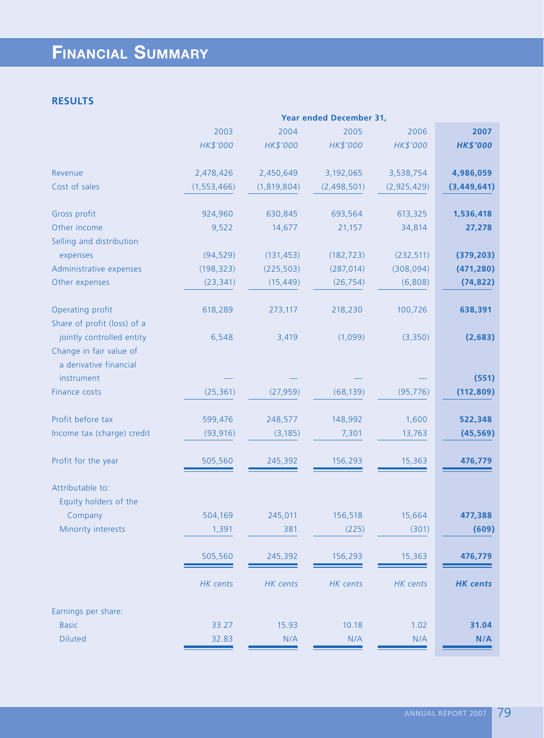# **FINANCIAL SUMMARY**

## **RESULTS**

|                                                                                |               |             | <b>Year ended December 31,</b> |             |                 |
|--------------------------------------------------------------------------------|---------------|-------------|--------------------------------|-------------|-----------------|
|                                                                                | 2003          | 2004        | 2005                           | 2006        | 2007            |
|                                                                                | HK\$'000      | HK\$'000    | HK\$'000                       | HK\$'000    | <b>HK\$'000</b> |
| Revenue                                                                        | 2,478,426     | 2,450,649   | 3,192,065                      | 3,538,754   | 4,986,059       |
| Cost of sales                                                                  | (1, 553, 466) | (1,819,804) | (2,498,501)                    | (2,925,429) | (3,449,641)     |
| Gross profit                                                                   | 924,960       | 630,845     | 693,564                        | 613,325     | 1,536,418       |
| Other income                                                                   | 9,522         | 14,677      | 21,157                         | 34,814      | 27,278          |
| Selling and distribution                                                       |               |             |                                |             |                 |
| expenses                                                                       | (94, 529)     | (131, 453)  | (182, 723)                     | (232, 511)  | (379, 203)      |
| Administrative expenses                                                        | (198, 323)    | (225, 503)  | (287, 014)                     | (308, 094)  | (471, 280)      |
| Other expenses                                                                 | (23, 341)     | (15, 449)   | (26, 754)                      | (6,808)     | (74, 822)       |
| Operating profit<br>Share of profit (loss) of a                                | 618,289       | 273,117     | 218,230                        | 100,726     | 638,391         |
| jointly controlled entity<br>Change in fair value of<br>a derivative financial | 6,548         | 3,419       | (1,099)                        | (3,350)     | (2,683)         |
| instrument                                                                     |               |             |                                |             | (551)           |
| Finance costs                                                                  | (25, 361)     | (27, 959)   | (68, 139)                      | (95, 776)   | (112, 809)      |
| Profit before tax                                                              | 599,476       | 248,577     | 148,992                        | 1,600       | 522,348         |
| Income tax (charge) credit                                                     | (93, 916)     | (3, 185)    | 7,301                          | 13,763      | (45, 569)       |
| Profit for the year                                                            | 505,560       | 245,392     | 156,293                        | 15,363      | 476,779         |
| Attributable to:<br>Equity holders of the                                      |               |             |                                |             |                 |
| Company                                                                        | 504,169       | 245,011     | 156,518                        | 15,664      | 477,388         |
| Minority interests                                                             | 1,391         | 381         | (225)                          | (301)       | (609)           |
|                                                                                | 505,560       | 245,392     | 156,293                        | 15,363      | 476,779         |
|                                                                                | HK cents      | HK cents    | HK cents                       | HK cents    | <b>HK</b> cents |
| Earnings per share:                                                            |               |             |                                |             |                 |
| <b>Basic</b>                                                                   | 33.27         | 15.93       | 10.18                          | 1.02        | 31.04           |
| <b>Diluted</b>                                                                 | 32.83         | N/A         | N/A                            | N/A         | N/A             |